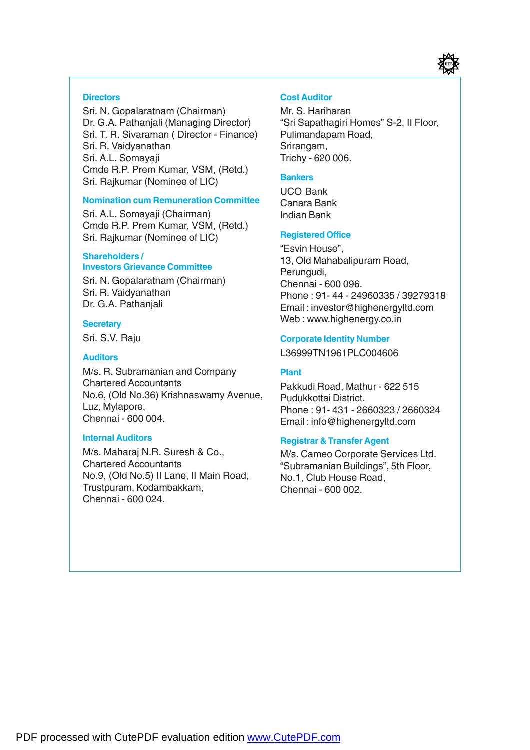

#### **Directors**

Sri. N. Gopalaratnam (Chairman) Dr. G.A. Pathanjali (Managing Director) Sri. T. R. Sivaraman ( Director - Finance) Sri. R. Vaidyanathan Sri. A.L. Somayaji Cmde R.P. Prem Kumar, VSM, (Retd.) Sri. Rajkumar (Nominee of LIC)

#### **Nomination cum Remuneration Committee**

Sri. A.L. Somayaji (Chairman) Cmde R.P. Prem Kumar, VSM, (Retd.) Sri. Rajkumar (Nominee of LIC)

#### **Shareholders / Investors Grievance Committee**

Sri. N. Gopalaratnam (Chairman) Sri. R. Vaidyanathan Dr. G.A. Pathanjali

#### **Secretary**

Sri. S.V. Raju

#### **Auditors**

M/s. R. Subramanian and Company Chartered Accountants No.6, (Old No.36) Krishnaswamy Avenue, Luz, Mylapore, Chennai - 600 004.

#### **Internal Auditors**

M/s. Maharaj N.R. Suresh & Co., Chartered Accountants No.9, (Old No.5) II Lane, II Main Road, Trustpuram, Kodambakkam, Chennai - 600 024.

#### **Cost Auditor**

Mr. S. Hariharan "Sri Sapathagiri Homes" S-2, II Floor, Pulimandapam Road, Srirangam, Trichy - 620 006.

#### **Bankers**

UCO Bank Canara Bank Indian Bank

#### **Registered Office**

"Esvin House", 13, Old Mahabalipuram Road, Perungudi, Chennai - 600 096. Phone : 91- 44 - 24960335 / 39279318 Email : investor@highenergyltd.com Web : www.highenergy.co.in

#### **Corporate Identity Number**

L36999TN1961PLC004606

#### **Plant**

Pakkudi Road, Mathur - 622 515 Pudukkottai District. Phone : 91- 431 - 2660323 / 2660324 Email : info@highenergyltd.com

#### **Registrar & Transfer Agent**

M/s. Cameo Corporate Services Ltd. "Subramanian Buildings", 5th Floor, No.1, Club House Road, Chennai - 600 002.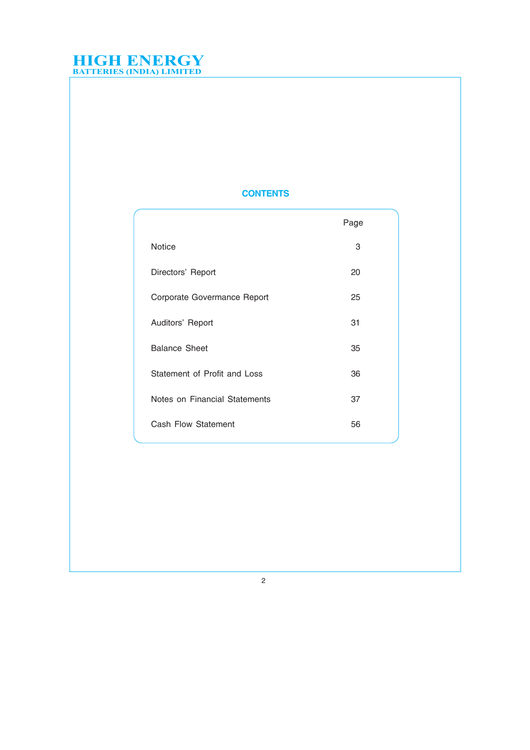## **CONTENTS**

|                               | Page |
|-------------------------------|------|
| <b>Notice</b>                 | 3    |
| Directors' Report             | 20   |
| Corporate Govermance Report   | 25   |
| Auditors' Report              | 31   |
| <b>Balance Sheet</b>          | 35   |
| Statement of Profit and Loss  | 36   |
| Notes on Financial Statements | 37   |
| Cash Flow Statement           | 56   |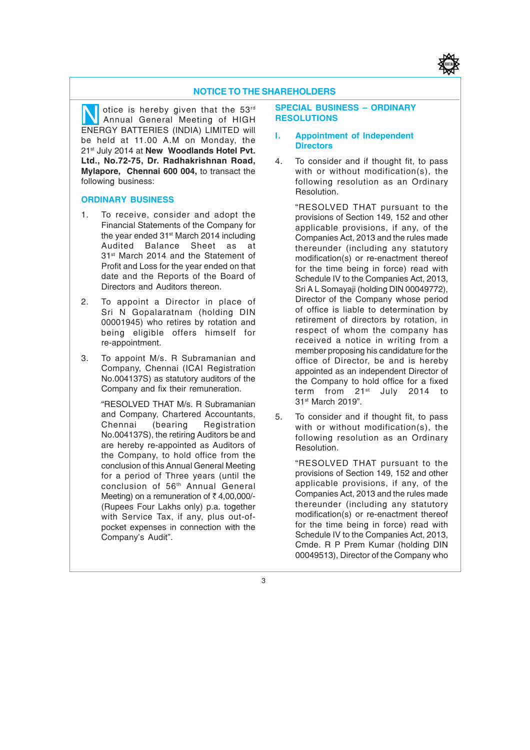

#### **NOTICE TO THE SHAREHOLDERS**

otice is hereby given that the 53<sup>rd</sup> SPECIAL BUSINESS – ORDINARY<br>Annual General Meeting of HIGH RESOLUTIONS<br>ENFRGY BATTERIES (INDIA) LIMITED will Annual General Meeting of HIGH ENERGY BATTERIES (INDIA) LIMITED will be held at 11.00 A.M on Monday, the 21st July 2014 at **New Woodlands Hotel Pvt. Ltd., No.72-75, Dr. Radhakrishnan Road, Mylapore, Chennai 600 004,** to transact the following business:

#### **ORDINARY BUSINESS**

- 1. To receive, consider and adopt the Financial Statements of the Company for the year ended 31<sup>st</sup> March 2014 including<br>Audited Balance Sheet as at Audited Balance Sheet as 31<sup>st</sup> March 2014 and the Statement of Profit and Loss for the year ended on that date and the Reports of the Board of Directors and Auditors thereon.
- 2. To appoint a Director in place of Sri N Gopalaratnam (holding DIN 00001945) who retires by rotation and being eligible offers himself for re-appointment.
- 3. To appoint M/s. R Subramanian and Company, Chennai (ICAI Registration No.004137S) as statutory auditors of the Company and fix their remuneration.

"RESOLVED THAT M/s. R Subramanian and Company, Chartered Accountants,<br>Chennai (bearing Registration **Registration** No.004137S), the retiring Auditors be and are hereby re-appointed as Auditors of the Company, to hold office from the conclusion of this Annual General Meeting for a period of Three years (until the conclusion of 56th Annual General Meeting) on a remuneration of  $\bar{\tau}$  4,00,000/-(Rupees Four Lakhs only) p.a. together with Service Tax, if any, plus out-ofpocket expenses in connection with the Company's Audit".

## **RESOLUTIONS**

#### **I. Appointment of Independent Directors**

4. To consider and if thought fit, to pass with or without modification(s), the following resolution as an Ordinary Resolution.

"RESOLVED THAT pursuant to the provisions of Section 149, 152 and other applicable provisions, if any, of the Companies Act, 2013 and the rules made thereunder (including any statutory modification(s) or re-enactment thereof for the time being in force) read with Schedule IV to the Companies Act, 2013, Sri A L Somayaji (holding DIN 00049772), Director of the Company whose period of office is liable to determination by retirement of directors by rotation, in respect of whom the company has received a notice in writing from a member proposing his candidature for the office of Director, be and is hereby appointed as an independent Director of the Company to hold office for a fixed term from 21<sup>st</sup> July 2014 to 31st March 2019".

5. To consider and if thought fit, to pass with or without modification(s), the following resolution as an Ordinary Resolution.

> "RESOLVED THAT pursuant to the provisions of Section 149, 152 and other applicable provisions, if any, of the Companies Act, 2013 and the rules made thereunder (including any statutory modification(s) or re-enactment thereof for the time being in force) read with Schedule IV to the Companies Act, 2013, Cmde. R P Prem Kumar (holding DIN 00049513), Director of the Company who

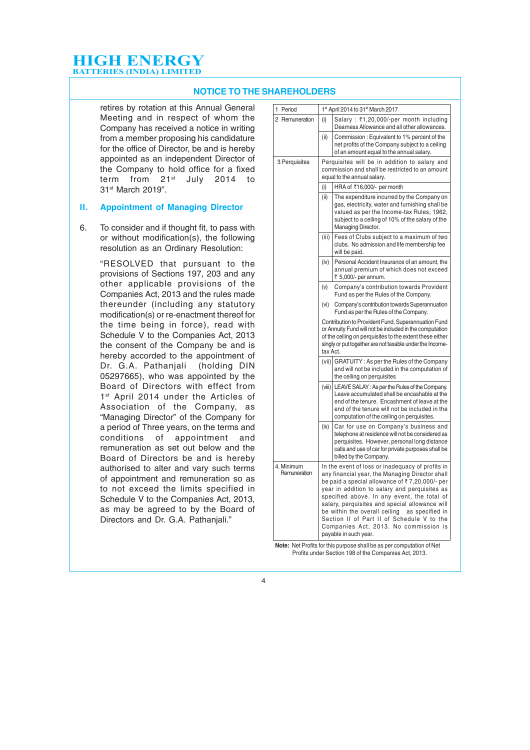#### **NOTICE TO THE SHAREHOLDERS**

retires by rotation at this Annual General Meeting and in respect of whom the Company has received a notice in writing from a member proposing his candidature for the office of Director, be and is hereby appointed as an independent Director of the Company to hold office for a fixed term from 21st July 2014 to 31st March 2019".

#### **II. Appointment of Managing Director**

6. To consider and if thought fit, to pass with or without modification(s), the following resolution as an Ordinary Resolution:

> "RESOLVED that pursuant to the provisions of Sections 197, 203 and any other applicable provisions of the Companies Act, 2013 and the rules made thereunder (including any statutory modification(s) or re-enactment thereof for the time being in force), read with Schedule V to the Companies Act, 2013 the consent of the Company be and is hereby accorded to the appointment of Dr. G.A. Pathanjali (holding DIN 05297665), who was appointed by the Board of Directors with effect from 1<sup>st</sup> April 2014 under the Articles of Association of the Company, as "Managing Director" of the Company for a period of Three years, on the terms and conditions of appointment and remuneration as set out below and the Board of Directors be and is hereby authorised to alter and vary such terms of appointment and remuneration so as to not exceed the limits specified in Schedule V to the Companies Act, 2013, as may be agreed to by the Board of Directors and Dr. G.A. Pathanjali."

| 1 Period                   |          | 1st April 2014 to 31st March 2017                                                                                                                                                                                                                                                                                                                                                                                                                                        |
|----------------------------|----------|--------------------------------------------------------------------------------------------------------------------------------------------------------------------------------------------------------------------------------------------------------------------------------------------------------------------------------------------------------------------------------------------------------------------------------------------------------------------------|
| 2 Remuneration             | (i)      | Salary: ₹1,20,000/-per month including<br>Dearness Allowance and all other allowances.                                                                                                                                                                                                                                                                                                                                                                                   |
|                            | (ii)     | Commission: Equivalent to 1% percent of the<br>net profits of the Company subject to a ceiling<br>of an amount equal to the annual salary.                                                                                                                                                                                                                                                                                                                               |
| 3 Perquisites              |          | Perquisites will be in addition to salary and<br>commission and shall be restricted to an amount<br>equal to the annual salary.                                                                                                                                                                                                                                                                                                                                          |
|                            | (i)      | HRA of ₹16,000/- per month                                                                                                                                                                                                                                                                                                                                                                                                                                               |
|                            | (ii)     | The expenditure incurred by the Company on<br>gas, electricity, water and furnishing shall be<br>valued as per the Income-tax Rules, 1962,<br>subject to a ceiling of 10% of the salary of the<br>Managing Director.                                                                                                                                                                                                                                                     |
|                            | (iii)    | Fees of Clubs subject to a maximum of two<br>clubs. No admission and life membership fee<br>will be paid.                                                                                                                                                                                                                                                                                                                                                                |
|                            | (iv)     | Personal Accident Insurance of an amount, the<br>annual premium of which does not exceed<br>₹ 5,000/- per annum.                                                                                                                                                                                                                                                                                                                                                         |
|                            | (V)      | Company's contribution towards Provident<br>Fund as per the Rules of the Company.                                                                                                                                                                                                                                                                                                                                                                                        |
|                            | (vi)     | Company's contribution towards Superannuation<br>Fund as per the Rules of the Company.                                                                                                                                                                                                                                                                                                                                                                                   |
|                            | tax Act. | Contribution to Provident Fund, Superannuation Fund<br>or Annuity Fund will not be included in the computation<br>of the ceiling on perquisites to the extent these either<br>singly or put together are not taxable under the Income-                                                                                                                                                                                                                                   |
|                            | (vii)    | GRATUITY: As per the Rules of the Company<br>and will not be included in the computation of<br>the ceiling on perquisites                                                                                                                                                                                                                                                                                                                                                |
|                            | (viii)   | LEAVE SALAY: As per the Rules of the Company.<br>Leave accumulated shall be encashable at the<br>end of the tenure. Encashment of leave at the<br>end of the tenure will not be included in the<br>computation of the ceiling on perquisites.                                                                                                                                                                                                                            |
|                            | (ix)     | Car for use on Company's business and<br>telephone at residence will not be considered as<br>perquisites. However, personal long distance<br>calls and use of car for private purposes shall be<br>billed by the Company.                                                                                                                                                                                                                                                |
| 4. Minimum<br>Remuneration |          | In the event of loss or inadequacy of profits in<br>any financial year, the Managing Director shall<br>be paid a special allowance of ₹7,20,000/- per<br>year in addition to salary and perquisites as<br>specified above. In any event, the total of<br>salary, perquisites and special allowance will<br>be within the overall ceiling as specified in<br>Section II of Part II of Schedule V to the<br>Companies Act, 2013. No commission is<br>payable in such year. |

**Note:** Net Profits for this purpose shall be as per computation of Net Profits under Section 198 of the Companies Act, 2013.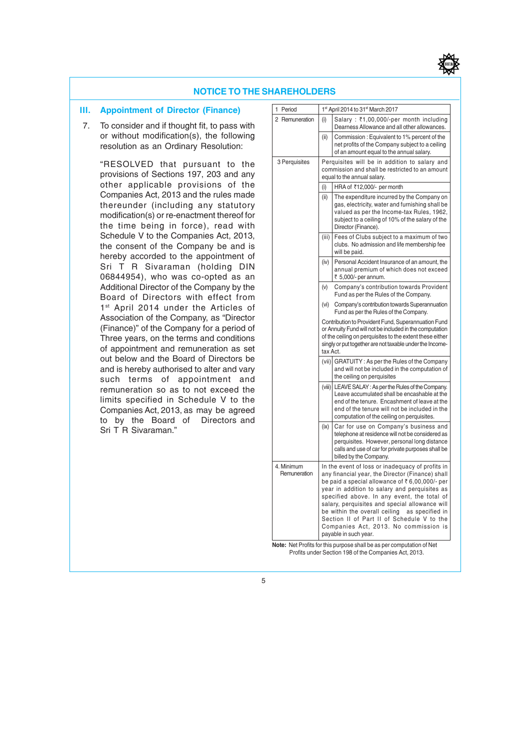

#### **NOTICE TO THE SHAREHOLDERS**

#### **III. Appointment of Director (Finance)**

 7. To consider and if thought fit, to pass with or without modification(s), the following resolution as an Ordinary Resolution:

"RESOLVED that pursuant to the provisions of Sections 197, 203 and any other applicable provisions of the Companies Act, 2013 and the rules made thereunder (including any statutory modification(s) or re-enactment thereof for the time being in force), read with Schedule V to the Companies Act, 2013, the consent of the Company be and is hereby accorded to the appointment of Sri T R Sivaraman (holding DIN 06844954), who was co-opted as an Additional Director of the Company by the Board of Directors with effect from 1st April 2014 under the Articles of Association of the Company, as "Director (Finance)" of the Company for a period of Three years, on the terms and conditions of appointment and remuneration as set out below and the Board of Directors be and is hereby authorised to alter and vary such terms of appointment and remuneration so as to not exceed the limits specified in Schedule V to the Companies Act, 2013, as may be agreed to by the Board of Directors and Sri T R Sivaraman."

| 1<br>Period                |          | 1st April 2014 to 31st March 2017                                                                                                                                                                                                                                                                                                                                                                                                                                            |
|----------------------------|----------|------------------------------------------------------------------------------------------------------------------------------------------------------------------------------------------------------------------------------------------------------------------------------------------------------------------------------------------------------------------------------------------------------------------------------------------------------------------------------|
| 2 Remuneration             | (i)      | Salary: ₹1,00,000/-per month including<br>Dearness Allowance and all other allowances.                                                                                                                                                                                                                                                                                                                                                                                       |
|                            | (ii)     | Commission: Equivalent to 1% percent of the<br>net profits of the Company subject to a ceiling<br>of an amount equal to the annual salary.                                                                                                                                                                                                                                                                                                                                   |
| 3 Perquisites              |          | Perquisites will be in addition to salary and<br>commission and shall be restricted to an amount<br>equal to the annual salary.                                                                                                                                                                                                                                                                                                                                              |
|                            | (i)      | HRA of ₹12,000/- per month                                                                                                                                                                                                                                                                                                                                                                                                                                                   |
|                            | (ii)     | The expenditure incurred by the Company on<br>gas, electricity, water and furnishing shall be<br>valued as per the Income-tax Rules, 1962,<br>subject to a ceiling of 10% of the salary of the<br>Director (Finance).                                                                                                                                                                                                                                                        |
|                            | (iii)    | Fees of Clubs subject to a maximum of two<br>clubs. No admission and life membership fee<br>will be paid.                                                                                                                                                                                                                                                                                                                                                                    |
|                            | (iv)     | Personal Accident Insurance of an amount, the<br>annual premium of which does not exceed<br>₹ 5,000/- per annum.                                                                                                                                                                                                                                                                                                                                                             |
|                            | (V)      | Company's contribution towards Provident<br>Fund as per the Rules of the Company.                                                                                                                                                                                                                                                                                                                                                                                            |
|                            | (vi)     | Company's contribution towards Superannuation<br>Fund as per the Rules of the Company.                                                                                                                                                                                                                                                                                                                                                                                       |
|                            | tax Act. | Contribution to Provident Fund, Superannuation Fund<br>or Annuity Fund will not be included in the computation<br>of the ceiling on perquisites to the extent these either<br>singly or put together are not taxable under the Income-                                                                                                                                                                                                                                       |
|                            | (vii)    | GRATUITY: As per the Rules of the Company<br>and will not be included in the computation of<br>the ceiling on perquisites                                                                                                                                                                                                                                                                                                                                                    |
|                            |          | (viii) LEAVE SALAY: As per the Rules of the Company.<br>Leave accumulated shall be encashable at the<br>end of the tenure. Encashment of leave at the<br>end of the tenure will not be included in the<br>computation of the ceiling on perquisites.                                                                                                                                                                                                                         |
|                            | (ix)     | Car for use on Company's business and<br>telephone at residence will not be considered as<br>perquisites. However, personal long distance<br>calls and use of car for private purposes shall be<br>billed by the Company.                                                                                                                                                                                                                                                    |
| 4. Minimum<br>Remuneration |          | In the event of loss or inadequacy of profits in<br>any financial year, the Director (Finance) shall<br>be paid a special allowance of ₹6,00,000/- per<br>year in addition to salary and perquisites as<br>specified above. In any event, the total of<br>salary, perquisites and special allowance will<br>be within the overall ceiling<br>as specified in<br>Section II of Part II of Schedule V to the<br>Companies Act, 2013. No commission is<br>payable in such year. |

**Note:** Net Profits for this purpose shall be as per computation of Net Profits under Section 198 of the Companies Act, 2013.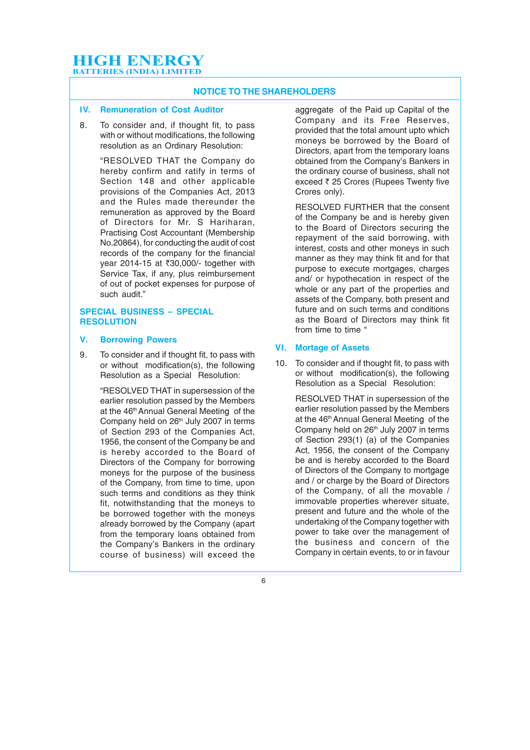#### **NOTICE TO THE SHAREHOLDERS**

#### **IV. Remuneration of Cost Auditor**

8. To consider and, if thought fit, to pass with or without modifications, the following resolution as an Ordinary Resolution:

> "RESOLVED THAT the Company do hereby confirm and ratify in terms of Section 148 and other applicable provisions of the Companies Act, 2013 and the Rules made thereunder the remuneration as approved by the Board of Directors for Mr. S Hariharan, Practising Cost Accountant (Membership No.20864), for conducting the audit of cost records of the company for the financial year 2014-15 at ₹30,000/- together with Service Tax, if any, plus reimbursement of out of pocket expenses for purpose of such audit."

#### **SPECIAL BUSINESS – SPECIAL RESOLUTION**

#### **V. Borrowing Powers**

9. To consider and if thought fit, to pass with or without modification(s), the following Resolution as a Special Resolution:

> "RESOLVED THAT in supersession of the earlier resolution passed by the Members at the 46<sup>th</sup> Annual General Meeting of the Company held on 26<sup>th</sup> July 2007 in terms of Section 293 of the Companies Act, 1956, the consent of the Company be and is hereby accorded to the Board of Directors of the Company for borrowing moneys for the purpose of the business of the Company, from time to time, upon such terms and conditions as they think fit, notwithstanding that the moneys to be borrowed together with the moneys already borrowed by the Company (apart from the temporary loans obtained from the Company's Bankers in the ordinary course of business) will exceed the

aggregate of the Paid up Capital of the Company and its Free Reserves, provided that the total amount upto which moneys be borrowed by the Board of Directors, apart from the temporary loans obtained from the Company's Bankers in the ordinary course of business, shall not exceed  $\bar{\tau}$  25 Crores (Rupees Twenty five Crores only).

RESOLVED FURTHER that the consent of the Company be and is hereby given to the Board of Directors securing the repayment of the said borrowing, with interest, costs and other moneys in such manner as they may think fit and for that purpose to execute mortgages, charges and/ or hypothecation in respect of the whole or any part of the properties and assets of the Company, both present and future and on such terms and conditions as the Board of Directors may think fit from time to time "

#### **VI. Mortage of Assets**

10. To consider and if thought fit, to pass with or without modification(s), the following Resolution as a Special Resolution:

> RESOLVED THAT in supersession of the earlier resolution passed by the Members at the 46<sup>th</sup> Annual General Meeting of the Company held on 26<sup>th</sup> July 2007 in terms of Section 293(1) (a) of the Companies Act, 1956, the consent of the Company be and is hereby accorded to the Board of Directors of the Company to mortgage and / or charge by the Board of Directors of the Company, of all the movable / immovable properties wherever situate, present and future and the whole of the undertaking of the Company together with power to take over the management of the business and concern of the Company in certain events, to or in favour

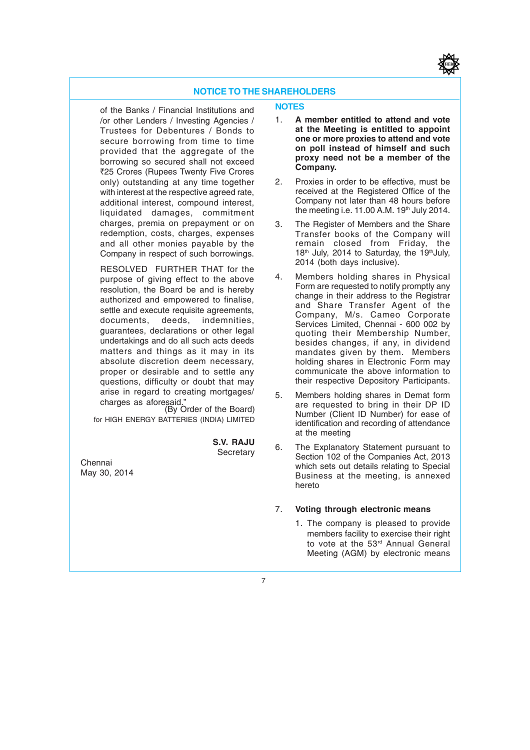#### **NOTICE TO THE SHAREHOLDERS**

of the Banks / Financial Institutions and /or other Lenders / Investing Agencies / Trustees for Debentures / Bonds to secure borrowing from time to time provided that the aggregate of the borrowing so secured shall not exceed `25 Crores (Rupees Twenty Five Crores only) outstanding at any time together with interest at the respective agreed rate. additional interest, compound interest, liquidated damages, commitment charges, premia on prepayment or on redemption, costs, charges, expenses and all other monies payable by the Company in respect of such borrowings.

RESOLVED FURTHER THAT for the purpose of giving effect to the above resolution, the Board be and is hereby authorized and empowered to finalise, settle and execute requisite agreements,<br>documents, deeds, indemnities, deeds, indemnities, guarantees, declarations or other legal undertakings and do all such acts deeds matters and things as it may in its absolute discretion deem necessary, proper or desirable and to settle any questions, difficulty or doubt that may arise in regard to creating mortgages/ charges as aforesaid."

(By Order of the Board) for HIGH ENERGY BATTERIES (INDIA) LIMITED

> **S.V. RAJU Secretary**

Chennai May 30, 2014

#### **NOTES**

- 1. **A member entitled to attend and vote at the Meeting is entitled to appoint one or more proxies to attend and vote on poll instead of himself and such proxy need not be a member of the Company.**
- 2. Proxies in order to be effective, must be received at the Registered Office of the Company not later than 48 hours before the meeting i.e.  $11.00$  A.M.  $19<sup>th</sup>$  July 2014.
- 3. The Register of Members and the Share Transfer books of the Company will remain closed from Friday, the 18<sup>th</sup> July, 2014 to Saturday, the 19<sup>th</sup> July, 2014 (both days inclusive).
- 4. Members holding shares in Physical Form are requested to notify promptly any change in their address to the Registrar and Share Transfer Agent of the Company, M/s. Cameo Corporate Services Limited, Chennai - 600 002 by quoting their Membership Number, besides changes, if any, in dividend mandates given by them. Members holding shares in Electronic Form may communicate the above information to their respective Depository Participants.
- 5. Members holding shares in Demat form are requested to bring in their DP ID Number (Client ID Number) for ease of identification and recording of attendance at the meeting
- 6. The Explanatory Statement pursuant to Section 102 of the Companies Act, 2013 which sets out details relating to Special Business at the meeting, is annexed hereto

#### 7. **Voting through electronic means**

1. The company is pleased to provide members facility to exercise their right to vote at the 53<sup>rd</sup> Annual General Meeting (AGM) by electronic means

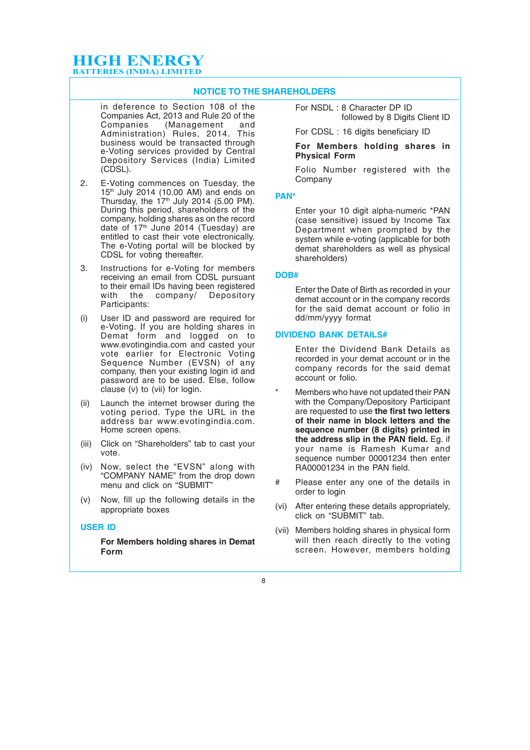#### **NOTICE TO THE SHAREHOLDERS**

in deference to Section 108 of the Companies Act, 2013 and Rule 20 of the Companies (Management and Administration) Rules, 2014. This business would be transacted through e-Voting services provided by Central Depository Services (India) Limited (CDSL).

- 2. E-Voting commences on Tuesday, the  $15<sup>th</sup>$  July 2014 (10.00 AM) and ends on Thursday, the  $17<sup>th</sup>$  July 2014 (5.00 PM). During this period, shareholders of the company, holding shares as on the record date of 17<sup>th</sup> June 2014 (Tuesday) are entitled to cast their vote electronically. The e-Voting portal will be blocked by CDSL for voting thereafter.
- 3. Instructions for e-Voting for members receiving an email from CDSL pursuant to their email IDs having been registered with the company/ Depository Participants:
- (i) User ID and password are required for e-Voting. If you are holding shares in Demat form and logged on to www.evotingindia.com and casted your vote earlier for Electronic Voting Sequence Number (EVSN) of any company, then your existing login id and password are to be used. Else, follow clause (v) to (vii) for login.
- (ii) Launch the internet browser during the voting period. Type the URL in the address bar www.evotingindia.com. Home screen opens.
- (iii) Click on "Shareholders" tab to cast your vote.
- (iv) Now, select the "EVSN" along with "COMPANY NAME" from the drop down menu and click on "SUBMIT"
- (v) Now, fill up the following details in the appropriate boxes

#### **USER ID**

**For Members holding shares in Demat Form**

For NSDL : 8 Character DP ID followed by 8 Digits Client ID

For CDSL : 16 digits beneficiary ID

#### **For Members holding shares in Physical Form**

Folio Number registered with the Company

#### **PAN\***

Enter your 10 digit alpha-numeric \*PAN (case sensitive) issued by Income Tax Department when prompted by the system while e-voting (applicable for both demat shareholders as well as physical shareholders)

#### **DOB#**

Enter the Date of Birth as recorded in your demat account or in the company records for the said demat account or folio in dd/mm/yyyy format

#### **DIVIDEND BANK DETAILS#**

Enter the Dividend Bank Details as recorded in your demat account or in the company records for the said demat account or folio.

- Members who have not updated their PAN with the Company/Depository Participant are requested to use **the first two letters of their name in block letters and the sequence number (8 digits) printed in the address slip in the PAN field.** Eg. if your name is Ramesh Kumar and sequence number 00001234 then enter RA00001234 in the PAN field.
- # Please enter any one of the details in order to login
- (vi) After entering these details appropriately, click on "SUBMIT" tab.
- (vii) Members holding shares in physical form will then reach directly to the voting screen. However, members holding

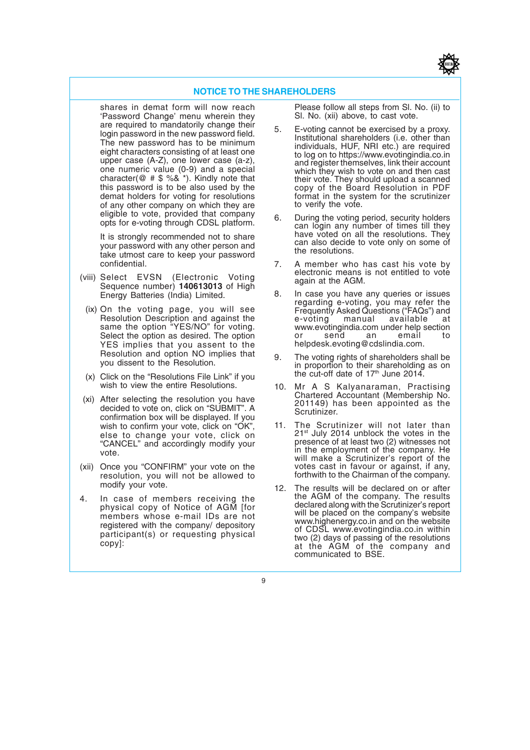#### **NOTICE TO THE SHAREHOLDERS**

shares in demat form will now reach 'Password Change' menu wherein they are required to mandatorily change their login password in the new password field. The new password has to be minimum eight characters consisting of at least one upper case (A-Z), one lower case (a-z), one numeric value (0-9) and a special character( $@$  #  $\$$  %&  $*$ ). Kindly note that this password is to be also used by the demat holders for voting for resolutions of any other company on which they are eligible to vote, provided that company opts for e-voting through CDSL platform.

It is strongly recommended not to share your password with any other person and take utmost care to keep your password confidential.

- (viii) Select EVSN (Electronic Voting Sequence number) **140613013** of High Energy Batteries (India) Limited.
	- (ix) On the voting page, you will see Resolution Description and against the same the option "YES/NO" for voting. Select the option as desired. The option YES implies that you assent to the Resolution and option NO implies that you dissent to the Resolution.
	- (x) Click on the "Resolutions File Link" if you wish to view the entire Resolutions.
- (xi) After selecting the resolution you have decided to vote on, click on "SUBMIT". A confirmation box will be displayed. If you wish to confirm your vote, click on "OK", else to change your vote, click on "CANCEL" and accordingly modify your vote.
- (xii) Once you "CONFIRM" your vote on the resolution, you will not be allowed to modify your vote.
- 4. In case of members receiving the physical copy of Notice of AGM [for members whose e-mail IDs are not registered with the company/ depository participant(s) or requesting physical copy]:

Please follow all steps from Sl. No. (ii) to Sl. No. (xii) above, to cast vote.

- 5. E-voting cannot be exercised by a proxy. Institutional shareholders (i.e. other than individuals, HUF, NRI etc.) are required to log on to https://www.evotingindia.co.in and register themselves, link their account which they wish to vote on and then cast their vote. They should upload a scanned copy of the Board Resolution in PDF format in the system for the scrutinizer to verify the vote.
- 6. During the voting period, security holders can login any number of times till they have voted on all the resolutions. They can also decide to vote only on some of the resolutions.
- 7. A member who has cast his vote by electronic means is not entitled to vote again at the AGM.
- 8. In case you have any queries or issues regarding e-voting, you may refer the Frequently Asked Questions ("FAQs") and e-voting manual available at www.evotingindia.com under help section or send an email to helpdesk.evoting@cdslindia.com.
- 9. The voting rights of shareholders shall be in proportion to their shareholding as on the cut-off date of 17<sup>th</sup> June 2014.
- 10. Mr A S Kalyanaraman, Practising Chartered Accountant (Membership No. 201149) has been appointed as the Scrutinizer.
- 11. The Scrutinizer will not later than 21st July 2014 unblock the votes in the presence of at least two (2) witnesses not in the employment of the company. He will make a Scrutinizer's report of the votes cast in favour or against, if any, forthwith to the Chairman of the company.
- 12. The results will be declared on or after the AGM of the company. The results declared along with the Scrutinizer's report will be placed on the company's website www.highenergy.co.in and on the website of CDSL www.evotingindia.co.in within two (2) days of passing of the resolutions at the AGM of the company and communicated to BSE.

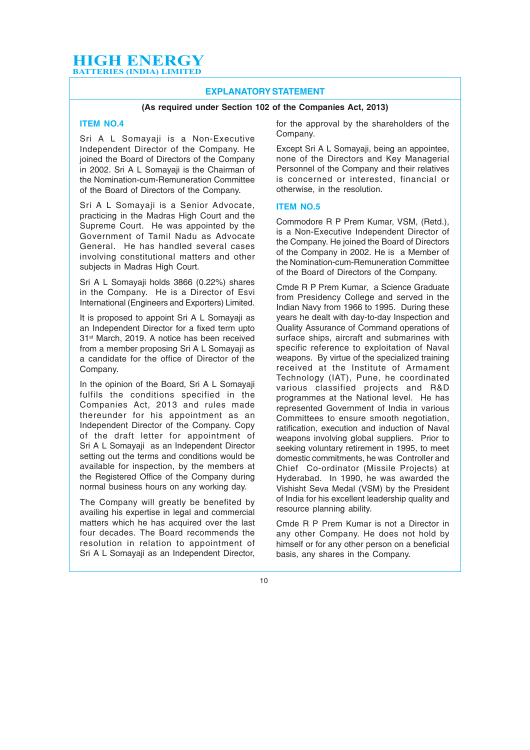#### **EXPLANATORY STATEMENT**

#### **(As required under Section 102 of the Companies Act, 2013)**

#### **ITEM NO.4**

Sri A L Somayaji is a Non-Executive Independent Director of the Company. He joined the Board of Directors of the Company in 2002. Sri A L Somayaji is the Chairman of the Nomination-cum-Remuneration Committee of the Board of Directors of the Company.

Sri A L Somayaji is a Senior Advocate, practicing in the Madras High Court and the Supreme Court. He was appointed by the Government of Tamil Nadu as Advocate General. He has handled several cases involving constitutional matters and other subjects in Madras High Court.

Sri A L Somayaji holds 3866 (0.22%) shares in the Company. He is a Director of Esvi International (Engineers and Exporters) Limited.

It is proposed to appoint Sri A L Somayaji as an Independent Director for a fixed term upto 31st March, 2019. A notice has been received from a member proposing Sri A L Somayaji as a candidate for the office of Director of the Company.

In the opinion of the Board, Sri A L Somayaji fulfils the conditions specified in the Companies Act, 2013 and rules made thereunder for his appointment as an Independent Director of the Company. Copy of the draft letter for appointment of Sri A L Somayaji as an Independent Director setting out the terms and conditions would be available for inspection, by the members at the Registered Office of the Company during normal business hours on any working day.

The Company will greatly be benefited by availing his expertise in legal and commercial matters which he has acquired over the last four decades. The Board recommends the resolution in relation to appointment of Sri A L Somayaji as an Independent Director,

for the approval by the shareholders of the Company.

Except Sri A L Somayaji, being an appointee, none of the Directors and Key Managerial Personnel of the Company and their relatives is concerned or interested, financial or otherwise, in the resolution.

#### **ITEM NO.5**

Commodore R P Prem Kumar, VSM, (Retd.), is a Non-Executive Independent Director of the Company. He joined the Board of Directors of the Company in 2002. He is a Member of the Nomination-cum-Remuneration Committee of the Board of Directors of the Company.

Cmde R P Prem Kumar, a Science Graduate from Presidency College and served in the Indian Navy from 1966 to 1995. During these years he dealt with day-to-day Inspection and Quality Assurance of Command operations of surface ships, aircraft and submarines with specific reference to exploitation of Naval weapons. By virtue of the specialized training received at the Institute of Armament Technology (IAT), Pune, he coordinated various classified projects and R&D programmes at the National level. He has represented Government of India in various Committees to ensure smooth negotiation. ratification, execution and induction of Naval weapons involving global suppliers. Prior to seeking voluntary retirement in 1995, to meet domestic commitments, he was Controller and Chief Co-ordinator (Missile Projects) at Hyderabad. In 1990, he was awarded the Vishisht Seva Medal (VSM) by the President of India for his excellent leadership quality and resource planning ability.

Cmde R P Prem Kumar is not a Director in any other Company. He does not hold by himself or for any other person on a beneficial basis, any shares in the Company.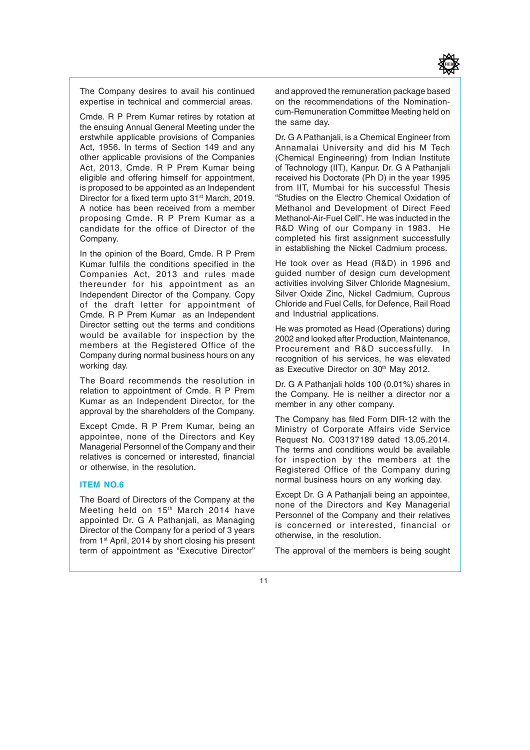

The Company desires to avail his continued expertise in technical and commercial areas.

Cmde. R P Prem Kumar retires by rotation at the ensuing Annual General Meeting under the erstwhile applicable provisions of Companies Act, 1956. In terms of Section 149 and any other applicable provisions of the Companies Act, 2013, Cmde. R P Prem Kumar being eligible and offering himself for appointment, is proposed to be appointed as an Independent Director for a fixed term upto 31<sup>st</sup> March, 2019. A notice has been received from a member proposing Cmde. R P Prem Kumar as a candidate for the office of Director of the Company.

In the opinion of the Board, Cmde. R P Prem Kumar fulfils the conditions specified in the Companies Act, 2013 and rules made thereunder for his appointment as an Independent Director of the Company. Copy of the draft letter for appointment of Cmde. R P Prem Kumar as an Independent Director setting out the terms and conditions would be available for inspection by the members at the Registered Office of the Company during normal business hours on any working day.

The Board recommends the resolution in relation to appointment of Cmde. R P Prem Kumar as an Independent Director, for the approval by the shareholders of the Company.

Except Cmde. R P Prem Kumar, being an appointee, none of the Directors and Key Managerial Personnel of the Company and their relatives is concerned or interested, financial or otherwise, in the resolution.

#### **ITEM NO.6**

The Board of Directors of the Company at the Meeting held on 15<sup>th</sup> March 2014 have appointed Dr. G A Pathanjali, as Managing Director of the Company for a period of 3 years from 1<sup>st</sup> April, 2014 by short closing his present term of appointment as "Executive Director"

and approved the remuneration package based on the recommendations of the Nominationcum-Remuneration Committee Meeting held on the same day.

Dr. G A Pathanjali, is a Chemical Engineer from Annamalai University and did his M Tech (Chemical Engineering) from Indian Institute of Technology (IIT), Kanpur. Dr. G A Pathanjali received his Doctorate (Ph D) in the year 1995 from IIT, Mumbai for his successful Thesis "Studies on the Electro Chemical Oxidation of Methanol and Development of Direct Feed Methanol-Air-Fuel Cell". He was inducted in the R&D Wing of our Company in 1983. He completed his first assignment successfully in establishing the Nickel Cadmium process.

He took over as Head (R&D) in 1996 and guided number of design cum development activities involving Silver Chloride Magnesium, Silver Oxide Zinc, Nickel Cadmium, Cuprous Chloride and Fuel Cells, for Defence, Rail Road and Industrial applications.

He was promoted as Head (Operations) during 2002 and looked after Production, Maintenance, Procurement and R&D successfully. In recognition of his services, he was elevated as Executive Director on 30<sup>th</sup> May 2012.

Dr. G A Pathanjali holds 100 (0.01%) shares in the Company. He is neither a director nor a member in any other company.

The Company has filed Form DIR-12 with the Ministry of Corporate Affairs vide Service Request No. C03137189 dated 13.05.2014. The terms and conditions would be available for inspection by the members at the Registered Office of the Company during normal business hours on any working day.

Except Dr. G A Pathanjali being an appointee, none of the Directors and Key Managerial Personnel of the Company and their relatives is concerned or interested, financial or otherwise, in the resolution.

The approval of the members is being sought

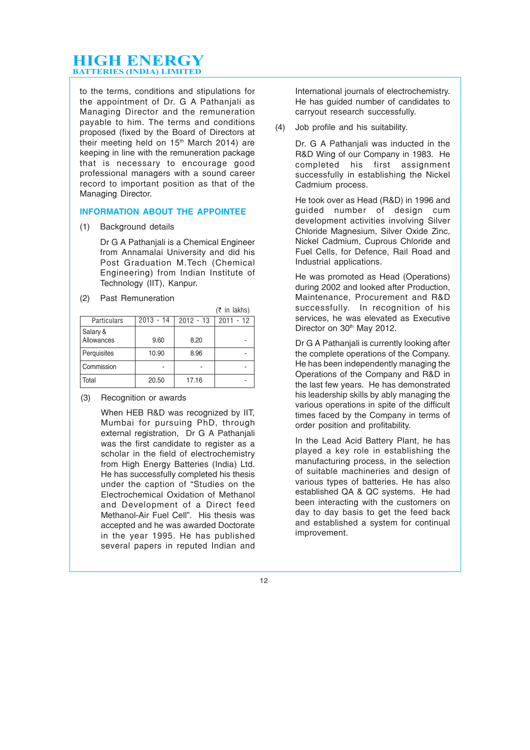to the terms, conditions and stipulations for the appointment of Dr. G A Pathanjali as Managing Director and the remuneration payable to him. The terms and conditions proposed (fixed by the Board of Directors at their meeting held on 15<sup>th</sup> March 2014) are keeping in line with the remuneration package that is necessary to encourage good professional managers with a sound career record to important position as that of the Managing Director.

#### **INFORMATION ABOUT THE APPOINTEE**

(1) Background details

Dr G A Pathanjali is a Chemical Engineer from Annamalai University and did his Post Graduation M.Tech (Chemical Engineering) from Indian Institute of Technology (IIT), Kanpur.

(2) Past Remuneration

|                        |             |             | $(5$ in lakhs) |
|------------------------|-------------|-------------|----------------|
| <b>Particulars</b>     | $2013 - 14$ | $2012 - 13$ | $2011 - 12$    |
| Salary &<br>Allowances | 9.60        | 8.20        |                |
| Perquisites            | 10.90       | 8.96        |                |
| Commission             |             |             |                |
| Total                  | 20.50       | 17.16       |                |

(3) Recognition or awards

When HEB R&D was recognized by IIT, Mumbai for pursuing PhD, through external registration, Dr G A Pathanjali was the first candidate to register as a scholar in the field of electrochemistry from High Energy Batteries (India) Ltd. He has successfully completed his thesis under the caption of "Studies on the Electrochemical Oxidation of Methanol and Development of a Direct feed Methanol-Air Fuel Cell". His thesis was accepted and he was awarded Doctorate in the year 1995. He has published several papers in reputed Indian and

International journals of electrochemistry. He has guided number of candidates to carryout research successfully.

(4) Job profile and his suitability.

Dr. G A Pathanjali was inducted in the R&D Wing of our Company in 1983. He completed his first assignment successfully in establishing the Nickel Cadmium process.

He took over as Head (R&D) in 1996 and guided number of design cum development activities involving Silver Chloride Magnesium, Silver Oxide Zinc, Nickel Cadmium, Cuprous Chloride and Fuel Cells, for Defence, Rail Road and Industrial applications.

He was promoted as Head (Operations) during 2002 and looked after Production, Maintenance, Procurement and R&D successfully. In recognition of his services, he was elevated as Executive Director on 30<sup>th</sup> May 2012.

Dr G A Pathanjali is currently looking after the complete operations of the Company. He has been independently managing the Operations of the Company and R&D in the last few years. He has demonstrated his leadership skills by ably managing the various operations in spite of the difficult times faced by the Company in terms of order position and profitability.

In the Lead Acid Battery Plant, he has played a key role in establishing the manufacturing process, in the selection of suitable machineries and design of various types of batteries. He has also established QA & QC systems. He had been interacting with the customers on day to day basis to get the feed back and established a system for continual improvement.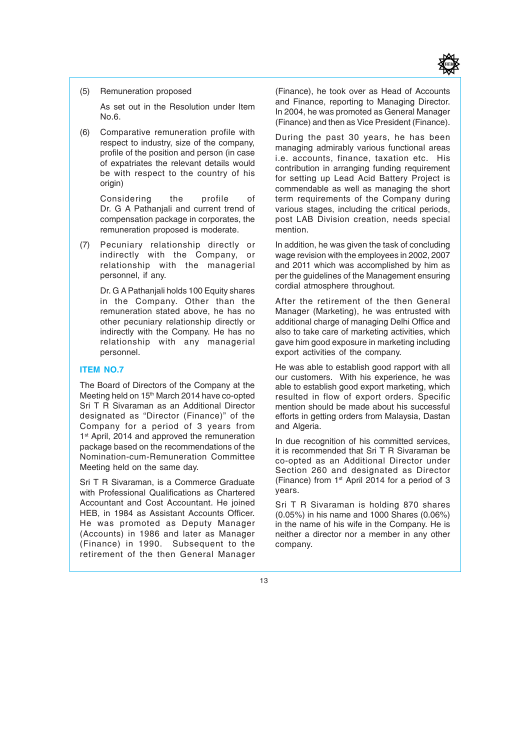

(5) Remuneration proposed

As set out in the Resolution under Item No.6.

(6) Comparative remuneration profile with respect to industry, size of the company, profile of the position and person (in case of expatriates the relevant details would be with respect to the country of his origin)

> Considering the profile of Dr. G A Pathanjali and current trend of compensation package in corporates, the remuneration proposed is moderate.

(7) Pecuniary relationship directly or indirectly with the Company, or relationship with the managerial personnel, if any.

> Dr. G A Pathanjali holds 100 Equity shares in the Company. Other than the remuneration stated above, he has no other pecuniary relationship directly or indirectly with the Company. He has no relationship with any managerial personnel.

#### **ITEM NO.7**

The Board of Directors of the Company at the Meeting held on 15<sup>th</sup> March 2014 have co-opted Sri T R Sivaraman as an Additional Director designated as "Director (Finance)" of the Company for a period of 3 years from 1<sup>st</sup> April, 2014 and approved the remuneration package based on the recommendations of the Nomination-cum-Remuneration Committee Meeting held on the same day.

Sri T R Sivaraman, is a Commerce Graduate with Professional Qualifications as Chartered Accountant and Cost Accountant. He joined HEB, in 1984 as Assistant Accounts Officer. He was promoted as Deputy Manager (Accounts) in 1986 and later as Manager (Finance) in 1990. Subsequent to the retirement of the then General Manager (Finance), he took over as Head of Accounts and Finance, reporting to Managing Director. In 2004, he was promoted as General Manager (Finance) and then as Vice President (Finance).

During the past 30 years, he has been managing admirably various functional areas i.e. accounts, finance, taxation etc. His contribution in arranging funding requirement for setting up Lead Acid Battery Project is commendable as well as managing the short term requirements of the Company during various stages, including the critical periods, post LAB Division creation, needs special mention.

In addition, he was given the task of concluding wage revision with the employees in 2002, 2007 and 2011 which was accomplished by him as per the guidelines of the Management ensuring cordial atmosphere throughout.

After the retirement of the then General Manager (Marketing), he was entrusted with additional charge of managing Delhi Office and also to take care of marketing activities, which gave him good exposure in marketing including export activities of the company.

He was able to establish good rapport with all our customers. With his experience, he was able to establish good export marketing, which resulted in flow of export orders. Specific mention should be made about his successful efforts in getting orders from Malaysia, Dastan and Algeria.

In due recognition of his committed services, it is recommended that Sri T R Sivaraman be co-opted as an Additional Director under Section 260 and designated as Director (Finance) from 1st April 2014 for a period of 3 years.

Sri T R Sivaraman is holding 870 shares (0.05%) in his name and 1000 Shares (0.06%) in the name of his wife in the Company. He is neither a director nor a member in any other company.

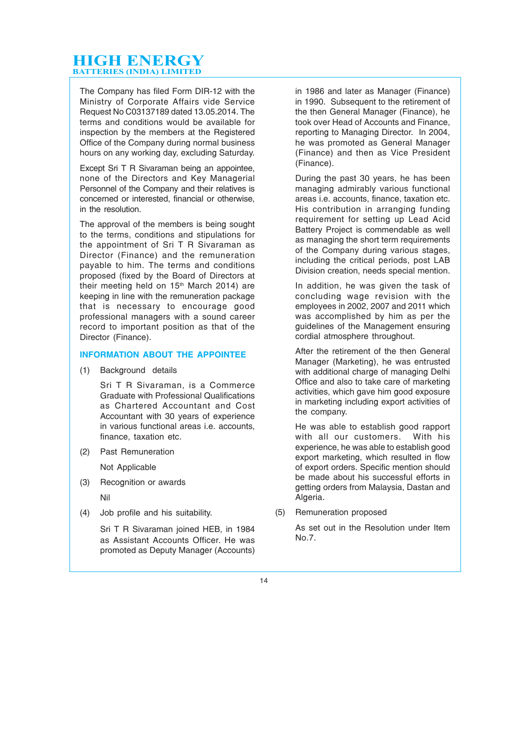The Company has filed Form DIR-12 with the Ministry of Corporate Affairs vide Service Request No C03137189 dated 13.05.2014. The terms and conditions would be available for inspection by the members at the Registered Office of the Company during normal business hours on any working day, excluding Saturday.

Except Sri T R Sivaraman being an appointee, none of the Directors and Key Managerial Personnel of the Company and their relatives is concerned or interested, financial or otherwise, in the resolution.

The approval of the members is being sought to the terms, conditions and stipulations for the appointment of Sri T R Sivaraman as Director (Finance) and the remuneration payable to him. The terms and conditions proposed (fixed by the Board of Directors at their meeting held on 15<sup>th</sup> March 2014) are keeping in line with the remuneration package that is necessary to encourage good professional managers with a sound career record to important position as that of the Director (Finance).

#### **INFORMATION ABOUT THE APPOINTEE**

(1) Background details

Sri T R Sivaraman, is a Commerce Graduate with Professional Qualifications as Chartered Accountant and Cost Accountant with 30 years of experience in various functional areas i.e. accounts, finance, taxation etc.

(2) Past Remuneration

Not Applicable

(3) Recognition or awards

Nil

(4) Job profile and his suitability.

Sri T R Sivaraman joined HEB, in 1984 as Assistant Accounts Officer. He was promoted as Deputy Manager (Accounts) in 1986 and later as Manager (Finance) in 1990. Subsequent to the retirement of the then General Manager (Finance), he took over Head of Accounts and Finance, reporting to Managing Director. In 2004, he was promoted as General Manager (Finance) and then as Vice President (Finance).

During the past 30 years, he has been managing admirably various functional areas i.e. accounts, finance, taxation etc. His contribution in arranging funding requirement for setting up Lead Acid Battery Project is commendable as well as managing the short term requirements of the Company during various stages, including the critical periods, post LAB Division creation, needs special mention.

In addition, he was given the task of concluding wage revision with the employees in 2002, 2007 and 2011 which was accomplished by him as per the guidelines of the Management ensuring cordial atmosphere throughout.

After the retirement of the then General Manager (Marketing), he was entrusted with additional charge of managing Delhi Office and also to take care of marketing activities, which gave him good exposure in marketing including export activities of the company.

He was able to establish good rapport with all our customers. With his experience, he was able to establish good export marketing, which resulted in flow of export orders. Specific mention should be made about his successful efforts in getting orders from Malaysia, Dastan and Algeria.

(5) Remuneration proposed

As set out in the Resolution under Item No.7.

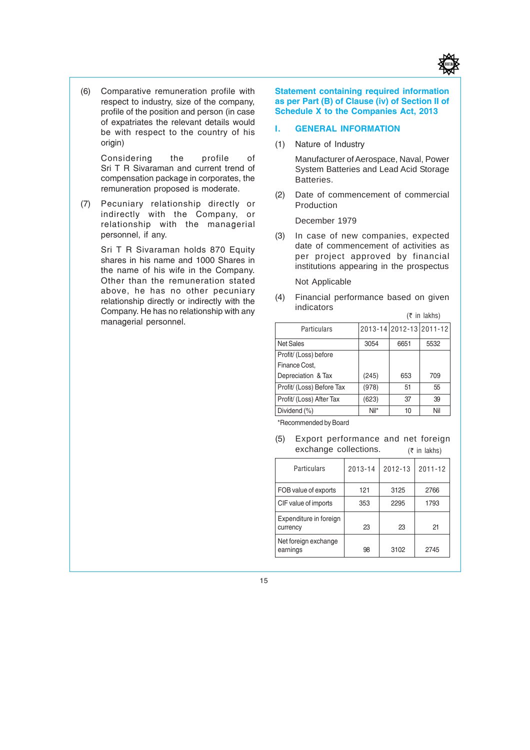

(6) Comparative remuneration profile with respect to industry, size of the company, profile of the position and person (in case of expatriates the relevant details would be with respect to the country of his origin)

> Considering the profile of Sri T R Sivaraman and current trend of compensation package in corporates, the remuneration proposed is moderate.

(7) Pecuniary relationship directly or indirectly with the Company, or relationship with the managerial personnel, if any.

> Sri T R Sivaraman holds 870 Equity shares in his name and 1000 Shares in the name of his wife in the Company. Other than the remuneration stated above, he has no other pecuniary relationship directly or indirectly with the Company. He has no relationship with any managerial personnel.

**Statement containing required information as per Part (B) of Clause (iv) of Section II of Schedule X to the Companies Act, 2013**

#### **I. GENERAL INFORMATION**

(1) Nature of Industry

Manufacturer of Aerospace, Naval, Power System Batteries and Lead Acid Storage Batteries.

(2) Date of commencement of commercial Production

December 1979

- (3) In case of new companies, expected date of commencement of activities as per project approved by financial institutions appearing in the prospectus Not Applicable
- (4) Financial performance based on given indicators

| <b>Particulars</b>        |       | 2013-14 2012-13 2011-12 |      |
|---------------------------|-------|-------------------------|------|
| <b>Net Sales</b>          | 3054  | 6651                    | 5532 |
| Profit/ (Loss) before     |       |                         |      |
| Finance Cost.             |       |                         |      |
| Depreciation & Tax        | (245) | 653                     | 709  |
| Profit/ (Loss) Before Tax | (978) | 51                      | 55   |
| Profit/ (Loss) After Tax  | (623) | 37                      | 39   |
| Dividend (%)              | Nil*  | 10                      | Nil  |

 $($ ₹ in lakhs)

\*Recommended by Board

 $(5$  in lakhs) (5) Export performance and net foreign exchange collections.

| Particulars                        | 2013-14     | 2012-13 | $2011 - 12$ |  |
|------------------------------------|-------------|---------|-------------|--|
| FOB value of exports               | 121         | 3125    | 2766        |  |
| CIF value of imports               | 2295<br>353 |         | 1793        |  |
| Expenditure in foreign<br>currency | 23          | 23      | 21          |  |
| Net foreign exchange<br>earnings   | 98          | 3102    | 2745        |  |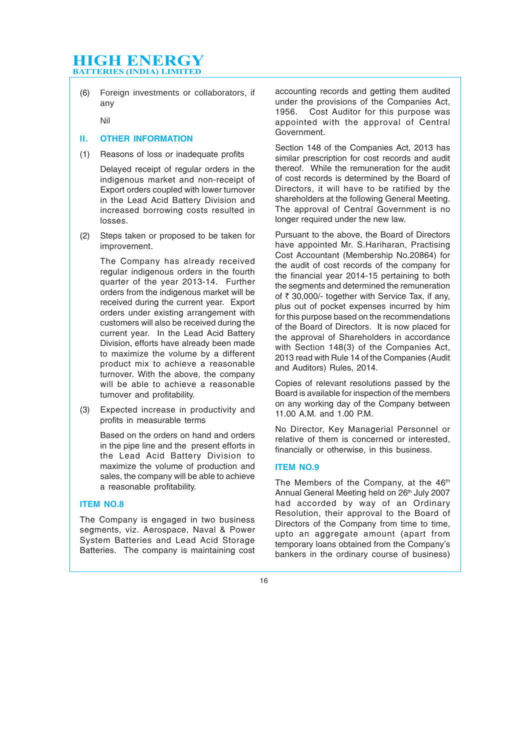(6) Foreign investments or collaborators, if any

Nil

#### **II. OTHER INFORMATION**

(1) Reasons of loss or inadequate profits

Delayed receipt of regular orders in the indigenous market and non-receipt of Export orders coupled with lower turnover in the Lead Acid Battery Division and increased borrowing costs resulted in losses.

(2) Steps taken or proposed to be taken for improvement.

> The Company has already received regular indigenous orders in the fourth quarter of the year 2013-14. Further orders from the indigenous market will be received during the current year. Export orders under existing arrangement with customers will also be received during the current year. In the Lead Acid Battery Division, efforts have already been made to maximize the volume by a different product mix to achieve a reasonable turnover. With the above, the company will be able to achieve a reasonable turnover and profitability.

(3) Expected increase in productivity and profits in measurable terms

> Based on the orders on hand and orders in the pipe line and the present efforts in the Lead Acid Battery Division to maximize the volume of production and sales, the company will be able to achieve a reasonable profitability.

#### **ITEM NO.8**

The Company is engaged in two business segments, viz. Aerospace, Naval & Power System Batteries and Lead Acid Storage Batteries. The company is maintaining cost accounting records and getting them audited under the provisions of the Companies Act,<br>1956. Cost Auditor for this purpose was Cost Auditor for this purpose was appointed with the approval of Central Government.

Section 148 of the Companies Act, 2013 has similar prescription for cost records and audit thereof. While the remuneration for the audit of cost records is determined by the Board of Directors, it will have to be ratified by the shareholders at the following General Meeting. The approval of Central Government is no longer required under the new law.

Pursuant to the above, the Board of Directors have appointed Mr. S.Hariharan, Practising Cost Accountant (Membership No.20864) for the audit of cost records of the company for the financial year 2014-15 pertaining to both the segments and determined the remuneration of  $\bar{\tau}$  30,000/- together with Service Tax, if any, plus out of pocket expenses incurred by him for this purpose based on the recommendations of the Board of Directors. It is now placed for the approval of Shareholders in accordance with Section 148(3) of the Companies Act, 2013 read with Rule 14 of the Companies (Audit and Auditors) Rules, 2014.

Copies of relevant resolutions passed by the Board is available for inspection of the members on any working day of the Company between 11.00 A.M. and 1.00 P.M.

No Director, Key Managerial Personnel or relative of them is concerned or interested, financially or otherwise, in this business.

#### **ITEM NO.9**

The Members of the Company, at the 46<sup>th</sup> Annual General Meeting held on 26th July 2007 had accorded by way of an Ordinary Resolution, their approval to the Board of Directors of the Company from time to time, upto an aggregate amount (apart from temporary loans obtained from the Company's bankers in the ordinary course of business)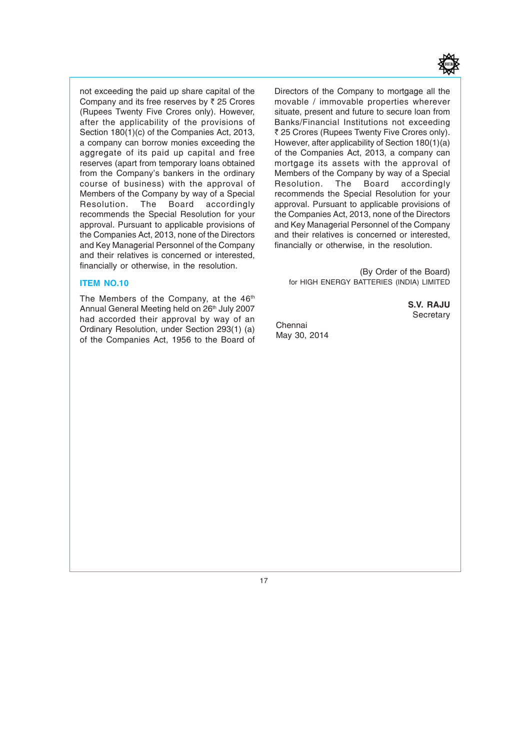

not exceeding the paid up share capital of the Company and its free reserves by  $\bar{z}$  25 Crores (Rupees Twenty Five Crores only). However, after the applicability of the provisions of Section 180(1)(c) of the Companies Act, 2013, a company can borrow monies exceeding the aggregate of its paid up capital and free reserves (apart from temporary loans obtained from the Company's bankers in the ordinary course of business) with the approval of Members of the Company by way of a Special<br>Resolution. The Board accordingly Board accordingly recommends the Special Resolution for your approval. Pursuant to applicable provisions of the Companies Act, 2013, none of the Directors and Key Managerial Personnel of the Company and their relatives is concerned or interested, financially or otherwise, in the resolution.

#### **ITEM NO.10**

The Members of the Company, at the 46<sup>th</sup> Annual General Meeting held on 26<sup>th</sup> July 2007 had accorded their approval by way of an Ordinary Resolution, under Section 293(1) (a) of the Companies Act, 1956 to the Board of Directors of the Company to mortgage all the movable / immovable properties wherever situate, present and future to secure loan from Banks/Financial Institutions not exceeding ₹ 25 Crores (Rupees Twenty Five Crores only). However, after applicability of Section 180(1)(a) of the Companies Act, 2013, a company can mortgage its assets with the approval of Members of the Company by way of a Special<br>Resolution. The Board accordingly accordingly recommends the Special Resolution for your approval. Pursuant to applicable provisions of the Companies Act, 2013, none of the Directors and Key Managerial Personnel of the Company and their relatives is concerned or interested, financially or otherwise, in the resolution.

(By Order of the Board) for HIGH ENERGY BATTERIES (INDIA) LIMITED

> **S.V. RAJU Secretary**

Chennai May 30, 2014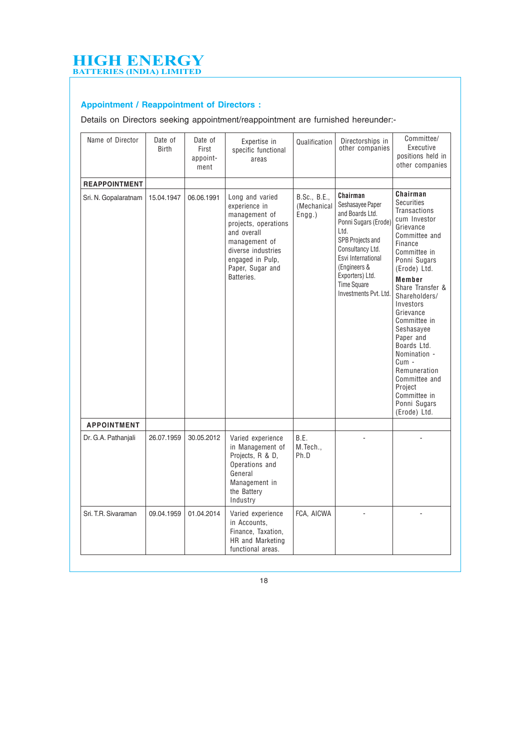## **Appointment / Reappointment of Directors :**

Details on Directors seeking appointment/reappointment are furnished hereunder:-

| Name of Director     | Date of<br><b>Birth</b> | Date of<br>First<br>appoint-<br>ment | Expertise in<br>specific functional<br>areas                                                                                                                                          | Qualification                         | Directorships in<br>other companies                                                                                                                                                                                             | Committee/<br>Executive<br>positions held in<br>other companies                                                                                                                                                                                                                                                                                                                                                |
|----------------------|-------------------------|--------------------------------------|---------------------------------------------------------------------------------------------------------------------------------------------------------------------------------------|---------------------------------------|---------------------------------------------------------------------------------------------------------------------------------------------------------------------------------------------------------------------------------|----------------------------------------------------------------------------------------------------------------------------------------------------------------------------------------------------------------------------------------------------------------------------------------------------------------------------------------------------------------------------------------------------------------|
| <b>REAPPOINTMENT</b> |                         |                                      |                                                                                                                                                                                       |                                       |                                                                                                                                                                                                                                 |                                                                                                                                                                                                                                                                                                                                                                                                                |
| Sri. N. Gopalaratnam | 15.04.1947              | 06.06.1991                           | Long and varied<br>experience in<br>management of<br>projects, operations<br>and overall<br>management of<br>diverse industries<br>engaged in Pulp,<br>Paper, Sugar and<br>Batteries. | B.Sc., B.E.,<br>(Mechanical<br>Engg.) | Chairman<br>Seshasayee Paper<br>and Boards Ltd.<br>Ponni Sugars (Erode)<br>Ltd.<br>SPB Projects and<br>Consultancy Ltd.<br>Esvi International<br>(Engineers &<br>Exporters) Ltd.<br><b>Time Square</b><br>Investments Pvt. Ltd. | Chairman<br><b>Securities</b><br>Transactions<br>cum Investor<br>Grievance<br>Committee and<br>Finance<br>Committee in<br>Ponni Sugars<br>(Erode) Ltd.<br>Member<br>Share Transfer &<br>Shareholders/<br>Investors<br>Grievance<br>Committee in<br>Seshasayee<br>Paper and<br>Boards Ltd.<br>Nomination -<br>Cum -<br>Remuneration<br>Committee and<br>Project<br>Committee in<br>Ponni Sugars<br>(Erode) Ltd. |
| <b>APPOINTMENT</b>   |                         |                                      |                                                                                                                                                                                       |                                       |                                                                                                                                                                                                                                 |                                                                                                                                                                                                                                                                                                                                                                                                                |
| Dr. G.A. Pathanjali  | 26.07.1959              | 30.05.2012                           | Varied experience<br>in Management of<br>Projects, R & D,<br>Operations and<br>General<br>Management in<br>the Battery<br>Industry                                                    | B.E.<br>M.Tech.,<br>Ph.D              |                                                                                                                                                                                                                                 |                                                                                                                                                                                                                                                                                                                                                                                                                |
| Sri, T.R. Sivaraman  | 09.04.1959              | 01.04.2014                           | Varied experience<br>in Accounts.<br>Finance, Taxation,<br>HR and Marketing<br>functional areas.                                                                                      | FCA, AICWA                            |                                                                                                                                                                                                                                 |                                                                                                                                                                                                                                                                                                                                                                                                                |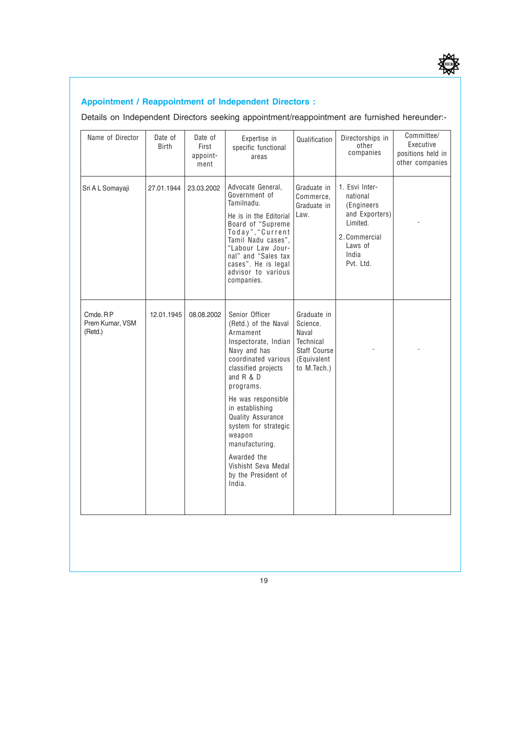

## **Appointment / Reappointment of Independent Directors :**

Details on Independent Directors seeking appointment/reappointment are furnished hereunder:-

| Name of Director                       | Date of<br><b>Birth</b> | Date of<br>First<br>appoint-<br>ment | Expertise in<br>specific functional<br>areas                                                                                                                                                                                                                                                                                                                         | Qualification                                                                               | Directorships in<br>other<br>companies                                                                                    | Committee/<br>Executive<br>positions held in<br>other companies |
|----------------------------------------|-------------------------|--------------------------------------|----------------------------------------------------------------------------------------------------------------------------------------------------------------------------------------------------------------------------------------------------------------------------------------------------------------------------------------------------------------------|---------------------------------------------------------------------------------------------|---------------------------------------------------------------------------------------------------------------------------|-----------------------------------------------------------------|
| Sri A L Somayaji                       | 27.01.1944              | 23.03.2002                           | Advocate General,<br>Government of<br>Tamilnadu.<br>He is in the Editorial<br>Board of "Supreme<br>Today", "Current<br>Tamil Nadu cases",<br>"Labour Law Jour-<br>nal" and "Sales tax<br>cases". He is legal<br>advisor to various<br>companies.                                                                                                                     | Graduate in<br>Commerce,<br>Graduate in<br>Law.                                             | 1. Esvi Inter-<br>national<br>(Engineers)<br>and Exporters)<br>Limited.<br>2. Commercial<br>Laws of<br>India<br>Pvt. Ltd. |                                                                 |
| Cmde. RP<br>Prem Kumar, VSM<br>(Retd.) | 12.01.1945              | 08.08.2002                           | Senior Officer<br>(Retd.) of the Naval<br>Armament<br>Inspectorate, Indian<br>Navy and has<br>coordinated various<br>classified projects<br>and $R & D$<br>programs.<br>He was responsible<br>in establishing<br><b>Quality Assurance</b><br>system for strategic<br>weapon<br>manufacturing.<br>Awarded the<br>Vishisht Seva Medal<br>by the President of<br>India. | Graduate in<br>Science.<br>Naval<br>Technical<br>Staff Course<br>(Equivalent<br>to M.Tech.) |                                                                                                                           |                                                                 |
|                                        |                         |                                      |                                                                                                                                                                                                                                                                                                                                                                      |                                                                                             |                                                                                                                           |                                                                 |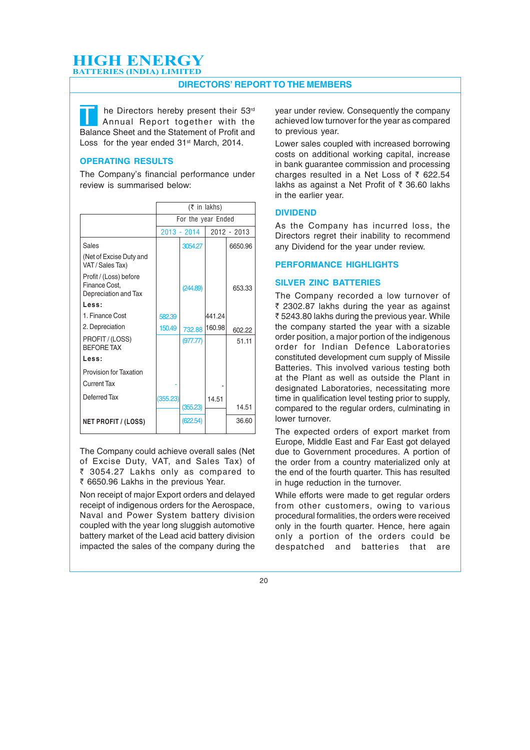#### **DIRECTORS' REPORT TO THE MEMBERS**

The Directors hereby present their 53<sup>rd</sup><br>Annual Report together with the<br>Balance Sheet and the Statement of Profit and Balance Sheet and the Statement of Profit and Loss for the year ended 31<sup>st</sup> March, 2014.

#### **OPERATING RESULTS**

The Company's financial performance under review is summarised below:

|                                                                 |                    |             | $(\bar{\tau}$ in lakhs) |             |  |
|-----------------------------------------------------------------|--------------------|-------------|-------------------------|-------------|--|
|                                                                 | For the year Ended |             |                         |             |  |
|                                                                 |                    | 2013 - 2014 |                         | 2012 - 2013 |  |
| Sales                                                           |                    | 3054.27     |                         | 6650.96     |  |
| (Net of Excise Duty and<br>VAT / Sales Tax)                     |                    |             |                         |             |  |
| Profit / (Loss) before<br>Finance Cost,<br>Depreciation and Tax |                    | (244.89)    |                         | 653.33      |  |
| Less:                                                           |                    |             |                         |             |  |
| 1. Finance Cost                                                 | 582.39             |             | 441.24                  |             |  |
| 2. Depreciation                                                 | 150.49             | 732.88      | 160.98                  | 602.22      |  |
| PROFIT / (LOSS)<br><b>BEFORE TAX</b>                            |                    | (977.77)    |                         | 51.11       |  |
| Less:                                                           |                    |             |                         |             |  |
| Provision for Taxation                                          |                    |             |                         |             |  |
| <b>Current Tax</b>                                              |                    |             |                         |             |  |
| Deferred Tax                                                    | (355.23)           |             | 14.51                   |             |  |
|                                                                 |                    | (355.23)    |                         | 14.51       |  |
| <b>NET PROFIT / (LOSS)</b>                                      |                    | (622.54)    |                         | 36.60       |  |

The Company could achieve overall sales (Net of Excise Duty, VAT, and Sales Tax) of ₹ 3054.27 Lakhs only as compared to ₹ 6650.96 Lakhs in the previous Year.

Non receipt of major Export orders and delayed receipt of indigenous orders for the Aerospace, Naval and Power System battery division coupled with the year long sluggish automotive battery market of the Lead acid battery division impacted the sales of the company during the

year under review. Consequently the company achieved low turnover for the year as compared to previous year.

Lower sales coupled with increased borrowing costs on additional working capital, increase in bank guarantee commission and processing charges resulted in a Net Loss of  $\bar{z}$  622.54 lakhs as against a Net Profit of  $\bar{\tau}$  36.60 lakhs in the earlier year.

#### **DIVIDEND**

As the Company has incurred loss, the Directors regret their inability to recommend any Dividend for the year under review.

#### **PERFORMANCE HIGHLIGHTS**

#### **SILVER ZINC BATTERIES**

The Company recorded a low turnover of ₹ 2302.87 lakhs during the year as against ₹ 5243.80 lakhs during the previous year. While the company started the year with a sizable order position, a major portion of the indigenous order for Indian Defence Laboratories constituted development cum supply of Missile Batteries. This involved various testing both at the Plant as well as outside the Plant in designated Laboratories, necessitating more time in qualification level testing prior to supply, compared to the regular orders, culminating in lower turnover.

The expected orders of export market from Europe, Middle East and Far East got delayed due to Government procedures. A portion of the order from a country materialized only at the end of the fourth quarter. This has resulted in huge reduction in the turnover.

While efforts were made to get regular orders from other customers, owing to various procedural formalities, the orders were received only in the fourth quarter. Hence, here again only a portion of the orders could be despatched and batteries that are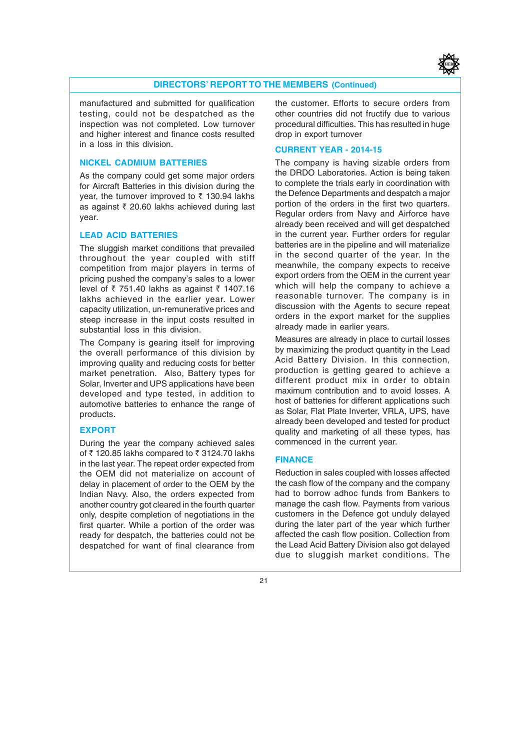

#### **DIRECTORS' REPORT TO THE MEMBERS (Continued)**

manufactured and submitted for qualification testing, could not be despatched as the inspection was not completed. Low turnover and higher interest and finance costs resulted in a loss in this division.

#### **NICKEL CADMIUM BATTERIES**

As the company could get some major orders for Aircraft Batteries in this division during the year, the turnover improved to  $\bar{\tau}$  130.94 lakhs as against  $\bar{\tau}$  20.60 lakhs achieved during last year.

#### **LEAD ACID BATTERIES**

The sluggish market conditions that prevailed throughout the year coupled with stiff competition from major players in terms of pricing pushed the company's sales to a lower level of  $\bar{\tau}$  751.40 lakhs as against  $\bar{\tau}$  1407.16 lakhs achieved in the earlier year. Lower capacity utilization, un-remunerative prices and steep increase in the input costs resulted in substantial loss in this division.

The Company is gearing itself for improving the overall performance of this division by improving quality and reducing costs for better market penetration. Also, Battery types for Solar, Inverter and UPS applications have been developed and type tested, in addition to automotive batteries to enhance the range of products.

#### **EXPORT**

During the year the company achieved sales of  $\bar{\tau}$  120.85 lakhs compared to  $\bar{\tau}$  3124.70 lakhs in the last year. The repeat order expected from the OEM did not materialize on account of delay in placement of order to the OEM by the Indian Navy. Also, the orders expected from another country got cleared in the fourth quarter only, despite completion of negotiations in the first quarter. While a portion of the order was ready for despatch, the batteries could not be despatched for want of final clearance from

the customer. Efforts to secure orders from other countries did not fructify due to various procedural difficulties. This has resulted in huge drop in export turnover

#### **CURRENT YEAR - 2014-15**

The company is having sizable orders from the DRDO Laboratories. Action is being taken to complete the trials early in coordination with the Defence Departments and despatch a major portion of the orders in the first two quarters. Regular orders from Navy and Airforce have already been received and will get despatched in the current year. Further orders for regular batteries are in the pipeline and will materialize in the second quarter of the year. In the meanwhile, the company expects to receive export orders from the OEM in the current year which will help the company to achieve a reasonable turnover. The company is in discussion with the Agents to secure repeat orders in the export market for the supplies already made in earlier years.

Measures are already in place to curtail losses by maximizing the product quantity in the Lead Acid Battery Division. In this connection, production is getting geared to achieve a different product mix in order to obtain maximum contribution and to avoid losses. A host of batteries for different applications such as Solar, Flat Plate Inverter, VRLA, UPS, have already been developed and tested for product quality and marketing of all these types, has commenced in the current year.

#### **FINANCE**

Reduction in sales coupled with losses affected the cash flow of the company and the company had to borrow adhoc funds from Bankers to manage the cash flow. Payments from various customers in the Defence got unduly delayed during the later part of the year which further affected the cash flow position. Collection from the Lead Acid Battery Division also got delayed due to sluggish market conditions. The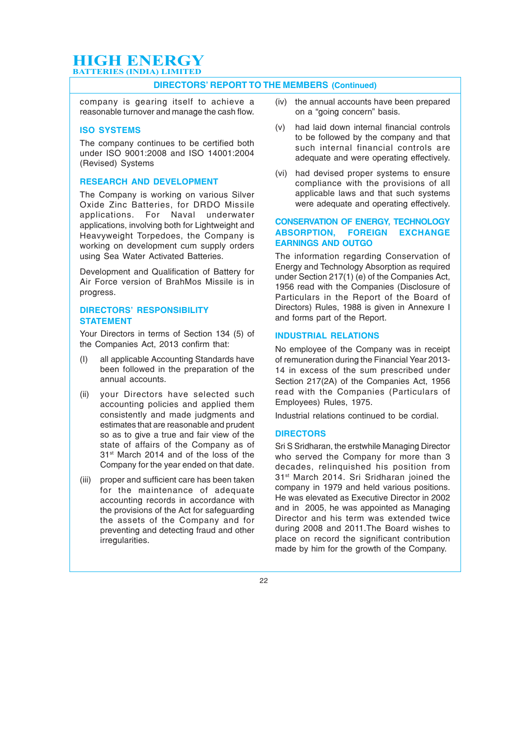#### **DIRECTORS' REPORT TO THE MEMBERS (Continued)**

company is gearing itself to achieve a reasonable turnover and manage the cash flow.

#### **ISO SYSTEMS**

The company continues to be certified both under ISO 9001:2008 and ISO 14001:2004 (Revised) Systems

#### **RESEARCH AND DEVELOPMENT**

The Company is working on various Silver Oxide Zinc Batteries, for DRDO Missile applications. For Naval underwater applications, involving both for Lightweight and Heavyweight Torpedoes, the Company is working on development cum supply orders using Sea Water Activated Batteries.

Development and Qualification of Battery for Air Force version of BrahMos Missile is in progress.

#### **DIRECTORS' RESPONSIBILITY STATEMENT**

Your Directors in terms of Section 134 (5) of the Companies Act, 2013 confirm that:

- (I) all applicable Accounting Standards have been followed in the preparation of the annual accounts.
- (ii) your Directors have selected such accounting policies and applied them consistently and made judgments and estimates that are reasonable and prudent so as to give a true and fair view of the state of affairs of the Company as of 31<sup>st</sup> March 2014 and of the loss of the Company for the year ended on that date.
- (iii) proper and sufficient care has been taken for the maintenance of adequate accounting records in accordance with the provisions of the Act for safeguarding the assets of the Company and for preventing and detecting fraud and other irregularities.
- (iv) the annual accounts have been prepared on a "going concern" basis.
- (v) had laid down internal financial controls to be followed by the company and that such internal financial controls are adequate and were operating effectively.
- (vi) had devised proper systems to ensure compliance with the provisions of all applicable laws and that such systems were adequate and operating effectively.

#### **CONSERVATION OF ENERGY, TECHNOLOGY ABSORPTION, FOREIGN EXCHANGE EARNINGS AND OUTGO**

The information regarding Conservation of Energy and Technology Absorption as required under Section 217(1) (e) of the Companies Act, 1956 read with the Companies (Disclosure of Particulars in the Report of the Board of Directors) Rules, 1988 is given in Annexure I and forms part of the Report.

#### **INDUSTRIAL RELATIONS**

No employee of the Company was in receipt of remuneration during the Financial Year 2013- 14 in excess of the sum prescribed under Section 217(2A) of the Companies Act, 1956 read with the Companies (Particulars of Employees) Rules, 1975.

Industrial relations continued to be cordial.

#### **DIRECTORS**

Sri S Sridharan, the erstwhile Managing Director who served the Company for more than 3 decades, relinquished his position from 31<sup>st</sup> March 2014. Sri Sridharan joined the company in 1979 and held various positions. He was elevated as Executive Director in 2002 and in 2005, he was appointed as Managing Director and his term was extended twice during 2008 and 2011.The Board wishes to place on record the significant contribution made by him for the growth of the Company.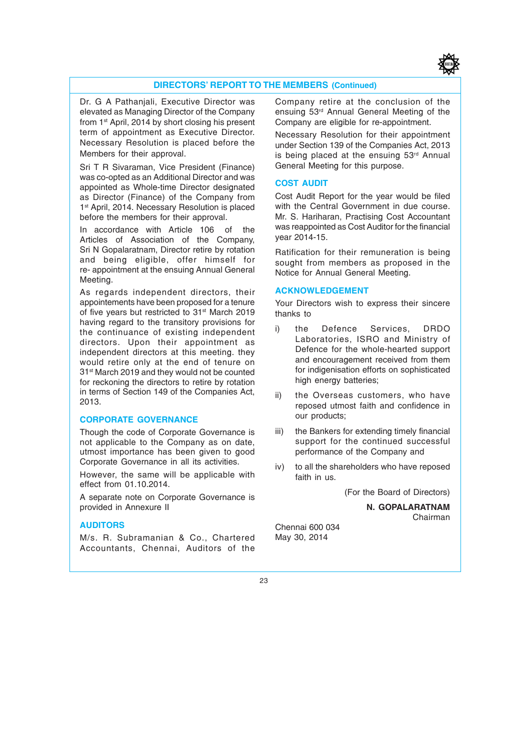

#### **DIRECTORS' REPORT TO THE MEMBERS (Continued)**

Dr. G A Pathanjali, Executive Director was elevated as Managing Director of the Company from 1<sup>st</sup> April, 2014 by short closing his present term of appointment as Executive Director. Necessary Resolution is placed before the Members for their approval.

Sri T R Sivaraman, Vice President (Finance) was co-opted as an Additional Director and was appointed as Whole-time Director designated as Director (Finance) of the Company from 1<sup>st</sup> April, 2014. Necessary Resolution is placed before the members for their approval.

In accordance with Article 106 of the Articles of Association of the Company, Sri N Gopalaratnam, Director retire by rotation and being eligible, offer himself for re- appointment at the ensuing Annual General Meeting.

As regards independent directors, their appointements have been proposed for a tenure of five years but restricted to 31<sup>st</sup> March 2019 having regard to the transitory provisions for the continuance of existing independent directors. Upon their appointment as independent directors at this meeting. they would retire only at the end of tenure on 31st March 2019 and they would not be counted for reckoning the directors to retire by rotation in terms of Section 149 of the Companies Act, 2013.

#### **CORPORATE GOVERNANCE**

Though the code of Corporate Governance is not applicable to the Company as on date, utmost importance has been given to good Corporate Governance in all its activities.

However, the same will be applicable with effect from 01.10.2014.

A separate note on Corporate Governance is provided in Annexure II

#### **AUDITORS**

M/s. R. Subramanian & Co., Chartered Accountants, Chennai, Auditors of the Company retire at the conclusion of the ensuing 53rd Annual General Meeting of the Company are eligible for re-appointment.

Necessary Resolution for their appointment under Section 139 of the Companies Act, 2013 is being placed at the ensuing 53rd Annual General Meeting for this purpose.

#### **COST AUDIT**

Cost Audit Report for the year would be filed with the Central Government in due course. Mr. S. Hariharan, Practising Cost Accountant was reappointed as Cost Auditor for the financial year 2014-15.

Ratification for their remuneration is being sought from members as proposed in the Notice for Annual General Meeting.

#### **ACKNOWLEDGEMENT**

Your Directors wish to express their sincere thanks to

- i) the Defence Services, DRDO Laboratories, ISRO and Ministry of Defence for the whole-hearted support and encouragement received from them for indigenisation efforts on sophisticated high energy batteries;
- ii) the Overseas customers, who have reposed utmost faith and confidence in our products;
- iii) the Bankers for extending timely financial support for the continued successful performance of the Company and
- iv) to all the shareholders who have reposed faith in us.

(For the Board of Directors)

**N. GOPALARATNAM** Chairman

Chennai 600 034 May 30, 2014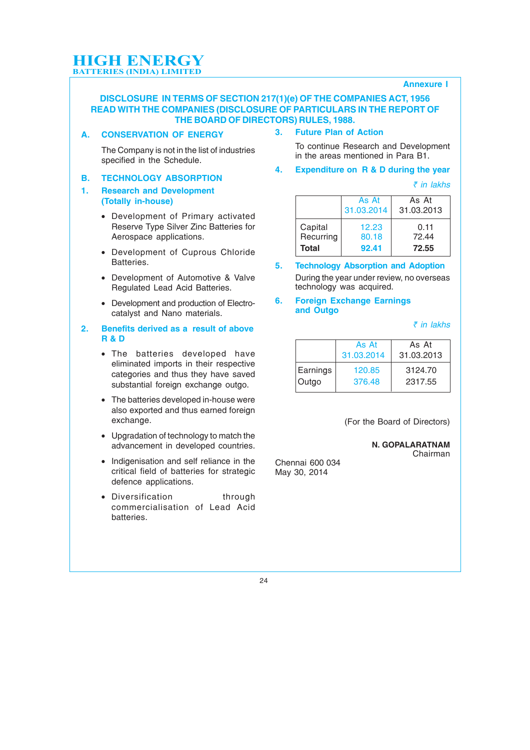#### **Annexure I**

#### **DISCLOSURE IN TERMS OF SECTION 217(1)(e) OF THE COMPANIES ACT, 1956 READ WITH THE COMPANIES (DISCLOSURE OF PARTICULARS IN THE REPORT OF THE BOARD OF DIRECTORS) RULES, 1988.**

**A. CONSERVATION OF ENERGY**

#### **3. Future Plan of Action**

The Company is not in the list of industries specified in the Schedule.

#### **B. TECHNOLOGY ABSORPTION**

#### **1. Research and Development (Totally in-house)**

- Development of Primary activated Reserve Type Silver Zinc Batteries for Aerospace applications.
- Development of Cuprous Chloride Batteries.
- Development of Automotive & Valve Regulated Lead Acid Batteries.
- Development and production of Electrocatalyst and Nano materials.

#### **2. Benefits derived as a result of above R & D**

- The batteries developed have eliminated imports in their respective categories and thus they have saved substantial foreign exchange outgo.
- The batteries developed in-house were also exported and thus earned foreign exchange.
- Upgradation of technology to match the advancement in developed countries.
- Indigenisation and self reliance in the critical field of batteries for strategic defence applications.
- Diversification through commercialisation of Lead Acid batteries.
- To continue Research and Development in the areas mentioned in Para B1.
- **4. Expenditure on R & D during the year**

` *in lakhs*

|              | As At<br>31.03.2014 | As At<br>31.03.2013 |
|--------------|---------------------|---------------------|
| Capital      | 12.23               | 0.11                |
| Recurring    | 80.18               | 72.44               |
| <b>Total</b> | 92.41               | 72.55               |

**5. Technology Absorption and Adoption** During the year under review, no overseas technology was acquired.

#### **6. Foreign Exchange Earnings and Outgo**

` *in lakhs*

|          | As At<br>31.03.2014 | As At<br>31.03.2013 |
|----------|---------------------|---------------------|
| Earnings | 120.85              | 3124.70             |
| Outgo    | 376.48              | 2317.55             |

(For the Board of Directors)

**N. GOPALARATNAM** Chairman

Chennai 600 034 May 30, 2014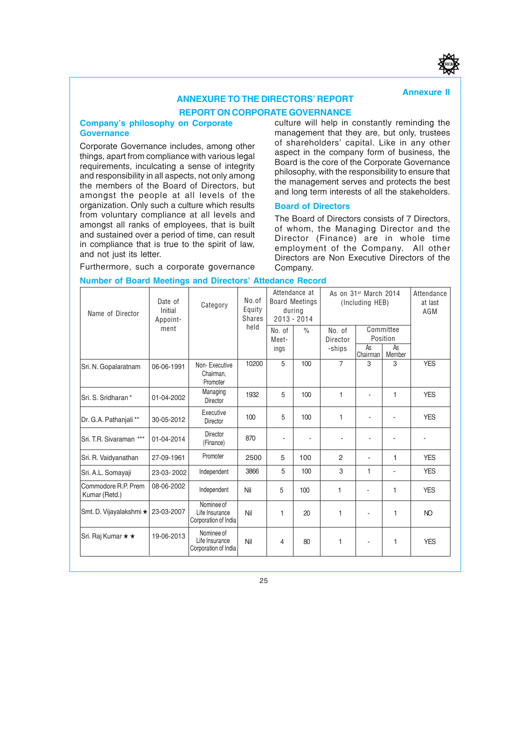#### **Annexure II**

## **ANNEXURE TO THE DIRECTORS' REPORT REPORT ON CORPORATE GOVERNANCE**

#### **Company's philosophy on Corporate Governance**

Corporate Governance includes, among other things, apart from compliance with various legal requirements, inculcating a sense of integrity and responsibility in all aspects, not only among the members of the Board of Directors, but amongst the people at all levels of the organization. Only such a culture which results from voluntary compliance at all levels and amongst all ranks of employees, that is built and sustained over a period of time, can result in compliance that is true to the spirit of law, and not just its letter.

Furthermore, such a corporate governance

**Number of Board Meetings and Directors' Attedance Record**

culture will help in constantly reminding the management that they are, but only, trustees of shareholders' capital. Like in any other aspect in the company form of business, the Board is the core of the Corporate Governance philosophy, with the responsibility to ensure that the management serves and protects the best and long term interests of all the stakeholders.

#### **Board of Directors**

The Board of Directors consists of 7 Directors, of whom, the Managing Director and the Director (Finance) are in whole time employment of the Company. All other Directors are Non Executive Directors of the Company.

| Name of Director                     | Date of<br>Category<br>Initial<br>Appoint- |                                                      | No.of<br>Equity<br><b>Shares</b> |                         | Attendance at<br><b>Board Meetings</b><br>during<br>$2013 - 2014$ |                              | As on 31 <sup>st</sup> March 2014<br>(Including HEB) |                                       |            |
|--------------------------------------|--------------------------------------------|------------------------------------------------------|----------------------------------|-------------------------|-------------------------------------------------------------------|------------------------------|------------------------------------------------------|---------------------------------------|------------|
|                                      | ment                                       |                                                      | held                             | No. of<br>Meet-<br>ings | $\frac{0}{0}$                                                     | No. of<br>Director<br>-ships | As<br>Chairman                                       | Committee<br>Position<br>As<br>Member |            |
| Sri. N. Gopalaratnam                 | 06-06-1991                                 | Non-Executive<br>Chairman,<br>Promoter               | 10200                            | 5                       | 100                                                               | $\overline{7}$               | 3                                                    | 3                                     | <b>YES</b> |
| Sri. S. Sridharan*                   | 01-04-2002                                 | Managing<br>Director                                 | 1932                             | 5                       | 100                                                               | 1                            |                                                      | $\mathbf{1}$                          | <b>YES</b> |
| Dr. G.A. Pathanjali**                | 30-05-2012                                 | Executive<br>Director                                | 100                              | 5                       | 100                                                               | $\mathbf{1}$                 |                                                      |                                       | <b>YES</b> |
| Sri. T.R. Sivaraman ***              | 01-04-2014                                 | Director<br>(Finance)                                | 870                              | ä,                      | $\blacksquare$                                                    |                              |                                                      |                                       |            |
| Sri. R. Vaidyanathan                 | 27-09-1961                                 | Promoter                                             | 2500                             | 5                       | 100                                                               | $\mathfrak{p}$               |                                                      | 1                                     | <b>YES</b> |
| Sri. A.L. Somayaji                   | 23-03-2002                                 | Independent                                          | 3866                             | 5                       | 100                                                               | 3                            | 1                                                    | $\blacksquare$                        | <b>YES</b> |
| Commodore R.P. Prem<br>Kumar (Retd.) | 08-06-2002                                 | Independent                                          | Nil                              | 5                       | 100                                                               | 1                            |                                                      | 1                                     | <b>YES</b> |
| Smt. D. Vijayalakshmi *              | 23-03-2007                                 | Nominee of<br>Life Insurance<br>Corporation of India | Nil                              | 1                       | 20                                                                | 1                            |                                                      | 1                                     | NO.        |
| Sri. Raj Kumar ★ ★                   | 19-06-2013                                 | Nominee of<br>Life Insurance<br>Corporation of India | Nil                              | 4                       | 80                                                                | 1                            |                                                      | 1                                     | <b>YES</b> |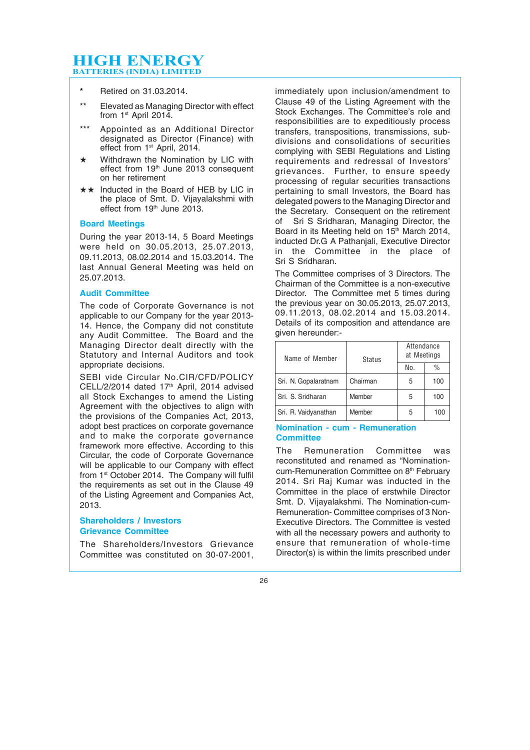- **\*** Retired on 31.03.2014.
- \*\* Elevated as Managing Director with effect from 1<sup>st</sup> April 2014.
- Appointed as an Additional Director designated as Director (Finance) with effect from 1<sup>st</sup> April, 2014.
- $\star$  Withdrawn the Nomination by LIC with effect from 19th June 2013 consequent on her retirement
- $\star\star$  Inducted in the Board of HEB by LIC in the place of Smt. D. Vijayalakshmi with effect from 19th June 2013.

#### **Board Meetings**

During the year 2013-14, 5 Board Meetings were held on 30.05.2013, 25.07.2013, 09.11.2013, 08.02.2014 and 15.03.2014. The last Annual General Meeting was held on 25.07.2013.

#### **Audit Committee**

The code of Corporate Governance is not applicable to our Company for the year 2013- 14. Hence, the Company did not constitute any Audit Committee. The Board and the Managing Director dealt directly with the Statutory and Internal Auditors and took appropriate decisions.

SEBI vide Circular No.CIR/CFD/POLICY CELL/2/2014 dated  $17<sup>th</sup>$  April, 2014 advised all Stock Exchanges to amend the Listing Agreement with the objectives to align with the provisions of the Companies Act, 2013, adopt best practices on corporate governance and to make the corporate governance framework more effective. According to this Circular, the code of Corporate Governance will be applicable to our Company with effect from 1<sup>st</sup> October 2014. The Company will fulfil the requirements as set out in the Clause 49 of the Listing Agreement and Companies Act, 2013.

#### **Shareholders / Investors Grievance Committee**

The Shareholders/Investors Grievance Committee was constituted on 30-07-2001, immediately upon inclusion/amendment to Clause 49 of the Listing Agreement with the Stock Exchanges. The Committee's role and responsibilities are to expeditiously process transfers, transpositions, transmissions, subdivisions and consolidations of securities complying with SEBI Regulations and Listing requirements and redressal of Investors' grievances. Further, to ensure speedy processing of regular securities transactions pertaining to small Investors, the Board has delegated powers to the Managing Director and the Secretary. Consequent on the retirement of Sri S Sridharan, Managing Director, the Board in its Meeting held on 15<sup>th</sup> March 2014, inducted Dr.G A Pathanjali, Executive Director in the Committee in the place of Sri S Sridharan.

The Committee comprises of 3 Directors. The Chairman of the Committee is a non-executive Director. The Committee met 5 times during the previous year on 30.05.2013, 25.07.2013, 09.11.2013, 08.02.2014 and 15.03.2014. Details of its composition and attendance are given hereunder:-

| Name of Member       | <b>Status</b> | Attendance<br>at Meetings |     |  |
|----------------------|---------------|---------------------------|-----|--|
|                      |               | $\frac{0}{0}$<br>No.      |     |  |
| Sri. N. Gopalaratnam | Chairman      | 5                         | 100 |  |
| Sri, S. Sridharan    | Member        | 5                         | 100 |  |
| Sri. R. Vaidyanathan | Member        | 5                         | 100 |  |

#### **Nomination - cum - Remuneration Committee**

The Remuneration Committee was reconstituted and renamed as "Nominationcum-Remuneration Committee on 8<sup>th</sup> February 2014. Sri Raj Kumar was inducted in the Committee in the place of erstwhile Director Smt. D. Vijayalakshmi. The Nomination-cum-Remuneration- Committee comprises of 3 Non-Executive Directors. The Committee is vested with all the necessary powers and authority to ensure that remuneration of whole-time Director(s) is within the limits prescribed under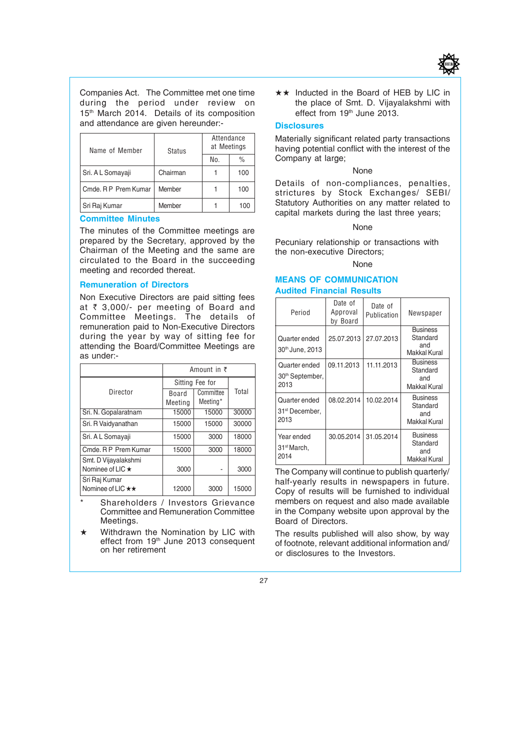

Companies Act. The Committee met one time during the period under review on 15<sup>th</sup> March 2014. Details of its composition and attendance are given hereunder:-

| Name of Member       | <b>Status</b> | Attendance<br>at Meetings |     |
|----------------------|---------------|---------------------------|-----|
|                      |               | No.<br>$\frac{0}{0}$      |     |
| Sri. A L Somayaji    | Chairman      |                           | 100 |
| Cmde, R P Prem Kumar | Member        |                           | 100 |
| Sri Raj Kumar        | Member        |                           | 100 |

#### **Committee Minutes**

The minutes of the Committee meetings are prepared by the Secretary, approved by the Chairman of the Meeting and the same are circulated to the Board in the succeeding meeting and recorded thereat.

#### **Remuneration of Directors**

Non Executive Directors are paid sitting fees at  $\bar{\tau}$  3,000/- per meeting of Board and Committee Meetings. The details of remuneration paid to Non-Executive Directors during the year by way of sitting fee for attending the Board/Committee Meetings are as under:-

|                                    | Amount in $\bar{z}$ |                       |       |  |
|------------------------------------|---------------------|-----------------------|-------|--|
|                                    |                     | Sitting Fee for       |       |  |
| Director                           | Board<br>Meeting    | Committee<br>Meeting* | Total |  |
| Sri. N. Gopalaratnam               | 15000               | 15000                 | 30000 |  |
| Sri. R Vaidvanathan                | 15000               | 15000                 | 30000 |  |
| Sri. A L Somayaji                  | 15000               | 3000                  | 18000 |  |
| Cmde, R P Prem Kumar               | 15000               | 3000                  | 18000 |  |
| Smt. D Vijayalakshmi               |                     |                       |       |  |
| Nominee of LIC ★                   | 3000                |                       | 3000  |  |
| Sri Raj Kumar<br>Nominee of LIC ** | 12000               | 3000                  | 15000 |  |

Shareholders / Investors Grievance Committee and Remuneration Committee Meetings.

 $\star$  Withdrawn the Nomination by LIC with effect from 19th June 2013 consequent on her retirement

 $\star\star$  Inducted in the Board of HEB by LIC in the place of Smt. D. Vijayalakshmi with effect from 19<sup>th</sup> June 2013.

#### **Disclosures**

Materially significant related party transactions having potential conflict with the interest of the Company at large;

#### None

Details of non-compliances, penalties, strictures by Stock Exchanges/ SEBI/ Statutory Authorities on any matter related to capital markets during the last three years;

None

Pecuniary relationship or transactions with the non-executive Directors;

#### None<sup></sup>

#### **MEANS OF COMMUNICATION Audited Financial Results**

| Period                                               | Date of<br>Approval<br>bv Board | Date of<br>Publication | Newspaper                                          |
|------------------------------------------------------|---------------------------------|------------------------|----------------------------------------------------|
| Quarter ended<br>30th June, 2013                     | 25.07.2013                      | 27.07.2013             | <b>Business</b><br>Standard<br>and<br>Makkal Kural |
| Quarter ended<br>30 <sup>th</sup> September,<br>2013 | 09.11.2013                      | 11.11.2013             | <b>Business</b><br>Standard<br>and<br>Makkal Kural |
| Quarter ended<br>31 <sup>st</sup> December,<br>2013  | 08.02.2014                      | 10.02.2014             | <b>Business</b><br>Standard<br>and<br>Makkal Kural |
| Year ended<br>31 <sup>st</sup> March,<br>2014        | 30.05.2014                      | 31.05.2014             | <b>Business</b><br>Standard<br>and<br>Makkal Kural |

The Company will continue to publish quarterly/ half-yearly results in newspapers in future. Copy of results will be furnished to individual members on request and also made available in the Company website upon approval by the Board of Directors.

The results published will also show, by way of footnote, relevant additional information and/ or disclosures to the Investors.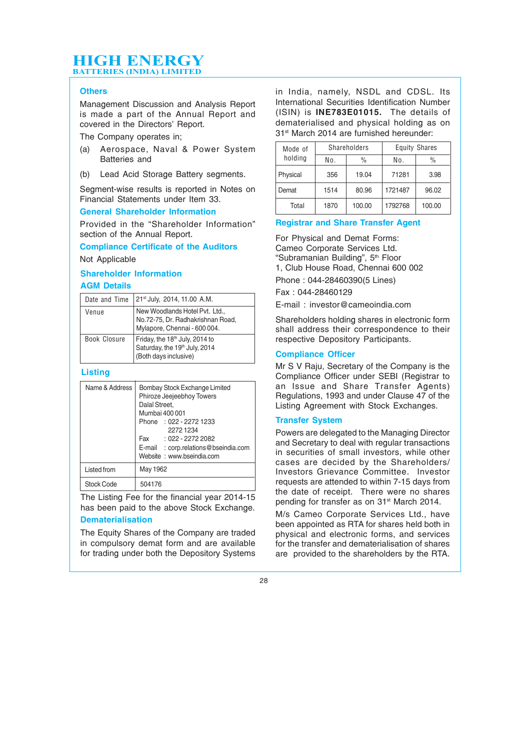#### **Others**

Management Discussion and Analysis Report is made a part of the Annual Report and covered in the Directors' Report.

The Company operates in;

- (a) Aerospace, Naval & Power System Batteries and
- (b) Lead Acid Storage Battery segments.

Segment-wise results is reported in Notes on Financial Statements under Item 33.

#### **General Shareholder Information**

Provided in the "Shareholder Information" section of the Annual Report.

**Compliance Certificate of the Auditors**

Not Applicable

#### **Shareholder Information**

#### **AGM Details**

| Date and Time | 21 <sup>st</sup> July, 2014, 11.00 A.M.                                                              |
|---------------|------------------------------------------------------------------------------------------------------|
| Venue         | New Woodlands Hotel Pvt. Ltd.,<br>No.72-75, Dr. Radhakrishnan Road,<br>Mylapore, Chennai - 600 004.  |
| Book Closure  | Friday, the 18 <sup>th</sup> July, 2014 to<br>Saturday, the 19th July, 2014<br>(Both days inclusive) |

#### **Listing**

| Name & Address | Bombay Stock Exchange Limited<br>Phiroze Jeejeebhoy Towers<br>Dalal Street,<br>Mumbai 400 001<br>Phone: 022 - 2272 1233<br>2272 1234<br>Fax: 022 - 2272 2082<br>E-mail : corp.relations@bseindia.com<br>Website: www.bseindia.com |
|----------------|-----------------------------------------------------------------------------------------------------------------------------------------------------------------------------------------------------------------------------------|
| Listed from    | May 1962                                                                                                                                                                                                                          |
| Stock Code     | 504176                                                                                                                                                                                                                            |

The Listing Fee for the financial year 2014-15 has been paid to the above Stock Exchange. **Dematerialisation**

The Equity Shares of the Company are traded in compulsory demat form and are available for trading under both the Depository Systems

in India, namely, NSDL and CDSL. Its International Securities Identification Number (ISIN) is **INE783E01015.** The details of dematerialised and physical holding as on 31st March 2014 are furnished hereunder:

| Mode of  | <b>Shareholders</b> |               | <b>Equity Shares</b> |               |
|----------|---------------------|---------------|----------------------|---------------|
| holding  | No.                 | $\frac{0}{0}$ | No.                  | $\frac{0}{0}$ |
| Physical | 356                 | 19.04         | 71281                | 3.98          |
| Demat    | 1514                | 80.96         | 1721487              | 96.02         |
| Total    | 1870                | 100.00        | 1792768              | 100.00        |

#### **Registrar and Share Transfer Agent**

For Physical and Demat Forms: Cameo Corporate Services Ltd. "Subramanian Building", 5th Floor 1, Club House Road, Chennai 600 002

Phone : 044-28460390(5 Lines)

Fax : 044-28460129

E-mail : investor@cameoindia.com

Shareholders holding shares in electronic form shall address their correspondence to their respective Depository Participants.

#### **Compliance Officer**

Mr S V Raju, Secretary of the Company is the Compliance Officer under SEBI (Registrar to an Issue and Share Transfer Agents) Regulations, 1993 and under Clause 47 of the Listing Agreement with Stock Exchanges.

#### **Transfer System**

Powers are delegated to the Managing Director and Secretary to deal with regular transactions in securities of small investors, while other cases are decided by the Shareholders/ Investors Grievance Committee. Investor requests are attended to within 7-15 days from the date of receipt. There were no shares pending for transfer as on 31<sup>st</sup> March 2014.

M/s Cameo Corporate Services Ltd., have been appointed as RTA for shares held both in physical and electronic forms, and services for the transfer and dematerialisation of shares are provided to the shareholders by the RTA.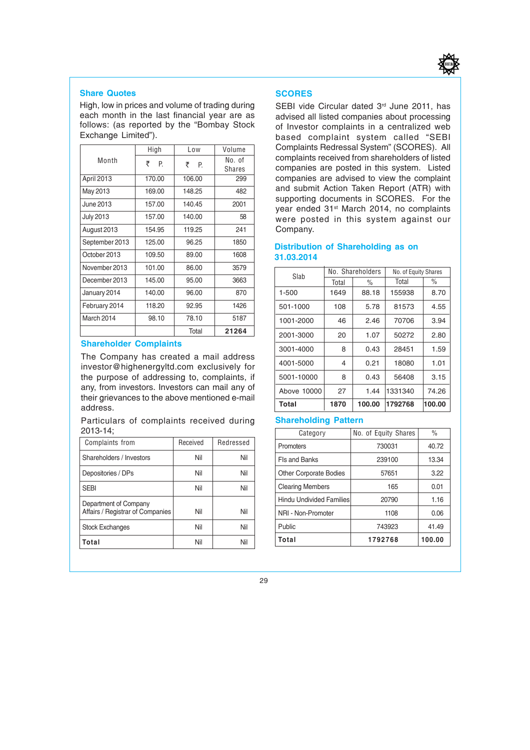

#### **Share Quotes**

High, low in prices and volume of trading during each month in the last financial year are as follows: (as reported by the "Bombay Stock Exchange Limited").

|                | High   | Low    | Volume                  |
|----------------|--------|--------|-------------------------|
| Month          | ₹<br>P | ₹<br>P | No. of<br><b>Shares</b> |
| April 2013     | 170.00 | 106.00 | 299                     |
| May 2013       | 169.00 | 148.25 | 482                     |
| June 2013      | 157.00 | 140.45 | 2001                    |
| July 2013      | 157.00 | 140.00 | 58                      |
| August 2013    | 154.95 | 119.25 | 241                     |
| September 2013 | 125.00 | 96.25  | 1850                    |
| October 2013   | 109.50 | 89.00  | 1608                    |
| November 2013  | 101.00 | 86.00  | 3579                    |
| December 2013  | 145.00 | 95.00  | 3663                    |
| January 2014   | 140.00 | 96.00  | 870                     |
| February 2014  | 118.20 | 92.95  | 1426                    |
| March 2014     | 98.10  | 78.10  | 5187                    |
|                |        | Total  | 21264                   |

#### **Shareholder Complaints**

The Company has created a mail address investor@highenergyltd.com exclusively for the purpose of addressing to, complaints, if any, from investors. Investors can mail any of their grievances to the above mentioned e-mail address.

Particulars of complaints received during 2013-14;

| Complaints from                                           | Received | Redressed |
|-----------------------------------------------------------|----------|-----------|
| Shareholders / Investors                                  | Nil      | Nil       |
| Depositories / DPs                                        | Nil      | Nil       |
| <b>SEBI</b>                                               | Nil      | Nil       |
| Department of Company<br>Affairs / Registrar of Companies | Nil      | Nil       |
| <b>Stock Exchanges</b>                                    | Nil      | Nil       |
| Total                                                     | Nil      | Nil       |

#### **SCORES**

SEBI vide Circular dated 3<sup>rd</sup> June 2011, has advised all listed companies about processing of Investor complaints in a centralized web based complaint system called "SEBI Complaints Redressal System" (SCORES). All complaints received from shareholders of listed companies are posted in this system. Listed companies are advised to view the complaint and submit Action Taken Report (ATR) with supporting documents in SCORES. For the year ended 31<sup>st</sup> March 2014, no complaints were posted in this system against our Company.

#### **Distribution of Shareholding as on 31.03.2014**

| Slab        |       | No. Shareholders | No. of Equity Shares |               |
|-------------|-------|------------------|----------------------|---------------|
|             | Total | $\frac{0}{0}$    | Total                | $\frac{0}{0}$ |
| $1 - 500$   | 1649  | 88.18            | 155938               | 8.70          |
| 501-1000    | 108   | 5.78             | 81573                | 4.55          |
| 1001-2000   | 46    | 2.46             | 70706                | 3.94          |
| 2001-3000   | 20    | 1.07             | 50272                | 2.80          |
| 3001-4000   | 8     | 0.43             | 28451                | 1.59          |
| 4001-5000   | 4     | 0.21             | 18080                | 1.01          |
| 5001-10000  | 8     | 0.43             | 56408                | 3.15          |
| Above 10000 | 27    | 1.44             | 1331340              | 74.26         |
| Total       | 1870  | 100.00           | 1792768              | 100.00        |

#### **Shareholding Pattern**

| Category                      | No. of Equity Shares | $\frac{0}{0}$ |
|-------------------------------|----------------------|---------------|
| Promoters                     | 730031               | 40.72         |
| Fls and Banks                 | 239100               | 13.34         |
| <b>Other Corporate Bodies</b> | 57651                | 3.22          |
| <b>Clearing Members</b>       | 165                  | 0.01          |
| Hindu Undivided Families      | 20790                | 1.16          |
| NRI - Non-Promoter            | 1108                 | 0.06          |
| Public                        | 743923               | 41.49         |
| Total                         | 1792768              | 100.00        |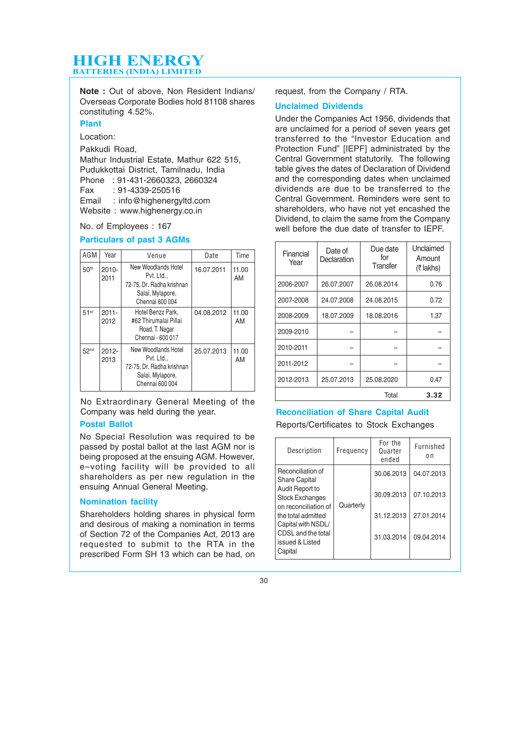**Note :** Out of above, Non Resident Indians/ Overseas Corporate Bodies hold 81108 shares constituting 4.52%.

#### **Plant**

Location:

Pakkudi Road,

Mathur Industrial Estate, Mathur 622 515, Pudukkottai District, Tamilnadu, India Phone : 91-431-2660323, 2660324  $: 91 - 4339 - 250516$ Email : info@highenergyltd.com Website: www.highenergy.co.in

No. of Employees : 167

#### **Particulars of past 3 AGMs**

| AGM                | Year             | Venue                                                                                                 | Date       | Time        |
|--------------------|------------------|-------------------------------------------------------------------------------------------------------|------------|-------------|
| 50 <sup>th</sup>   | $2010 -$<br>2011 | New Woodlands Hotel<br>Pvt. Ltd.,<br>72-75, Dr. Radha krishnan<br>Salai, Mylapore,<br>Chennai 600 004 | 16.07.2011 | 11.00<br>AM |
| $51$ <sup>st</sup> | $2011 -$<br>2012 | Hotel Benzz Park.<br>#62 Thirumalai Pillai<br>Road, T. Nagar<br>Chennai - 600 017                     | 04.08.2012 | 11.00<br>AM |
| 52 <sup>nd</sup>   | $2012 -$<br>2013 | New Woodlands Hotel<br>Pvt. Ltd.,<br>72-75, Dr. Radha krishnan<br>Salai, Mylapore,<br>Chennai 600 004 | 25.07.2013 | 11.00<br>AM |

No Extraordinary General Meeting of the Company was held during the year.

#### **Postal Ballot**

No Special Resolution was required to be passed by postal ballot at the last AGM nor is being proposed at the ensuing AGM. However, e–voting facility will be provided to all shareholders as per new regulation in the ensuing Annual General Meeting.

#### **Nomination facility**

Shareholders holding shares in physical form and desirous of making a nomination in terms of Section 72 of the Companies Act, 2013 are requested to submit to the RTA in the prescribed Form SH 13 which can be had, on

request, from the Company / RTA.

#### **Unclaimed Dividends**

Under the Companies Act 1956, dividends that are unclaimed for a period of seven years get transferred to the "Investor Education and Protection Fund" [IEPF] administrated by the Central Government statutorily. The following table gives the dates of Declaration of Dividend and the corresponding dates when unclaimed dividends are due to be transferred to the Central Government. Reminders were sent to shareholders, who have not yet encashed the Dividend, to claim the same from the Company well before the due date of transfer to IEPF.

| Financial<br>Year | Date of<br>Declaration | Due date<br>for<br>Transfer | <b>Unclaimed</b><br>Amount<br>$(7$ lakhs) |
|-------------------|------------------------|-----------------------------|-------------------------------------------|
| 2006-2007         | 26.07.2007             | 26.08.2014                  | 0.76                                      |
| 2007-2008         | 24.07.2008             | 24.08.2015                  | 0.72                                      |
| 2008-2009         | 18.07.2009             | 18.08.2016                  | 1.37                                      |
| 2009-2010         |                        |                             |                                           |
| 2010-2011         |                        |                             |                                           |
| 2011-2012         |                        |                             |                                           |
| 2012-2013         | 25.07.2013             | 25.08.2020                  | 0.47                                      |
|                   |                        | Total                       | 3.32                                      |

#### **Reconciliation of Share Capital Audit**

Reports/Certificates to Stock Exchanges

| Description                                                       | Frequency | For the<br>Quarter<br>ended | Furnished<br>0 <sub>n</sub> |
|-------------------------------------------------------------------|-----------|-----------------------------|-----------------------------|
| Reconciliation of<br><b>Share Capital</b>                         |           | 30.06.2013                  | 04.07.2013                  |
| Audit Report to<br><b>Stock Exchanges</b><br>on reconciliation of | Quarterly | 30.09.2013                  | 07.10.2013                  |
| the total admitted<br>Capital with NSDL/                          |           | 31.12.2013                  | 27.01.2014                  |
| CDSL and the total<br>issued & Listed<br>Capital                  |           | 31.03.2014                  | 09.04.2014                  |
|                                                                   |           |                             |                             |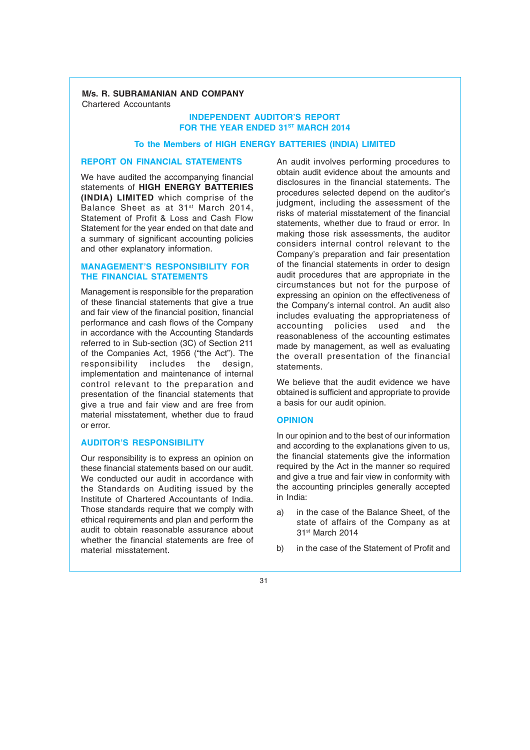#### **M/s. R. SUBRAMANIAN AND COMPANY** Chartered Accountants

#### **INDEPENDENT AUDITOR'S REPORT FOR THE YEAR ENDED 31ST MARCH 2014**

#### **To the Members of HIGH ENERGY BATTERIES (INDIA) LIMITED**

#### **REPORT ON FINANCIAL STATEMENTS**

We have audited the accompanying financial statements of **HIGH ENERGY BATTERIES (INDIA) LIMITED** which comprise of the Balance Sheet as at 31st March 2014, Statement of Profit & Loss and Cash Flow Statement for the year ended on that date and a summary of significant accounting policies and other explanatory information.

#### **MANAGEMENT'S RESPONSIBILITY FOR THE FINANCIAL STATEMENTS**

Management is responsible for the preparation of these financial statements that give a true and fair view of the financial position, financial performance and cash flows of the Company in accordance with the Accounting Standards referred to in Sub-section (3C) of Section 211 of the Companies Act, 1956 ("the Act"). The responsibility includes the design, implementation and maintenance of internal control relevant to the preparation and presentation of the financial statements that give a true and fair view and are free from material misstatement, whether due to fraud or error.

#### **AUDITOR'S RESPONSIBILITY**

Our responsibility is to express an opinion on these financial statements based on our audit. We conducted our audit in accordance with the Standards on Auditing issued by the Institute of Chartered Accountants of India. Those standards require that we comply with ethical requirements and plan and perform the audit to obtain reasonable assurance about whether the financial statements are free of material misstatement.

An audit involves performing procedures to obtain audit evidence about the amounts and disclosures in the financial statements. The procedures selected depend on the auditor's judgment, including the assessment of the risks of material misstatement of the financial statements, whether due to fraud or error. In making those risk assessments, the auditor considers internal control relevant to the Company's preparation and fair presentation of the financial statements in order to design audit procedures that are appropriate in the circumstances but not for the purpose of expressing an opinion on the effectiveness of the Company's internal control. An audit also includes evaluating the appropriateness of accounting policies used and the reasonableness of the accounting estimates made by management, as well as evaluating the overall presentation of the financial statements.

We believe that the audit evidence we have obtained is sufficient and appropriate to provide a basis for our audit opinion.

#### **OPINION**

In our opinion and to the best of our information and according to the explanations given to us, the financial statements give the information required by the Act in the manner so required and give a true and fair view in conformity with the accounting principles generally accepted in India:

- a) in the case of the Balance Sheet, of the state of affairs of the Company as at 31st March 2014
- b) in the case of the Statement of Profit and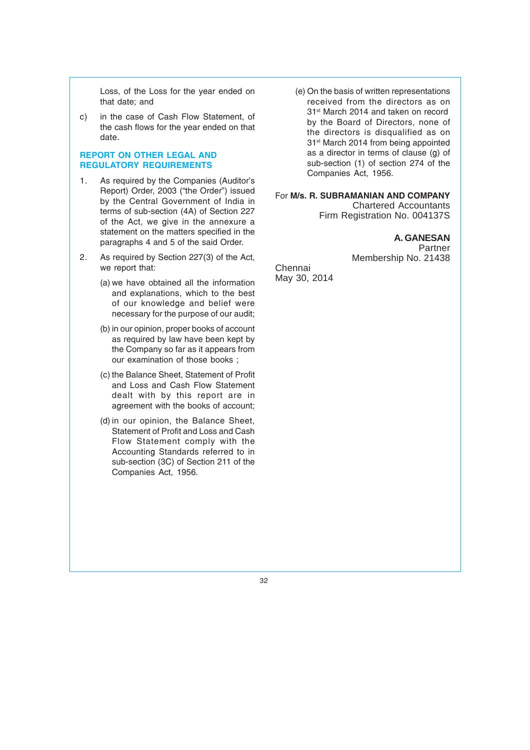Loss, of the Loss for the year ended on that date; and

c) in the case of Cash Flow Statement, of the cash flows for the year ended on that date.

#### **REPORT ON OTHER LEGAL AND REGULATORY REQUIREMENTS**

- 1. As required by the Companies (Auditor's Report) Order, 2003 ("the Order") issued by the Central Government of India in terms of sub-section (4A) of Section 227 of the Act, we give in the annexure a statement on the matters specified in the paragraphs 4 and 5 of the said Order.
- 2. As required by Section 227(3) of the Act, we report that:
	- (a) we have obtained all the information and explanations, which to the best of our knowledge and belief were necessary for the purpose of our audit;
	- (b) in our opinion, proper books of account as required by law have been kept by the Company so far as it appears from our examination of those books ;
	- (c) the Balance Sheet, Statement of Profit and Loss and Cash Flow Statement dealt with by this report are in agreement with the books of account;
	- (d) in our opinion, the Balance Sheet, Statement of Profit and Loss and Cash Flow Statement comply with the Accounting Standards referred to in sub-section (3C) of Section 211 of the Companies Act, 1956.

(e) On the basis of written representations received from the directors as on 31<sup>st</sup> March 2014 and taken on record by the Board of Directors, none of the directors is disqualified as on 31<sup>st</sup> March 2014 from being appointed as a director in terms of clause (g) of sub-section (1) of section 274 of the Companies Act, 1956.

For **M/s. R. SUBRAMANIAN AND COMPANY** Chartered Accountants Firm Registration No. 004137S

> **A. GANESAN** Partner Membership No. 21438

Chennai May 30, 2014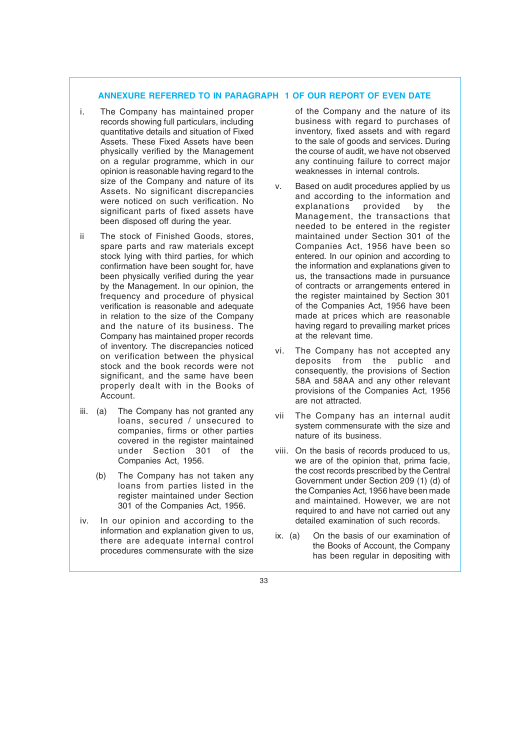#### **ANNEXURE REFERRED TO IN PARAGRAPH 1 OF OUR REPORT OF EVEN DATE**

- i. The Company has maintained proper records showing full particulars, including quantitative details and situation of Fixed Assets. These Fixed Assets have been physically verified by the Management on a regular programme, which in our opinion is reasonable having regard to the size of the Company and nature of its Assets. No significant discrepancies were noticed on such verification. No significant parts of fixed assets have been disposed off during the year.
- ii The stock of Finished Goods, stores, spare parts and raw materials except stock lying with third parties, for which confirmation have been sought for, have been physically verified during the year by the Management. In our opinion, the frequency and procedure of physical verification is reasonable and adequate in relation to the size of the Company and the nature of its business. The Company has maintained proper records of inventory. The discrepancies noticed on verification between the physical stock and the book records were not significant, and the same have been properly dealt with in the Books of Account.
- iii. (a) The Company has not granted any loans, secured / unsecured to companies, firms or other parties covered in the register maintained under Section 301 of the Companies Act, 1956.
	- (b) The Company has not taken any loans from parties listed in the register maintained under Section 301 of the Companies Act, 1956.
- iv. In our opinion and according to the information and explanation given to us, there are adequate internal control procedures commensurate with the size

of the Company and the nature of its business with regard to purchases of inventory, fixed assets and with regard to the sale of goods and services. During the course of audit, we have not observed any continuing failure to correct major weaknesses in internal controls.

- v. Based on audit procedures applied by us and according to the information and<br>explanations provided by the explanations Management, the transactions that needed to be entered in the register maintained under Section 301 of the Companies Act, 1956 have been so entered. In our opinion and according to the information and explanations given to us, the transactions made in pursuance of contracts or arrangements entered in the register maintained by Section 301 of the Companies Act, 1956 have been made at prices which are reasonable having regard to prevailing market prices at the relevant time.
- vi. The Company has not accepted any deposits from the public and consequently, the provisions of Section 58A and 58AA and any other relevant provisions of the Companies Act, 1956 are not attracted.
- vii The Company has an internal audit system commensurate with the size and nature of its business.
- viii. On the basis of records produced to us, we are of the opinion that, prima facie, the cost records prescribed by the Central Government under Section 209 (1) (d) of the Companies Act, 1956 have been made and maintained. However, we are not required to and have not carried out any detailed examination of such records.
- ix. (a) On the basis of our examination of the Books of Account, the Company has been regular in depositing with
- 33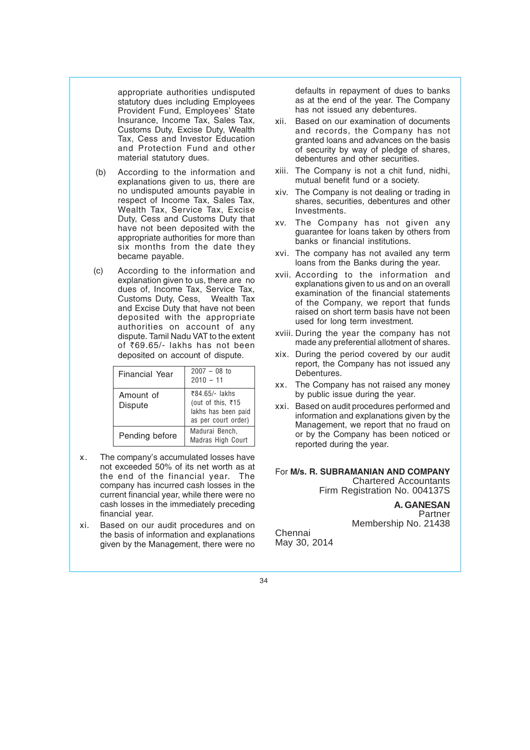appropriate authorities undisputed statutory dues including Employees Provident Fund, Employees' State Insurance, Income Tax, Sales Tax, Customs Duty, Excise Duty, Wealth Tax, Cess and Investor Education and Protection Fund and other material statutory dues.

- (b) According to the information and explanations given to us, there are no undisputed amounts payable in respect of Income Tax, Sales Tax, Wealth Tax, Service Tax, Excise Duty, Cess and Customs Duty that have not been deposited with the appropriate authorities for more than six months from the date they became payable.
- (c) According to the information and explanation given to us, there are no dues of, Income Tax, Service Tax, Customs Duty, Cess, Wealth Tax and Excise Duty that have not been deposited with the appropriate authorities on account of any dispute. Tamil Nadu VAT to the extent of ₹69.65/- lakhs has not been deposited on account of dispute.

| Financial Year       | $2007 - 08$ to<br>$2010 - 11$                                                     |
|----------------------|-----------------------------------------------------------------------------------|
| Amount of<br>Dispute | ₹84.65/- lakhs<br>(out of this, ₹15<br>lakhs has been paid<br>as per court order) |
| Pending before       | Madurai Bench,<br><b>Madras High Court</b>                                        |

- x. The company's accumulated losses have not exceeded 50% of its net worth as at the end of the financial year. The company has incurred cash losses in the current financial year, while there were no cash losses in the immediately preceding financial year.
- xi. Based on our audit procedures and on the basis of information and explanations given by the Management, there were no

defaults in repayment of dues to banks as at the end of the year. The Company has not issued any debentures.

- xii. Based on our examination of documents and records, the Company has not granted loans and advances on the basis of security by way of pledge of shares, debentures and other securities.
- xiii. The Company is not a chit fund, nidhi, mutual benefit fund or a society.
- xiv. The Company is not dealing or trading in shares, securities, debentures and other Investments.
- xv. The Company has not given any guarantee for loans taken by others from banks or financial institutions.
- xvi. The company has not availed any term loans from the Banks during the year.
- xvii. According to the information and explanations given to us and on an overall examination of the financial statements of the Company, we report that funds raised on short term basis have not been used for long term investment.
- xviii. During the year the company has not made any preferential allotment of shares.
- xix. During the period covered by our audit report, the Company has not issued any Debentures.
- xx. The Company has not raised any money by public issue during the year.
- xxi. Based on audit procedures performed and information and explanations given by the Management, we report that no fraud on or by the Company has been noticed or reported during the year.

#### For **M/s. R. SUBRAMANIAN AND COMPANY** Chartered Accountants Firm Registration No. 004137S

**A. GANESAN Partner** Membership No. 21438

Chennai May 30, 2014

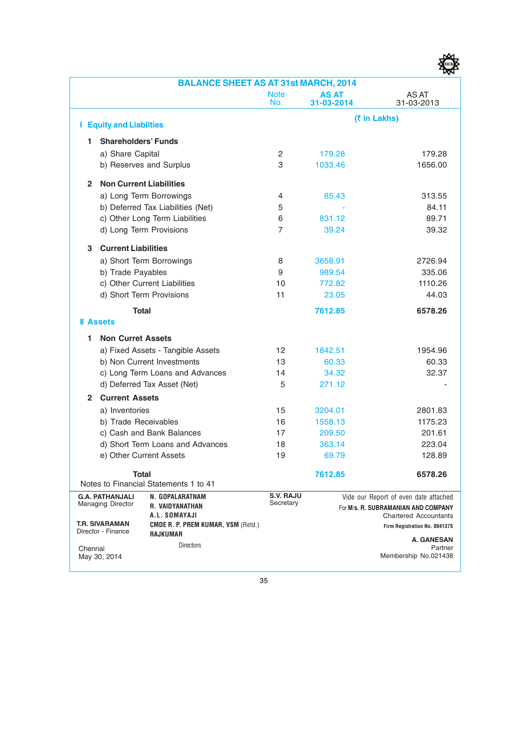|                |                                                                             | <b>BALANCE SHEET AS AT 31st MARCH, 2014</b>                                               |                               |                     |                                                                                                                                               |
|----------------|-----------------------------------------------------------------------------|-------------------------------------------------------------------------------------------|-------------------------------|---------------------|-----------------------------------------------------------------------------------------------------------------------------------------------|
|                |                                                                             |                                                                                           | <b>Note</b><br>No.            | AS AT<br>31-03-2014 | AS AT<br>31-03-2013                                                                                                                           |
|                | <b>I</b> Equity and Liablities                                              |                                                                                           |                               |                     | (₹ in Lakhs)                                                                                                                                  |
| 1              | <b>Shareholders' Funds</b>                                                  |                                                                                           |                               |                     |                                                                                                                                               |
|                | a) Share Capital                                                            |                                                                                           | 2                             | 179.28              | 179.28                                                                                                                                        |
|                |                                                                             | b) Reserves and Surplus                                                                   | 3                             | 1033.46             | 1656.00                                                                                                                                       |
| $\overline{2}$ | <b>Non Current Liabilities</b>                                              |                                                                                           |                               |                     |                                                                                                                                               |
|                |                                                                             | a) Long Term Borrowings                                                                   | 4                             | 85.43               | 313.55                                                                                                                                        |
|                |                                                                             | b) Deferred Tax Liabilities (Net)                                                         | 5                             |                     | 84.11                                                                                                                                         |
|                |                                                                             | c) Other Long Term Liabilities                                                            | 6                             | 831.12              | 89.71                                                                                                                                         |
|                |                                                                             | d) Long Term Provisions                                                                   | 7                             | 39.24               | 39.32                                                                                                                                         |
| 3              | <b>Current Liabilities</b>                                                  |                                                                                           |                               |                     |                                                                                                                                               |
|                |                                                                             | a) Short Term Borrowings                                                                  | 8                             | 3658.91             | 2726.94                                                                                                                                       |
|                | b) Trade Payables                                                           |                                                                                           | 9                             | 989.54              | 335.06                                                                                                                                        |
|                |                                                                             | c) Other Current Liabilities                                                              | 10                            | 772.82              | 1110.26                                                                                                                                       |
|                |                                                                             | d) Short Term Provisions                                                                  | 11                            | 23.05               | 44.03                                                                                                                                         |
|                | <b>Total</b>                                                                |                                                                                           |                               | 7612.85             | 6578.26                                                                                                                                       |
|                | <b>II</b> Assets                                                            |                                                                                           |                               |                     |                                                                                                                                               |
| 1.             | <b>Non Curret Assets</b>                                                    |                                                                                           |                               |                     |                                                                                                                                               |
|                |                                                                             | a) Fixed Assets - Tangible Assets                                                         | 12                            | 1842.51             | 1954.96                                                                                                                                       |
|                |                                                                             | b) Non Current Investments                                                                | 13                            | 60.33               | 60.33                                                                                                                                         |
|                |                                                                             | c) Long Term Loans and Advances                                                           | 14                            | 34.32               | 32.37                                                                                                                                         |
|                |                                                                             | d) Deferred Tax Asset (Net)                                                               | 5                             | 271.12              |                                                                                                                                               |
| $\mathbf{2}$   | <b>Current Assets</b>                                                       |                                                                                           |                               |                     |                                                                                                                                               |
|                | a) Inventories                                                              |                                                                                           | 15                            | 3204.01             | 2801.83                                                                                                                                       |
|                | b) Trade Receivables                                                        |                                                                                           | 16                            | 1558.13             | 1175.23                                                                                                                                       |
|                |                                                                             | c) Cash and Bank Balances                                                                 | 17                            | 209.50              | 201.61                                                                                                                                        |
|                |                                                                             | d) Short Term Loans and Advances                                                          | 18                            | 363.14              | 223.04                                                                                                                                        |
|                |                                                                             | e) Other Current Assets                                                                   | 19                            | 69.79               | 128.89                                                                                                                                        |
|                | <b>Total</b>                                                                | Notes to Financial Statements 1 to 41                                                     |                               | 7612.85             | 6578.26                                                                                                                                       |
|                | <b>G.A. PATHANJALI</b><br><b>Managing Director</b><br><b>T.R. SIVARAMAN</b> | N. GOPALARATNAM<br>R. VAIDYANATHAN<br>A.L. SOMAYAJI<br>CMDE R. P. PREM KUMAR, VSM (Retd.) | <b>S.V. RAJU</b><br>Secretary |                     | Vide our Report of even date attached<br>For M/s. R. SUBRAMANIAN AND COMPANY<br><b>Chartered Accountants</b><br>Firm Registration No. 004137S |
|                | Director - Finance                                                          | RAJKUMAR                                                                                  |                               |                     |                                                                                                                                               |
| Chennai        | May 30, 2014                                                                | <b>Directors</b>                                                                          |                               |                     | <b>A. GANESAN</b><br>Partner<br>Membership No.021438                                                                                          |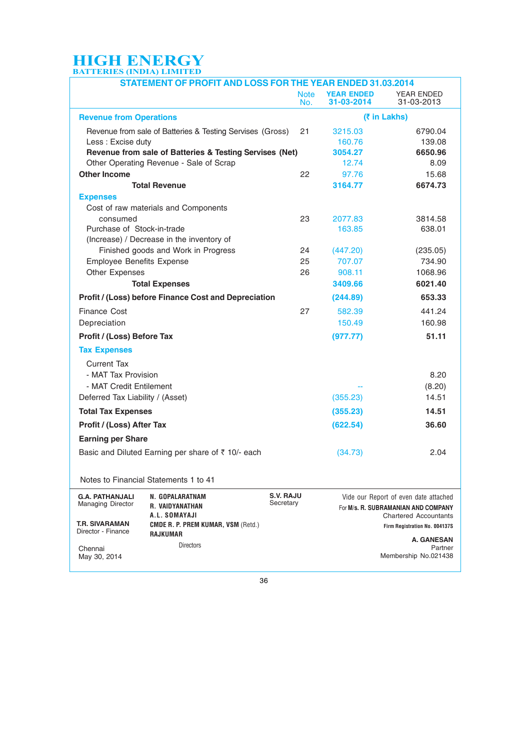| <b>STATEMENT OF PROFIT AND LOSS FOR THE YEAR ENDED 31.03.2014</b>                                                                   |                    |                                 |                                                                                                              |
|-------------------------------------------------------------------------------------------------------------------------------------|--------------------|---------------------------------|--------------------------------------------------------------------------------------------------------------|
|                                                                                                                                     | <b>Note</b><br>No. | <b>YEAR ENDED</b><br>31-03-2014 | YEAR ENDED<br>31-03-2013                                                                                     |
| <b>Revenue from Operations</b>                                                                                                      |                    |                                 | (₹ in Lakhs)                                                                                                 |
| Revenue from sale of Batteries & Testing Servises (Gross)                                                                           | 21                 | 3215.03                         | 6790.04                                                                                                      |
| Less: Excise duty                                                                                                                   |                    | 160.76                          | 139.08                                                                                                       |
| Revenue from sale of Batteries & Testing Servises (Net)                                                                             |                    | 3054.27                         | 6650.96                                                                                                      |
| Other Operating Revenue - Sale of Scrap                                                                                             |                    | 12.74                           | 8.09                                                                                                         |
| <b>Other Income</b>                                                                                                                 | 22                 | 97.76                           | 15.68                                                                                                        |
| <b>Total Revenue</b>                                                                                                                |                    | 3164.77                         | 6674.73                                                                                                      |
| <b>Expenses</b>                                                                                                                     |                    |                                 |                                                                                                              |
| Cost of raw materials and Components                                                                                                |                    |                                 |                                                                                                              |
| consumed                                                                                                                            | 23                 | 2077.83                         | 3814.58                                                                                                      |
| Purchase of Stock-in-trade<br>(Increase) / Decrease in the inventory of                                                             |                    | 163.85                          | 638.01                                                                                                       |
| Finished goods and Work in Progress                                                                                                 | 24                 | (447.20)                        | (235.05)                                                                                                     |
| <b>Employee Benefits Expense</b>                                                                                                    | 25                 | 707.07                          | 734.90                                                                                                       |
| <b>Other Expenses</b>                                                                                                               | 26                 | 908.11                          | 1068.96                                                                                                      |
| <b>Total Expenses</b>                                                                                                               |                    | 3409.66                         | 6021.40                                                                                                      |
| <b>Profit / (Loss) before Finance Cost and Depreciation</b>                                                                         |                    | (244.89)                        | 653.33                                                                                                       |
| Finance Cost                                                                                                                        | 27                 | 582.39                          | 441.24                                                                                                       |
| Depreciation                                                                                                                        |                    | 150.49                          | 160.98                                                                                                       |
| Profit / (Loss) Before Tax                                                                                                          |                    | (977.77)                        | 51.11                                                                                                        |
| <b>Tax Expenses</b>                                                                                                                 |                    |                                 |                                                                                                              |
| Current Tax                                                                                                                         |                    |                                 |                                                                                                              |
| - MAT Tax Provision                                                                                                                 |                    |                                 | 8.20                                                                                                         |
| - MAT Credit Entilement                                                                                                             |                    |                                 | (8.20)                                                                                                       |
| Deferred Tax Liability / (Asset)                                                                                                    |                    | (355.23)                        | 14.51                                                                                                        |
|                                                                                                                                     |                    |                                 |                                                                                                              |
| <b>Total Tax Expenses</b>                                                                                                           |                    | (355.23)                        | 14.51                                                                                                        |
| Profit / (Loss) After Tax                                                                                                           |                    | (622.54)                        | 36.60                                                                                                        |
| <b>Earning per Share</b>                                                                                                            |                    |                                 |                                                                                                              |
| Basic and Diluted Earning per share of ₹ 10/- each                                                                                  |                    | (34.73)                         | 2.04                                                                                                         |
| Notes to Financial Statements 1 to 41                                                                                               |                    |                                 |                                                                                                              |
| S.V. RAJU<br><b>G.A. PATHANJALI</b><br>N. GOPALARATNAM<br>Secretary<br><b>Managing Director</b><br>R. VAIDYANATHAN<br>A.L. SOMAYAJI |                    |                                 | Vide our Report of even date attached<br>For M/s. R. SUBRAMANIAN AND COMPANY<br><b>Chartered Accountants</b> |
| <b>T.R. SIVARAMAN</b><br><b>CMDE R. P. PREM KUMAR, VSM (Retd.)</b><br>Director - Finance                                            |                    |                                 | Firm Registration No. 004137S                                                                                |
| <b>RAJKUMAR</b>                                                                                                                     |                    |                                 | <b>A. GANESAN</b>                                                                                            |
| <b>Directors</b><br>Chennai<br>May 30, 2014                                                                                         |                    |                                 | Partner<br>Membership No.021438                                                                              |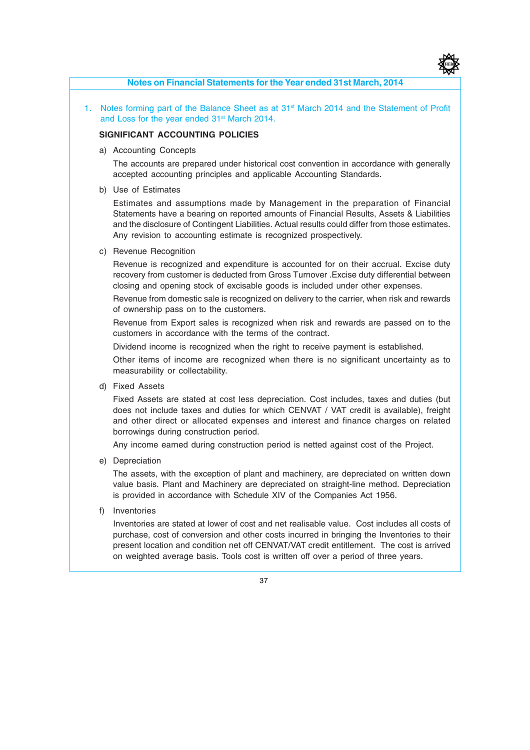

#### **Notes on Financial Statements for the Year ended 31st March, 2014**

1. Notes forming part of the Balance Sheet as at 31<sup>st</sup> March 2014 and the Statement of Profit and Loss for the year ended 31<sup>st</sup> March 2014.

#### **SIGNIFICANT ACCOUNTING POLICIES**

a) Accounting Concepts

The accounts are prepared under historical cost convention in accordance with generally accepted accounting principles and applicable Accounting Standards.

b) Use of Estimates

Estimates and assumptions made by Management in the preparation of Financial Statements have a bearing on reported amounts of Financial Results, Assets & Liabilities and the disclosure of Contingent Liabilities. Actual results could differ from those estimates. Any revision to accounting estimate is recognized prospectively.

c) Revenue Recognition

Revenue is recognized and expenditure is accounted for on their accrual. Excise duty recovery from customer is deducted from Gross Turnover .Excise duty differential between closing and opening stock of excisable goods is included under other expenses.

Revenue from domestic sale is recognized on delivery to the carrier, when risk and rewards of ownership pass on to the customers.

Revenue from Export sales is recognized when risk and rewards are passed on to the customers in accordance with the terms of the contract.

Dividend income is recognized when the right to receive payment is established.

Other items of income are recognized when there is no significant uncertainty as to measurability or collectability.

d) Fixed Assets

Fixed Assets are stated at cost less depreciation. Cost includes, taxes and duties (but does not include taxes and duties for which CENVAT / VAT credit is available), freight and other direct or allocated expenses and interest and finance charges on related borrowings during construction period.

Any income earned during construction period is netted against cost of the Project.

e) Depreciation

The assets, with the exception of plant and machinery, are depreciated on written down value basis. Plant and Machinery are depreciated on straight-line method. Depreciation is provided in accordance with Schedule XIV of the Companies Act 1956.

f) Inventories

Inventories are stated at lower of cost and net realisable value. Cost includes all costs of purchase, cost of conversion and other costs incurred in bringing the Inventories to their present location and condition net off CENVAT/VAT credit entitlement. The cost is arrived on weighted average basis. Tools cost is written off over a period of three years.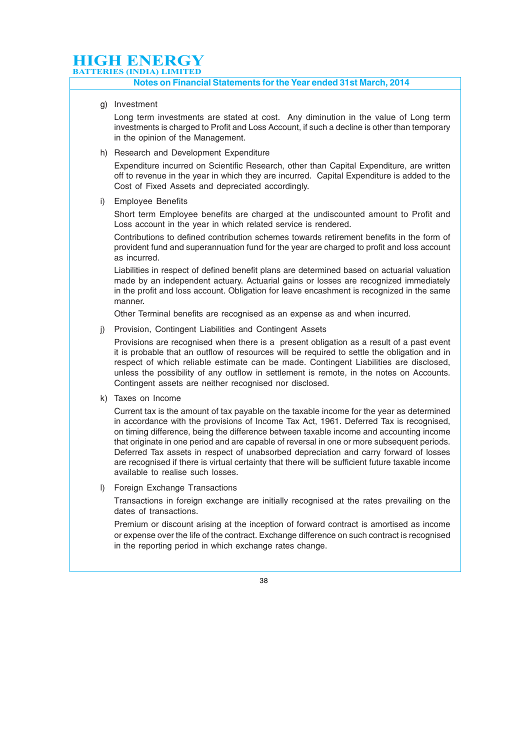#### **Notes on Financial Statements for the Year ended 31st March, 2014**

g) Investment

Long term investments are stated at cost. Any diminution in the value of Long term investments is charged to Profit and Loss Account, if such a decline is other than temporary in the opinion of the Management.

h) Research and Development Expenditure

Expenditure incurred on Scientific Research, other than Capital Expenditure, are written off to revenue in the year in which they are incurred. Capital Expenditure is added to the Cost of Fixed Assets and depreciated accordingly.

i) Employee Benefits

Short term Employee benefits are charged at the undiscounted amount to Profit and Loss account in the year in which related service is rendered.

Contributions to defined contribution schemes towards retirement benefits in the form of provident fund and superannuation fund for the year are charged to profit and loss account as incurred.

Liabilities in respect of defined benefit plans are determined based on actuarial valuation made by an independent actuary. Actuarial gains or losses are recognized immediately in the profit and loss account. Obligation for leave encashment is recognized in the same manner.

Other Terminal benefits are recognised as an expense as and when incurred.

j) Provision, Contingent Liabilities and Contingent Assets

Provisions are recognised when there is a present obligation as a result of a past event it is probable that an outflow of resources will be required to settle the obligation and in respect of which reliable estimate can be made. Contingent Liabilities are disclosed, unless the possibility of any outflow in settlement is remote, in the notes on Accounts. Contingent assets are neither recognised nor disclosed.

k) Taxes on Income

Current tax is the amount of tax payable on the taxable income for the year as determined in accordance with the provisions of Income Tax Act, 1961. Deferred Tax is recognised, on timing difference, being the difference between taxable income and accounting income that originate in one period and are capable of reversal in one or more subsequent periods. Deferred Tax assets in respect of unabsorbed depreciation and carry forward of losses are recognised if there is virtual certainty that there will be sufficient future taxable income available to realise such losses.

l) Foreign Exchange Transactions

Transactions in foreign exchange are initially recognised at the rates prevailing on the dates of transactions.

Premium or discount arising at the inception of forward contract is amortised as income or expense over the life of the contract. Exchange difference on such contract is recognised in the reporting period in which exchange rates change.

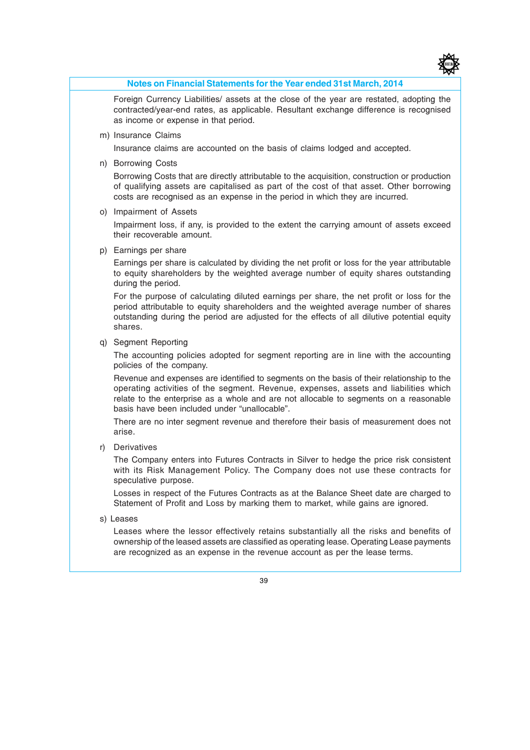

#### **Notes on Financial Statements for the Year ended 31st March, 2014**

Foreign Currency Liabilities/ assets at the close of the year are restated, adopting the contracted/year-end rates, as applicable. Resultant exchange difference is recognised as income or expense in that period.

m) Insurance Claims

Insurance claims are accounted on the basis of claims lodged and accepted.

n) Borrowing Costs

Borrowing Costs that are directly attributable to the acquisition, construction or production of qualifying assets are capitalised as part of the cost of that asset. Other borrowing costs are recognised as an expense in the period in which they are incurred.

o) Impairment of Assets

Impairment loss, if any, is provided to the extent the carrying amount of assets exceed their recoverable amount.

p) Earnings per share

Earnings per share is calculated by dividing the net profit or loss for the year attributable to equity shareholders by the weighted average number of equity shares outstanding during the period.

For the purpose of calculating diluted earnings per share, the net profit or loss for the period attributable to equity shareholders and the weighted average number of shares outstanding during the period are adjusted for the effects of all dilutive potential equity shares.

q) Segment Reporting

The accounting policies adopted for segment reporting are in line with the accounting policies of the company.

Revenue and expenses are identified to segments on the basis of their relationship to the operating activities of the segment. Revenue, expenses, assets and liabilities which relate to the enterprise as a whole and are not allocable to segments on a reasonable basis have been included under "unallocable".

There are no inter segment revenue and therefore their basis of measurement does not arise.

r) Derivatives

The Company enters into Futures Contracts in Silver to hedge the price risk consistent with its Risk Management Policy. The Company does not use these contracts for speculative purpose.

Losses in respect of the Futures Contracts as at the Balance Sheet date are charged to Statement of Profit and Loss by marking them to market, while gains are ignored.

s) Leases

Leases where the lessor effectively retains substantially all the risks and benefits of ownership of the leased assets are classified as operating lease. Operating Lease payments are recognized as an expense in the revenue account as per the lease terms.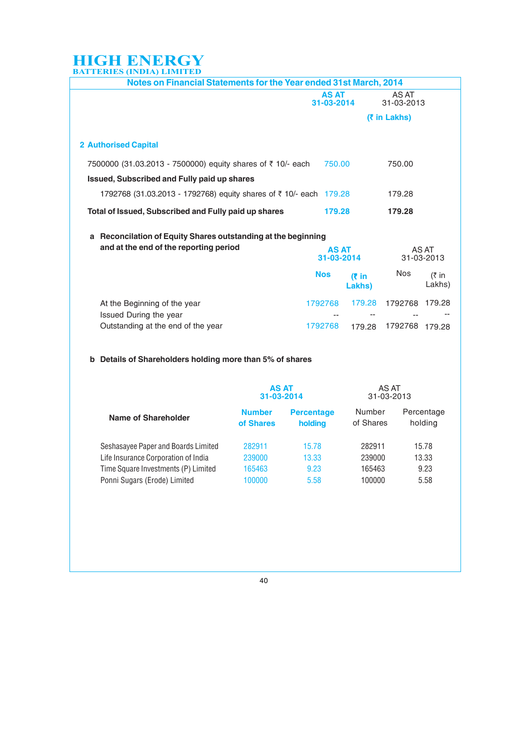| Notes on Financial Statements for the Year ended 31st March, 2014                                          |                            |                            |                     |                         |
|------------------------------------------------------------------------------------------------------------|----------------------------|----------------------------|---------------------|-------------------------|
|                                                                                                            | <b>AS AT</b><br>31-03-2014 |                            | AS AT<br>31-03-2013 |                         |
|                                                                                                            |                            |                            | (₹ in Lakhs)        |                         |
| <b>2 Authorised Capital</b>                                                                                |                            |                            |                     |                         |
| 7500000 (31.03.2013 - 7500000) equity shares of ₹ 10/- each<br>Issued, Subscribed and Fully paid up shares | 750.00                     |                            | 750.00              |                         |
| 1792768 (31.03.2013 - 1792768) equity shares of ₹ 10/- each 179.28                                         |                            |                            | 179.28              |                         |
| Total of Issued, Subscribed and Fully paid up shares                                                       | 179.28                     |                            | 179.28              |                         |
| Reconcilation of Equity Shares outstanding at the beginning<br>a                                           |                            |                            |                     |                         |
| and at the end of the reporting period                                                                     |                            | <b>AS AT</b><br>31-03-2014 |                     | AS AT<br>31-03-2013     |
|                                                                                                            | <b>Nos</b>                 | $(5)$ in<br>Lakhs)         | Nos                 | $(3 \nmid n)$<br>Lakhs) |
| At the Beginning of the year<br>Issued During the year                                                     | 1792768                    | 179.28                     | 1792768 179.28      |                         |
| Outstanding at the end of the year                                                                         | 1792768                    | 179.28                     | 1792768             | 179.28                  |
|                                                                                                            |                            |                            |                     |                         |

#### **b Details of Shareholders holding more than 5% of shares**

|                                     | <b>AS AT</b><br>31-03-2014 |                              | AS AT<br>31-03-2013 |                       |
|-------------------------------------|----------------------------|------------------------------|---------------------|-----------------------|
| <b>Name of Shareholder</b>          | <b>Number</b><br>of Shares | <b>Percentage</b><br>holding | Number<br>of Shares | Percentage<br>holding |
| Seshasayee Paper and Boards Limited | 282911                     | 15.78                        | 282911              | 15.78                 |
| Life Insurance Corporation of India | 239000                     | 13.33                        | 239000              | 13.33                 |
| Time Square Investments (P) Limited | 165463                     | 9.23                         | 165463              | 9.23                  |
| Ponni Sugars (Erode) Limited        | 100000                     | 5.58                         | 100000              | 5.58                  |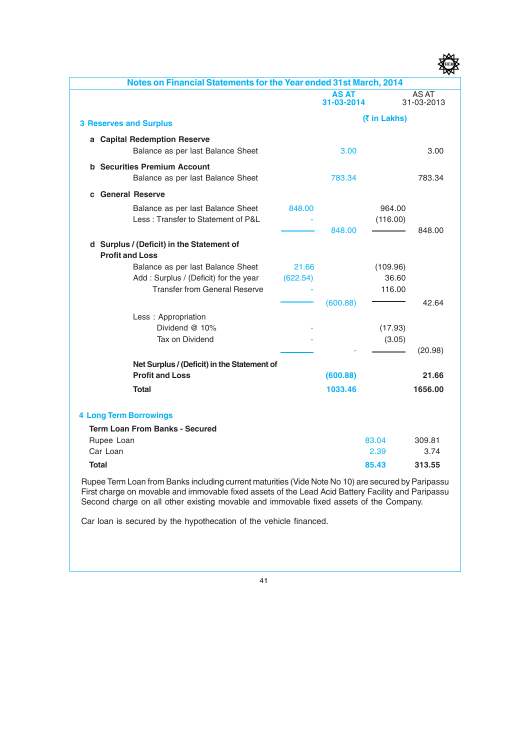| Notes on Financial Statements for the Year ended 31st March, 2014   |          |                            |              |                     |
|---------------------------------------------------------------------|----------|----------------------------|--------------|---------------------|
|                                                                     |          | <b>AS AT</b><br>31-03-2014 |              | AS AT<br>31-03-2013 |
| <b>3 Reserves and Surplus</b>                                       |          |                            | (₹ in Lakhs) |                     |
| a Capital Redemption Reserve                                        |          |                            |              |                     |
| Balance as per last Balance Sheet                                   |          | 3.00                       |              | 3.00                |
| <b>b</b> Securities Premium Account                                 |          |                            |              |                     |
| Balance as per last Balance Sheet                                   |          | 783.34                     |              | 783.34              |
| <b>General Reserve</b><br>C                                         |          |                            |              |                     |
| Balance as per last Balance Sheet                                   | 848,00   |                            | 964.00       |                     |
| Less: Transfer to Statement of P&L                                  |          |                            | (116.00)     |                     |
|                                                                     |          | 848.00                     |              | 848.00              |
| d Surplus / (Deficit) in the Statement of<br><b>Profit and Loss</b> |          |                            |              |                     |
| Balance as per last Balance Sheet                                   | 21.66    |                            | (109.96)     |                     |
| Add: Surplus / (Deficit) for the year                               | (622.54) |                            | 36.60        |                     |
| <b>Transfer from General Reserve</b>                                |          |                            | 116.00       |                     |
|                                                                     |          | (600.88)                   |              | 42.64               |
| Less: Appropriation                                                 |          |                            |              |                     |
| Dividend @ 10%<br>Tax on Dividend                                   |          |                            | (17.93)      |                     |
|                                                                     |          |                            | (3.05)       | (20.98)             |
| Net Surplus / (Deficit) in the Statement of                         |          |                            |              |                     |
| <b>Profit and Loss</b>                                              |          | (600.88)                   |              | 21.66               |
| <b>Total</b>                                                        |          | 1033.46                    |              | 1656.00             |
|                                                                     |          |                            |              |                     |
| <b>4 Long Term Borrowings</b>                                       |          |                            |              |                     |
| <b>Term Loan From Banks - Secured</b>                               |          |                            |              |                     |
| Rupee Loan                                                          |          |                            | 83.04        | 309.81              |
| Car Loan                                                            |          |                            | 2.39         | 3.74                |
| <b>Total</b>                                                        |          |                            | 85.43        | 313.55              |
|                                                                     |          |                            |              |                     |

Rupee Term Loan from Banks including current maturities (Vide Note No 10) are secured by Paripassu First charge on movable and immovable fixed assets of the Lead Acid Battery Facility and Paripassu Second charge on all other existing movable and immovable fixed assets of the Company.

Car loan is secured by the hypothecation of the vehicle financed.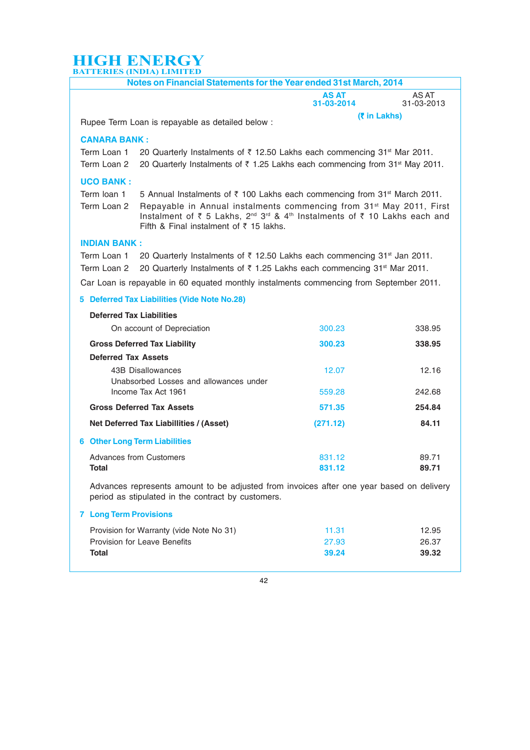|                               | Notes on Financial Statements for the Year ended 31st March, 2014                                                                                                                                                                                       |                     |                     |
|-------------------------------|---------------------------------------------------------------------------------------------------------------------------------------------------------------------------------------------------------------------------------------------------------|---------------------|---------------------|
|                               |                                                                                                                                                                                                                                                         | AS AT<br>31-03-2014 | AS AT<br>31-03-2013 |
|                               | Rupee Term Loan is repayable as detailed below :                                                                                                                                                                                                        | (₹ in Lakhs)        |                     |
| <b>CANARA BANK:</b>           |                                                                                                                                                                                                                                                         |                     |                     |
| Term Loan 1                   | 20 Quarterly Instalments of ₹ 12.50 Lakhs each commencing 31 <sup>st</sup> Mar 2011.                                                                                                                                                                    |                     |                     |
| Term Loan 2                   | 20 Quarterly Instalments of ₹ 1.25 Lakhs each commencing from 31 <sup>st</sup> May 2011.                                                                                                                                                                |                     |                     |
| <b>UCO BANK:</b>              |                                                                                                                                                                                                                                                         |                     |                     |
| Term loan 1                   | 5 Annual Instalments of ₹ 100 Lakhs each commencing from 31 <sup>st</sup> March 2011.                                                                                                                                                                   |                     |                     |
| Term Loan 2                   | Repayable in Annual instalments commencing from 31 <sup>st</sup> May 2011, First<br>Instalment of ₹ 5 Lakhs, 2 <sup>nd</sup> 3 <sup>rd</sup> & 4 <sup>th</sup> Instalments of ₹ 10 Lakhs each and<br>Fifth & Final instalment of $\bar{\tau}$ 15 lakhs. |                     |                     |
| <b>INDIAN BANK:</b>           |                                                                                                                                                                                                                                                         |                     |                     |
| Term Loan 1                   | 20 Quarterly Instalments of ₹ 12.50 Lakhs each commencing 31 <sup>st</sup> Jan 2011.                                                                                                                                                                    |                     |                     |
| Term Loan 2                   | 20 Quarterly Instalments of ₹ 1.25 Lakhs each commencing 31 <sup>st</sup> Mar 2011.                                                                                                                                                                     |                     |                     |
|                               | Car Loan is repayable in 60 equated monthly instalments commencing from September 2011.                                                                                                                                                                 |                     |                     |
|                               | 5 Deferred Tax Liabilities (Vide Note No.28)                                                                                                                                                                                                            |                     |                     |
|                               | <b>Deferred Tax Liabilities</b>                                                                                                                                                                                                                         |                     |                     |
|                               | On account of Depreciation                                                                                                                                                                                                                              | 300.23              | 338.95              |
|                               | <b>Gross Deferred Tax Liability</b>                                                                                                                                                                                                                     | 300.23              | 338.95              |
|                               | <b>Deferred Tax Assets</b>                                                                                                                                                                                                                              |                     |                     |
|                               | 43B Disallowances                                                                                                                                                                                                                                       | 12.07               | 12.16               |
|                               | Unabsorbed Losses and allowances under<br>Income Tax Act 1961                                                                                                                                                                                           | 559.28              | 242.68              |
|                               |                                                                                                                                                                                                                                                         |                     |                     |
|                               | <b>Gross Deferred Tax Assets</b>                                                                                                                                                                                                                        | 571.35              | 254.84              |
|                               | Net Deferred Tax Liabillities / (Asset)                                                                                                                                                                                                                 | (271.12)            | 84.11               |
|                               | <b>6 Other Long Term Liabilities</b>                                                                                                                                                                                                                    |                     |                     |
|                               | Advances from Customers                                                                                                                                                                                                                                 | 831.12              | 89.71               |
| Total                         |                                                                                                                                                                                                                                                         | 831.12              | 89.71               |
|                               | Advances represents amount to be adjusted from invoices after one year based on delivery<br>period as stipulated in the contract by customers.                                                                                                          |                     |                     |
| <b>7 Long Term Provisions</b> |                                                                                                                                                                                                                                                         |                     |                     |
|                               | Provision for Warranty (vide Note No 31)                                                                                                                                                                                                                | 11.31               | 12.95               |
|                               | <b>Provision for Leave Benefits</b>                                                                                                                                                                                                                     | 27.93               | 26.37               |
| Total                         |                                                                                                                                                                                                                                                         | 39.24               | 39.32               |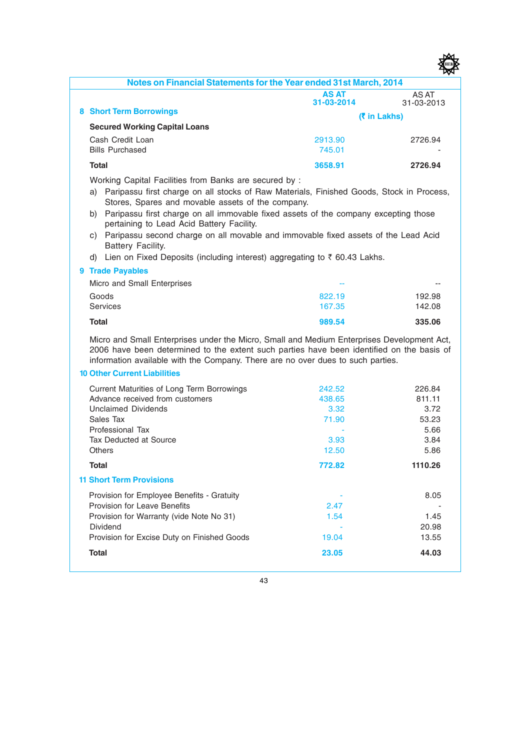

|                                                                                                                                                                                                                                                                            |                            | 쨔                   |
|----------------------------------------------------------------------------------------------------------------------------------------------------------------------------------------------------------------------------------------------------------------------------|----------------------------|---------------------|
| Notes on Financial Statements for the Year ended 31st March, 2014                                                                                                                                                                                                          |                            |                     |
|                                                                                                                                                                                                                                                                            | <b>AS AT</b><br>31-03-2014 | AS AT<br>31-03-2013 |
| <b>8 Short Term Borrowings</b>                                                                                                                                                                                                                                             |                            | <b>(₹ in Lakhs)</b> |
| <b>Secured Working Capital Loans</b>                                                                                                                                                                                                                                       |                            |                     |
| Cash Credit Loan                                                                                                                                                                                                                                                           | 2913.90                    | 2726.94             |
| <b>Bills Purchased</b>                                                                                                                                                                                                                                                     | 745.01                     |                     |
| <b>Total</b>                                                                                                                                                                                                                                                               | 3658.91                    | 2726.94             |
| Working Capital Facilities from Banks are secured by :                                                                                                                                                                                                                     |                            |                     |
| a) Paripassu first charge on all stocks of Raw Materials, Finished Goods, Stock in Process,                                                                                                                                                                                |                            |                     |
| Stores, Spares and movable assets of the company.                                                                                                                                                                                                                          |                            |                     |
| b) Paripassu first charge on all immovable fixed assets of the company excepting those<br>pertaining to Lead Acid Battery Facility.                                                                                                                                        |                            |                     |
| c) Paripassu second charge on all movable and immovable fixed assets of the Lead Acid                                                                                                                                                                                      |                            |                     |
| Battery Facility.                                                                                                                                                                                                                                                          |                            |                     |
| d) Lien on Fixed Deposits (including interest) aggregating to ₹ 60.43 Lakhs.                                                                                                                                                                                               |                            |                     |
| <b>9 Trade Payables</b>                                                                                                                                                                                                                                                    |                            |                     |
| Micro and Small Enterprises                                                                                                                                                                                                                                                |                            |                     |
| Goods                                                                                                                                                                                                                                                                      | 822.19                     | 192.98              |
| Services                                                                                                                                                                                                                                                                   | 167.35                     | 142.08              |
| <b>Total</b>                                                                                                                                                                                                                                                               | 989.54                     | 335.06              |
| Micro and Small Enterprises under the Micro, Small and Medium Enterprises Development Act,<br>2006 have been determined to the extent such parties have been identified on the basis of<br>information available with the Company. There are no over dues to such parties. |                            |                     |
| <b>10 Other Current Liabilities</b>                                                                                                                                                                                                                                        |                            |                     |
| Current Maturities of Long Term Borrowings                                                                                                                                                                                                                                 | 242.52                     | 226.84              |
| Advance received from customers                                                                                                                                                                                                                                            | 438.65                     | 811.11              |
| <b>Unclaimed Dividends</b>                                                                                                                                                                                                                                                 | 3.32                       | 3.72                |
| Sales Tax<br>Professional Tax                                                                                                                                                                                                                                              | 71.90                      | 53.23<br>5.66       |
| <b>Tax Deducted at Source</b>                                                                                                                                                                                                                                              | 3.93                       | 3.84                |
| <b>Others</b>                                                                                                                                                                                                                                                              | 12.50                      | 5.86                |
| Total                                                                                                                                                                                                                                                                      | 772.82                     | 1110.26             |
| <b>11 Short Term Provisions</b>                                                                                                                                                                                                                                            |                            |                     |
| Provision for Employee Benefits - Gratuity                                                                                                                                                                                                                                 |                            | 8.05                |
| <b>Provision for Leave Benefits</b>                                                                                                                                                                                                                                        | 2.47                       |                     |
| Provision for Warranty (vide Note No 31)                                                                                                                                                                                                                                   | 1.54                       | 1.45                |
| Dividend<br>Provision for Excise Duty on Finished Goods                                                                                                                                                                                                                    |                            | 20.98               |
|                                                                                                                                                                                                                                                                            | 19.04                      | 13.55               |
| <b>Total</b>                                                                                                                                                                                                                                                               | 23.05                      | 44.03               |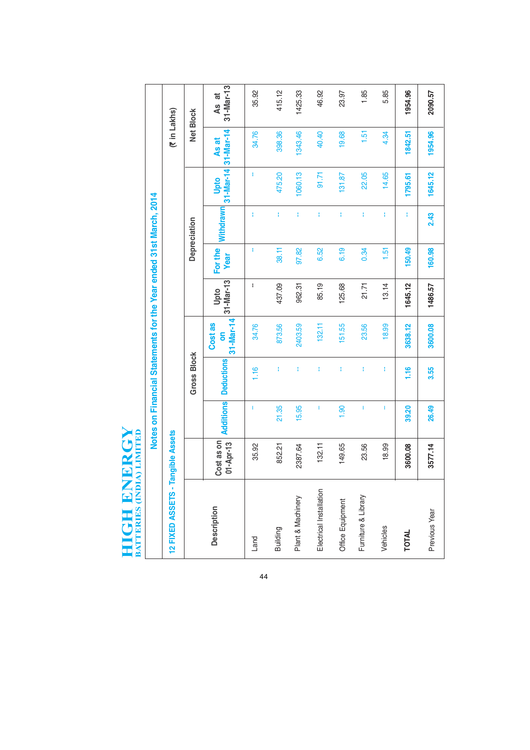# **HIGH ENERGY**<br>BATTERLES (INDIA) LIMITED **HIGH ENERGY**

| ť                                                              |  |
|----------------------------------------------------------------|--|
|                                                                |  |
|                                                                |  |
| ī                                                              |  |
|                                                                |  |
|                                                                |  |
|                                                                |  |
|                                                                |  |
|                                                                |  |
|                                                                |  |
|                                                                |  |
|                                                                |  |
|                                                                |  |
|                                                                |  |
|                                                                |  |
|                                                                |  |
|                                                                |  |
|                                                                |  |
|                                                                |  |
|                                                                |  |
|                                                                |  |
|                                                                |  |
|                                                                |  |
|                                                                |  |
|                                                                |  |
|                                                                |  |
|                                                                |  |
|                                                                |  |
|                                                                |  |
|                                                                |  |
|                                                                |  |
|                                                                |  |
|                                                                |  |
|                                                                |  |
|                                                                |  |
|                                                                |  |
|                                                                |  |
|                                                                |  |
|                                                                |  |
|                                                                |  |
|                                                                |  |
|                                                                |  |
|                                                                |  |
|                                                                |  |
|                                                                |  |
|                                                                |  |
|                                                                |  |
|                                                                |  |
|                                                                |  |
|                                                                |  |
|                                                                |  |
|                                                                |  |
| ׇ֚֚֬                                                           |  |
| ļ                                                              |  |
|                                                                |  |
| ī                                                              |  |
|                                                                |  |
|                                                                |  |
|                                                                |  |
|                                                                |  |
|                                                                |  |
|                                                                |  |
|                                                                |  |
|                                                                |  |
|                                                                |  |
|                                                                |  |
| ֚֚֚֚֬                                                          |  |
|                                                                |  |
|                                                                |  |
|                                                                |  |
|                                                                |  |
|                                                                |  |
|                                                                |  |
|                                                                |  |
| ֖֪ׅ֚֚֚֚֚֚֚֚֚֚֚֚֚֚֚֚֚֚֚֚֬֝֝֝֝֝֬֝֬֝֬֝֬֝֬֝֬֝֬֝֬֝֓֬֝֬֝֬֓֬֝֬֝֓֬֝֬֝֬ |  |
|                                                                |  |
|                                                                |  |
|                                                                |  |
| í                                                              |  |
|                                                                |  |
|                                                                |  |
| i<br>i                                                         |  |
|                                                                |  |

|                         |                             |           | Notes on Financial Statements for the Year ended 31st March, 2014 |                                 |                   |                        |              |         |                              |                                  |
|-------------------------|-----------------------------|-----------|-------------------------------------------------------------------|---------------------------------|-------------------|------------------------|--------------|---------|------------------------------|----------------------------------|
| 12 FIXED ASSETS -       | angible Assets              |           |                                                                   |                                 |                   |                        |              |         | (₹in Lakhs)                  |                                  |
|                         |                             |           | <b>Gross Block</b>                                                |                                 |                   |                        | Depreciation |         |                              | Net Block                        |
| <b>Description</b>      | $01 -$ Apr-13<br>Cost as on | Additions | <b>Deductions</b>                                                 | $31 - Max - 14$<br>Cost as<br>5 | 31-Mar-13<br>Upto | For the<br><b>Year</b> | Withdrawn    | Upto    | 31-Mar-14 31-Mar-14<br>As at | 31-Mar-13<br>ಸ<br>$\overline{4}$ |
| Land                    | 35.92                       | T         | 1.16                                                              | 34.76                           | ł                 | ŧ                      | ŧ            | ŧ       | 34.76                        | 35.92                            |
| Building                | 852.21                      | 21.35     | ŧ                                                                 | 873.56                          | 437.09            | 38.11                  | ŧ            | 475.20  | 398.36                       | 415.12                           |
| Plant & Machinery       | 2387.64                     | 15.95     | ł                                                                 | 2403.59                         | 962.31            | 97.82                  | ŧ            | 1060.13 | 1343.46                      | 1425.33                          |
| Electrical Installation | 132.11                      | I         | ŧ                                                                 | 132.11                          | 85.19             | 6.52                   | ł            | 91.71   | 40.40                        | 46.92                            |
| Office Equipment        | 149.65                      | 1.90      | ł                                                                 | 151.55                          | 125.68            | 6.19                   | ŧ            | 131.87  | 19.68                        | 23.97                            |
| Furniture & Library     | 23.56                       | I         | ł                                                                 | 23.56                           | 21.71             | 0.34                   | ł            | 22.05   | 1.51                         | 1.85                             |
| Vehicles                | 18.99                       |           | ł                                                                 | 18.99                           | 13.14             | 1.51                   | ł            | 14.65   | 4.34                         | 5.85                             |
| <b>TOTAL</b>            | 3600.08                     | 39.20     | 1.16                                                              | 3638.12                         | 1645.12           | 150.49                 | Ŧ            | 1795.61 | 1842.51                      | 1954.96                          |
| Previous Year           | 3577.14                     | 26.49     | 3.55                                                              | 3600.08                         | 1486.57           | 160.98                 | 2.43         | 1645.12 | 1954.96                      | 2090.57                          |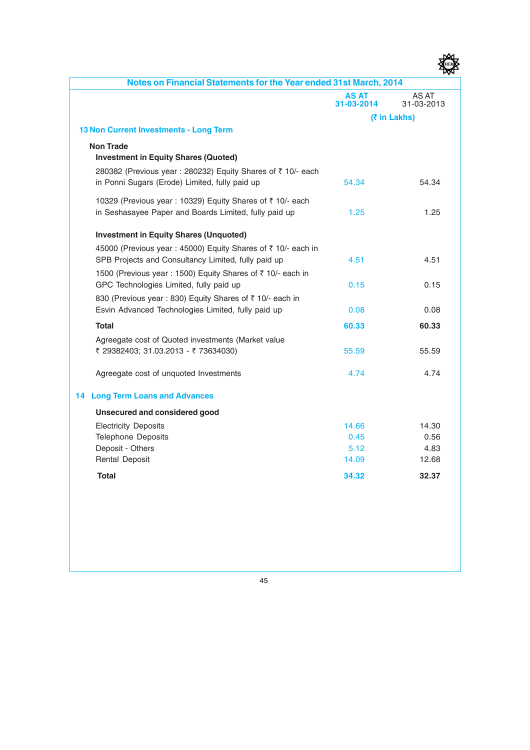| Notes on Financial Statements for the Year ended 31st March, 2014                                                   |                            |                     |
|---------------------------------------------------------------------------------------------------------------------|----------------------------|---------------------|
|                                                                                                                     | <b>AS AT</b><br>31-03-2014 | AS AT<br>31-03-2013 |
|                                                                                                                     |                            | (₹ in Lakhs)        |
| 13 Non Current Investments - Long Term                                                                              |                            |                     |
| <b>Non Trade</b><br><b>Investment in Equity Shares (Quoted)</b>                                                     |                            |                     |
| 280382 (Previous year : 280232) Equity Shares of ₹ 10/- each<br>in Ponni Sugars (Erode) Limited, fully paid up      | 54.34                      | 54.34               |
| 10329 (Previous year: 10329) Equity Shares of ₹ 10/- each<br>in Seshasayee Paper and Boards Limited, fully paid up  | 1.25                       | 1.25                |
| <b>Investment in Equity Shares (Unquoted)</b>                                                                       |                            |                     |
| 45000 (Previous year: 45000) Equity Shares of ₹ 10/- each in<br>SPB Projects and Consultancy Limited, fully paid up | 4.51                       | 4.51                |
| 1500 (Previous year : 1500) Equity Shares of ₹ 10/- each in<br>GPC Technologies Limited, fully paid up              | 0.15                       | 0.15                |
| 830 (Previous year : 830) Equity Shares of ₹ 10/- each in<br>Esvin Advanced Technologies Limited, fully paid up     | 0.08                       | 0.08                |
| <b>Total</b>                                                                                                        | 60.33                      | 60.33               |
| Agreegate cost of Quoted investments (Market value<br>₹ 29382403; 31.03.2013 - ₹ 73634030)                          | 55.59                      | 55.59               |
| Agreegate cost of unquoted Investments                                                                              | 4.74                       | 4.74                |
| <b>14 Long Term Loans and Advances</b>                                                                              |                            |                     |
| Unsecured and considered good                                                                                       |                            |                     |
| <b>Electricity Deposits</b>                                                                                         | 14.66                      | 14.30               |
| <b>Telephone Deposits</b>                                                                                           | 0.45                       | 0.56                |
| Deposit - Others                                                                                                    | 5.12                       | 4.83                |
| <b>Rental Deposit</b>                                                                                               | 14.09                      | 12.68               |
| <b>Total</b>                                                                                                        | 34.32                      | 32.37               |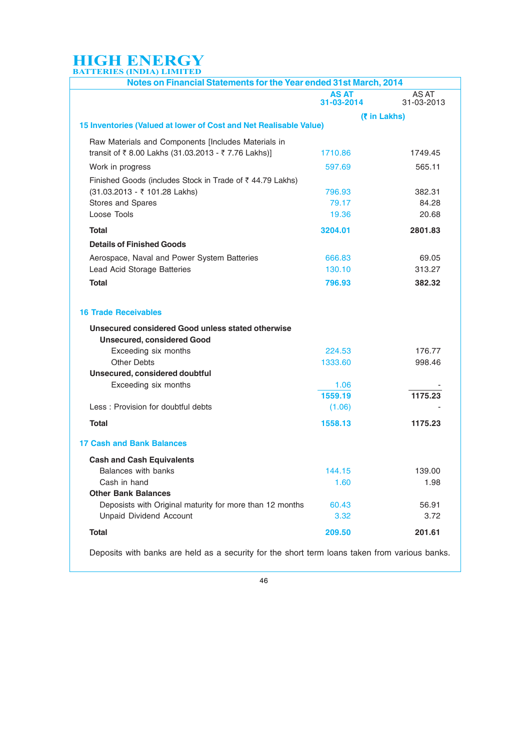| Notes on Financial Statements for the Year ended 31st March, 2014 |                            |                     |
|-------------------------------------------------------------------|----------------------------|---------------------|
|                                                                   | <b>AS AT</b><br>31-03-2014 | AS AT<br>31-03-2013 |
|                                                                   |                            | <b>(₹ in Lakhs)</b> |
| 15 Inventories (Valued at lower of Cost and Net Realisable Value) |                            |                     |
| Raw Materials and Components [Includes Materials in               |                            |                     |
| transit of ₹8.00 Lakhs (31.03.2013 - ₹7.76 Lakhs)]                | 1710.86                    | 1749.45             |
| Work in progress                                                  | 597.69                     | 565.11              |
| Finished Goods (includes Stock in Trade of ₹44.79 Lakhs)          |                            |                     |
| (31.03.2013 - ₹ 101.28 Lakhs)                                     | 796.93                     | 382.31              |
| Stores and Spares                                                 | 79.17                      | 84.28               |
| Loose Tools                                                       | 19.36                      | 20.68               |
| Total                                                             | 3204.01                    | 2801.83             |
| <b>Details of Finished Goods</b>                                  |                            |                     |
| Aerospace, Naval and Power System Batteries                       | 666.83                     | 69.05               |
| Lead Acid Storage Batteries                                       | 130.10                     | 313.27              |
| <b>Total</b>                                                      | 796.93                     | 382.32              |
|                                                                   |                            |                     |
|                                                                   |                            |                     |
| <b>16 Trade Receivables</b>                                       |                            |                     |
| Unsecured considered Good unless stated otherwise                 |                            |                     |
| <b>Unsecured, considered Good</b>                                 |                            |                     |
| Exceeding six months                                              | 224.53                     | 176.77              |
| <b>Other Debts</b>                                                | 1333.60                    | 998.46              |
| Unsecured, considered doubtful                                    |                            |                     |
| Exceeding six months                                              | 1.06                       |                     |
|                                                                   | 1559.19                    | 1175.23             |
| Less: Provision for doubtful debts                                | (1.06)                     |                     |
| <b>Total</b>                                                      | 1558.13                    | 1175.23             |
| <b>17 Cash and Bank Balances</b>                                  |                            |                     |
| <b>Cash and Cash Equivalents</b>                                  |                            |                     |
| Balances with banks                                               | 144.15                     | 139.00              |
| Cash in hand                                                      | 1.60                       | 1.98                |
| <b>Other Bank Balances</b>                                        |                            |                     |
| Deposists with Original maturity for more than 12 months          | 60.43                      | 56.91               |
| <b>Unpaid Dividend Account</b>                                    | 3.32                       | 3.72                |
| <b>Total</b>                                                      | 209.50                     | 201.61              |
|                                                                   |                            |                     |

Deposits with banks are held as a security for the short term loans taken from various banks.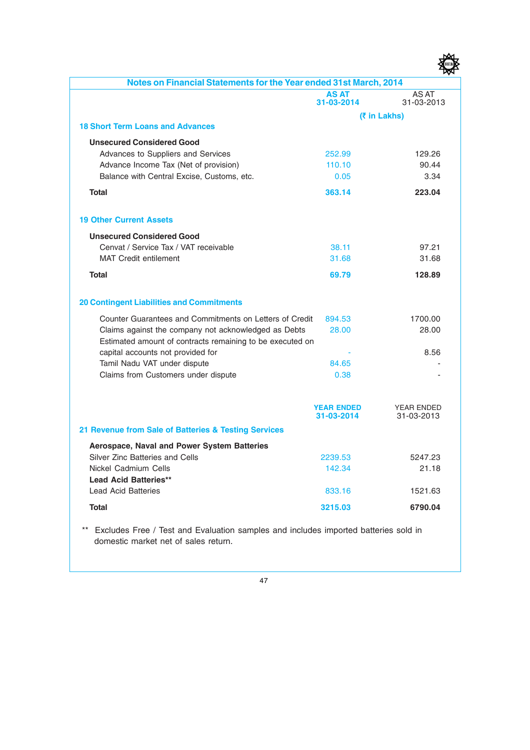| F) |
|----|
|    |

| Notes on Financial Statements for the Year ended 31st March, 2014                                                 |                                 |                                 |
|-------------------------------------------------------------------------------------------------------------------|---------------------------------|---------------------------------|
|                                                                                                                   | <b>AS AT</b><br>31-03-2014      | AS AT<br>31-03-2013             |
|                                                                                                                   |                                 | (₹ in Lakhs)                    |
| <b>18 Short Term Loans and Advances</b>                                                                           |                                 |                                 |
| <b>Unsecured Considered Good</b>                                                                                  |                                 |                                 |
| Advances to Suppliers and Services                                                                                | 252.99                          | 129.26                          |
| Advance Income Tax (Net of provision)                                                                             | 110.10                          | 90.44                           |
| Balance with Central Excise, Customs, etc.                                                                        | 0.05                            | 3.34                            |
| <b>Total</b>                                                                                                      | 363.14                          | 223.04                          |
| <b>19 Other Current Assets</b>                                                                                    |                                 |                                 |
| <b>Unsecured Considered Good</b>                                                                                  |                                 |                                 |
| Cenvat / Service Tax / VAT receivable                                                                             | 38.11                           | 97.21                           |
| <b>MAT Credit entilement</b>                                                                                      | 31.68                           | 31.68                           |
| <b>Total</b>                                                                                                      | 69.79                           | 128.89                          |
|                                                                                                                   |                                 |                                 |
| <b>20 Contingent Liabilities and Commitments</b>                                                                  |                                 |                                 |
| Counter Guarantees and Commitments on Letters of Credit                                                           | 894.53                          | 1700.00                         |
| Claims against the company not acknowledged as Debts<br>Estimated amount of contracts remaining to be executed on | 28.00                           | 28.00                           |
| capital accounts not provided for                                                                                 |                                 | 8.56                            |
| Tamil Nadu VAT under dispute                                                                                      | 84.65                           |                                 |
| Claims from Customers under dispute                                                                               | 0.38                            |                                 |
|                                                                                                                   |                                 |                                 |
|                                                                                                                   | <b>YEAR ENDED</b><br>31-03-2014 | <b>YEAR ENDED</b><br>31-03-2013 |
| 21 Revenue from Sale of Batteries & Testing Services                                                              |                                 |                                 |
| Aerospace, Naval and Power System Batteries                                                                       |                                 |                                 |
| Silver Zinc Batteries and Cells                                                                                   | 2239.53                         | 5247.23                         |
| Nickel Cadmium Cells                                                                                              | 142.34                          | 21.18                           |
| <b>Lead Acid Batteries**</b>                                                                                      |                                 |                                 |
| <b>Lead Acid Batteries</b>                                                                                        | 833.16                          | 1521.63                         |
| <b>Total</b>                                                                                                      | 3215.03                         | 6790.04                         |
| Excluded Free / Test and Evaluation samples and included imported batteries sold in                               |                                 |                                 |

Excludes Free / Test and Evaluation samples and includes imported batteries sold in domestic market net of sales return.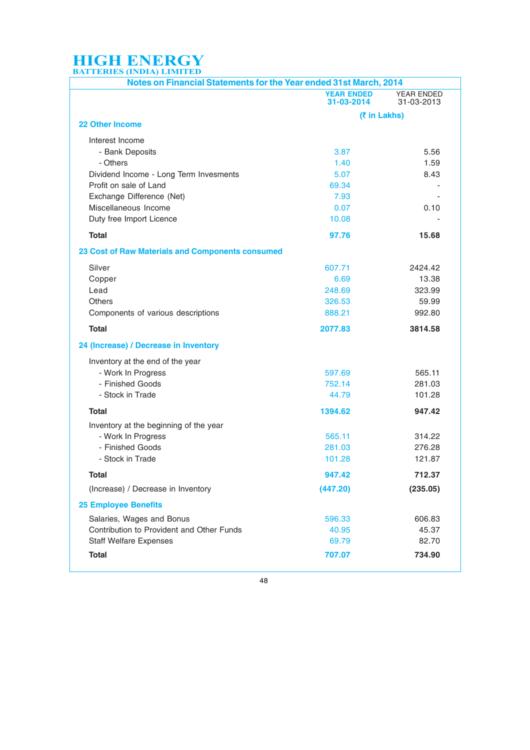| Notes on Financial Statements for the Year ended 31st March, 2014 |                                 |                                 |  |  |  |
|-------------------------------------------------------------------|---------------------------------|---------------------------------|--|--|--|
|                                                                   | <b>YEAR ENDED</b><br>31-03-2014 | <b>YEAR ENDED</b><br>31-03-2013 |  |  |  |
|                                                                   | (₹ in Lakhs)                    |                                 |  |  |  |
| <b>22 Other Income</b>                                            |                                 |                                 |  |  |  |
| Interest Income                                                   |                                 |                                 |  |  |  |
| - Bank Deposits                                                   | 3.87                            | 5.56                            |  |  |  |
| - Others                                                          | 1.40                            | 1.59                            |  |  |  |
| Dividend Income - Long Term Invesments                            | 5.07                            | 8.43                            |  |  |  |
| Profit on sale of Land                                            | 69.34                           |                                 |  |  |  |
| Exchange Difference (Net)                                         | 7.93                            |                                 |  |  |  |
| Miscellaneous Income                                              | 0.07                            | 0.10                            |  |  |  |
| Duty free Import Licence                                          | 10.08                           |                                 |  |  |  |
| <b>Total</b>                                                      | 97.76                           | 15.68                           |  |  |  |
| 23 Cost of Raw Materials and Components consumed                  |                                 |                                 |  |  |  |
| Silver                                                            | 607.71                          | 2424.42                         |  |  |  |
| Copper                                                            | 6.69                            | 13.38                           |  |  |  |
| Lead                                                              | 248.69                          | 323.99                          |  |  |  |
| Others                                                            | 326.53                          | 59.99                           |  |  |  |
| Components of various descriptions                                | 888.21                          | 992.80                          |  |  |  |
| <b>Total</b>                                                      | 2077.83                         | 3814.58                         |  |  |  |
| 24 (Increase) / Decrease in Inventory                             |                                 |                                 |  |  |  |
| Inventory at the end of the year                                  |                                 |                                 |  |  |  |
| - Work In Progress                                                | 597.69                          | 565.11                          |  |  |  |
| - Finished Goods                                                  | 752.14                          | 281.03                          |  |  |  |
| - Stock in Trade                                                  | 44.79                           | 101.28                          |  |  |  |
| Total                                                             | 1394.62                         | 947.42                          |  |  |  |
| Inventory at the beginning of the year                            |                                 |                                 |  |  |  |
| - Work In Progress                                                | 565.11                          | 314.22                          |  |  |  |
| - Finished Goods                                                  | 281.03                          | 276.28                          |  |  |  |
| - Stock in Trade                                                  | 101.28                          | 121.87                          |  |  |  |
| Total                                                             | 947.42                          | 712.37                          |  |  |  |
| (Increase) / Decrease in Inventory                                | (447.20)                        | (235.05)                        |  |  |  |
| <b>25 Employee Benefits</b>                                       |                                 |                                 |  |  |  |
| Salaries, Wages and Bonus                                         | 596.33                          | 606.83                          |  |  |  |
| Contribution to Provident and Other Funds                         | 40.95                           | 45.37                           |  |  |  |
| <b>Staff Welfare Expenses</b>                                     | 69.79                           | 82.70                           |  |  |  |
| <b>Total</b>                                                      | 707.07                          | 734.90                          |  |  |  |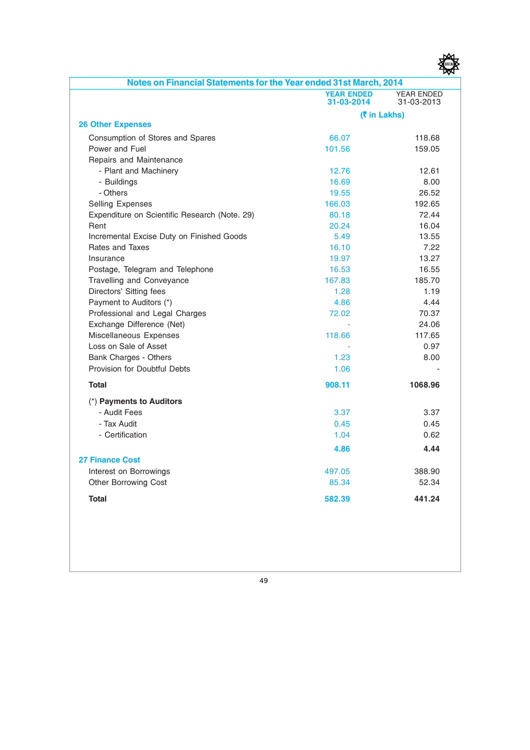

| Notes on Financial Statements for the Year ended 31st March, 2014 |                                 |                                 |
|-------------------------------------------------------------------|---------------------------------|---------------------------------|
|                                                                   | <b>YEAR ENDED</b><br>31-03-2014 | <b>YEAR ENDED</b><br>31-03-2013 |
|                                                                   |                                 | (₹ in Lakhs)                    |
| <b>26 Other Expenses</b>                                          |                                 |                                 |
| Consumption of Stores and Spares                                  | 66.07                           | 118.68                          |
| Power and Fuel                                                    | 101.56                          | 159.05                          |
| Repairs and Maintenance                                           |                                 |                                 |
| - Plant and Machinery                                             | 12.76                           | 12.61                           |
| - Buildings                                                       | 16.69                           | 8.00                            |
| - Others                                                          | 19.55                           | 26.52                           |
| Selling Expenses                                                  | 166.03                          | 192.65                          |
| Expenditure on Scientific Research (Note. 29)                     | 80.18                           | 72.44                           |
| Rent                                                              | 20.24                           | 16.04                           |
| Incremental Excise Duty on Finished Goods                         | 5.49                            | 13.55                           |
| Rates and Taxes                                                   | 16.10                           | 7.22                            |
| Insurance                                                         | 19.97                           | 13.27                           |
| Postage, Telegram and Telephone                                   | 16.53                           | 16.55                           |
| Travelling and Conveyance                                         | 167.83                          | 185.70                          |
| Directors' Sitting fees                                           | 1.28                            | 1.19                            |
| Payment to Auditors (*)                                           | 4.86                            | 4.44                            |
| Professional and Legal Charges                                    | 72.02                           | 70.37                           |
| Exchange Difference (Net)                                         |                                 | 24.06                           |
| Miscellaneous Expenses                                            | 118.66                          | 117.65                          |
| Loss on Sale of Asset                                             |                                 | 0.97                            |
| Bank Charges - Others                                             | 1.23                            | 8.00                            |
| Provision for Doubtful Debts                                      | 1.06                            |                                 |
| <b>Total</b>                                                      | 908.11                          | 1068.96                         |
| (*) Payments to Auditors                                          |                                 |                                 |
| - Audit Fees                                                      | 3.37                            | 3.37                            |
| - Tax Audit                                                       | 0.45                            | 0.45                            |
| - Certification                                                   | 1.04                            | 0.62                            |
|                                                                   | 4.86                            | 4.44                            |
| <b>27 Finance Cost</b>                                            |                                 |                                 |
|                                                                   | 497.05                          | 388.90                          |
| Interest on Borrowings                                            | 85.34                           | 52.34                           |
| <b>Other Borrowing Cost</b>                                       |                                 |                                 |
| <b>Total</b>                                                      | 582.39                          | 441.24                          |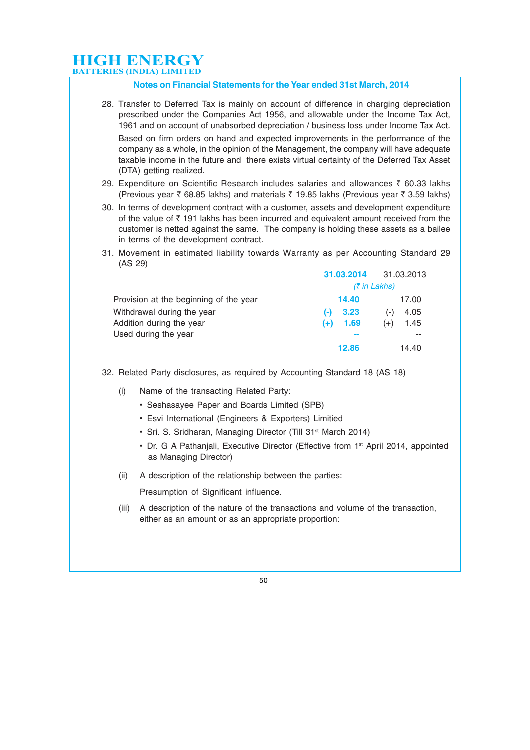#### **Notes on Financial Statements for the Year ended 31st March, 2014**

28. Transfer to Deferred Tax is mainly on account of difference in charging depreciation prescribed under the Companies Act 1956, and allowable under the Income Tax Act, 1961 and on account of unabsorbed depreciation / business loss under Income Tax Act.

Based on firm orders on hand and expected improvements in the performance of the company as a whole, in the opinion of the Management, the company will have adequate taxable income in the future and there exists virtual certainty of the Deferred Tax Asset (DTA) getting realized.

- 29. Expenditure on Scientific Research includes salaries and allowances  $\bar{\tau}$  60.33 lakhs (Previous year  $\bar{\zeta}$  68.85 lakhs) and materials  $\bar{\zeta}$  19.85 lakhs (Previous year  $\bar{\zeta}$  3.59 lakhs)
- 30. In terms of development contract with a customer, assets and development expenditure of the value of  $\bar{\tau}$  191 lakhs has been incurred and equivalent amount received from the customer is netted against the same. The company is holding these assets as a bailee in terms of the development contract.
- 31. Movement in estimated liability towards Warranty as per Accounting Standard 29 (AS 29)

|                                        | 31.03.2014         | 31.03.2013    |  |  |  |  |
|----------------------------------------|--------------------|---------------|--|--|--|--|
|                                        | $(3\pi)$ in Lakhs) |               |  |  |  |  |
| Provision at the beginning of the year | 14.40              | 17.00         |  |  |  |  |
| Withdrawal during the year             | 3.23<br>(-)        | 4.05<br>$(-)$ |  |  |  |  |
| Addition during the year               | 1.69<br>$(+)$      | 1.45<br>$(+)$ |  |  |  |  |
| Used during the year                   |                    | --            |  |  |  |  |
|                                        | 12.86              | 14.40         |  |  |  |  |

32. Related Party disclosures, as required by Accounting Standard 18 (AS 18)

- (i) Name of the transacting Related Party:
	- Seshasayee Paper and Boards Limited (SPB)
	- Esvi International (Engineers & Exporters) Limitied
	- Sri. S. Sridharan, Managing Director (Till 31<sup>st</sup> March 2014)
	- Dr. G A Pathaniali, Executive Director (Effective from 1<sup>st</sup> April 2014, appointed as Managing Director)
- (ii) A description of the relationship between the parties:

Presumption of Significant influence.

(iii) A description of the nature of the transactions and volume of the transaction, either as an amount or as an appropriate proportion: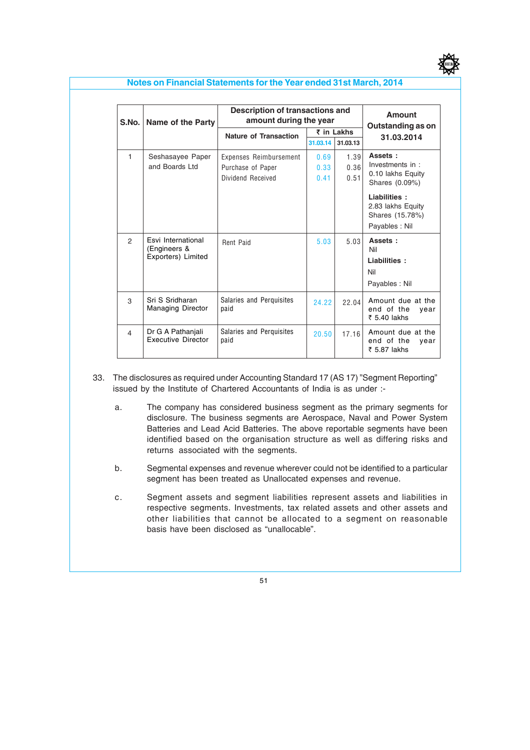

#### **Notes on Financial Statements for the Year ended 31st March, 2014**

| S.No.          | Name of the Party                                        | Description of transactions and<br>amount during the year | Amount<br>Outstanding as on |          |                                                         |
|----------------|----------------------------------------------------------|-----------------------------------------------------------|-----------------------------|----------|---------------------------------------------------------|
|                |                                                          | <b>Nature of Transaction</b>                              | ₹ in Lakhs                  |          | 31.03.2014                                              |
|                |                                                          |                                                           | 31.03.14                    | 31.03.13 |                                                         |
| 1              | Seshasayee Paper                                         | Expenses Reimbursement                                    | 0.69                        | 1.39     | Assets:                                                 |
|                | and Boards Ltd                                           | Purchase of Paper                                         | 0.33                        | 0.36     | Investments in :                                        |
|                |                                                          | Dividend Received                                         | 0.41                        | 0.51     | 0.10 lakhs Equity<br>Shares (0.09%)                     |
|                |                                                          |                                                           |                             |          | Liabilities:<br>2.83 lakhs Equity<br>Shares (15.78%)    |
|                |                                                          |                                                           |                             |          | Payables: Nil                                           |
| $\mathfrak{p}$ | Esvi International<br>(Engineers &<br>Exporters) Limited | Rent Paid                                                 | 5.03                        | 5 0 3    | Assets:<br>Nil<br>Liabilities:<br>Nil<br>Payables: Nil  |
| 3              | Sri S Sridharan<br><b>Managing Director</b>              | Salaries and Perquisites<br>paid                          | 24.22                       | 22.04    | Amount due at the<br>end of the<br>year<br>₹ 5.40 lakhs |
| 4              | Dr G A Pathanjali<br><b>Executive Director</b>           | Salaries and Perquisites<br>paid                          | 20.50                       | 17.16    | Amount due at the<br>end of the<br>vear<br>₹ 5.87 lakhs |

- 33. The disclosures as required under Accounting Standard 17 (AS 17) "Segment Reporting" issued by the Institute of Chartered Accountants of India is as under :
	- a. The company has considered business segment as the primary segments for disclosure. The business segments are Aerospace, Naval and Power System Batteries and Lead Acid Batteries. The above reportable segments have been identified based on the organisation structure as well as differing risks and returns associated with the segments.
	- b. Segmental expenses and revenue wherever could not be identified to a particular segment has been treated as Unallocated expenses and revenue.
	- c. Segment assets and segment liabilities represent assets and liabilities in respective segments. Investments, tax related assets and other assets and other liabilities that cannot be allocated to a segment on reasonable basis have been disclosed as "unallocable".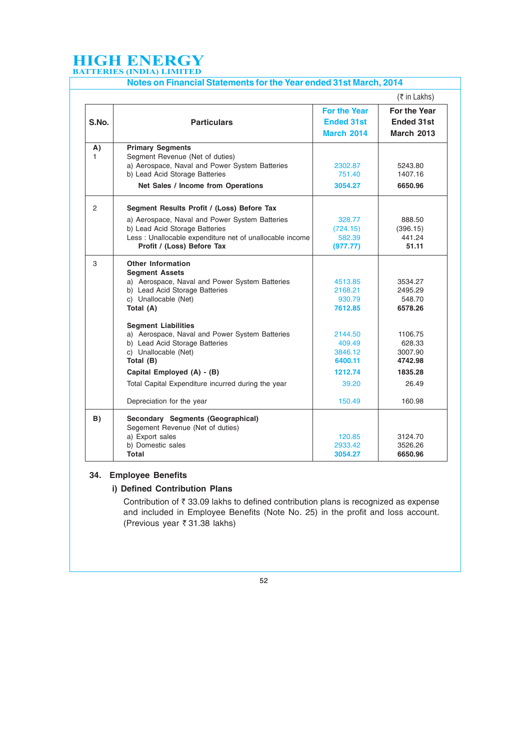|                | Notes on Financial Statements for the Year ended 31st March, 2014                                                   |                                                               |                                                               |
|----------------|---------------------------------------------------------------------------------------------------------------------|---------------------------------------------------------------|---------------------------------------------------------------|
|                |                                                                                                                     |                                                               | $($ ₹ in Lakhs)                                               |
| S.No.          | <b>Particulars</b>                                                                                                  | <b>For the Year</b><br><b>Ended 31st</b><br><b>March 2014</b> | <b>For the Year</b><br><b>Ended 31st</b><br><b>March 2013</b> |
| A)<br>1.       | <b>Primary Segments</b>                                                                                             |                                                               |                                                               |
|                | Segment Revenue (Net of duties)<br>a) Aerospace, Naval and Power System Batteries<br>b) Lead Acid Storage Batteries | 2302.87<br>751.40                                             | 5243.80<br>1407.16                                            |
|                | Net Sales / Income from Operations                                                                                  | 3054.27                                                       | 6650.96                                                       |
| $\overline{2}$ | Segment Results Profit / (Loss) Before Tax                                                                          |                                                               |                                                               |
|                | a) Aerospace, Naval and Power System Batteries                                                                      | 328.77                                                        | 888.50                                                        |
|                | b) Lead Acid Storage Batteries                                                                                      | (724.15)                                                      | (396.15)                                                      |
|                | Less : Unallocable expenditure net of unallocable income                                                            | 582.39                                                        | 441.24                                                        |
|                | Profit / (Loss) Before Tax                                                                                          | (977.77)                                                      | 51.11                                                         |
| 3              | <b>Other Information</b><br><b>Segment Assets</b>                                                                   |                                                               |                                                               |
|                | a) Aerospace, Naval and Power System Batteries                                                                      | 4513.85                                                       | 3534.27                                                       |
|                | b) Lead Acid Storage Batteries                                                                                      | 2168.21                                                       | 2495.29                                                       |
|                | c) Unallocable (Net)                                                                                                | 930.79                                                        | 548.70                                                        |
|                | Total (A)                                                                                                           | 7612.85                                                       | 6578.26                                                       |
|                | <b>Segment Liabilities</b>                                                                                          |                                                               |                                                               |
|                | a) Aerospace, Naval and Power System Batteries                                                                      | 2144.50                                                       | 1106.75                                                       |
|                | b) Lead Acid Storage Batteries                                                                                      | 409.49                                                        | 628.33<br>3007.90                                             |
|                | c) Unallocable (Net)<br>Total (B)                                                                                   | 3846.12<br>6400.11                                            | 4742.98                                                       |
|                | Capital Employed (A) - (B)                                                                                          | 1212.74                                                       | 1835.28                                                       |
|                | Total Capital Expenditure incurred during the year                                                                  | 39.20                                                         | 26.49                                                         |
|                | Depreciation for the year                                                                                           | 150.49                                                        | 160.98                                                        |
| B)             | Secondary Segments (Geographical)<br>Segement Revenue (Net of duties)                                               |                                                               |                                                               |
|                | a) Export sales                                                                                                     | 120.85                                                        | 3124.70                                                       |
|                | b) Domestic sales                                                                                                   | 2933.42                                                       | 3526.26                                                       |
|                | Total                                                                                                               | 3054.27                                                       | 6650.96                                                       |

#### **34. Employee Benefits**

#### **i) Defined Contribution Plans**

Contribution of  $\bar{\tau}$  33.09 lakhs to defined contribution plans is recognized as expense and included in Employee Benefits (Note No. 25) in the profit and loss account. (Previous year  $\overline{\xi}$  31.38 lakhs)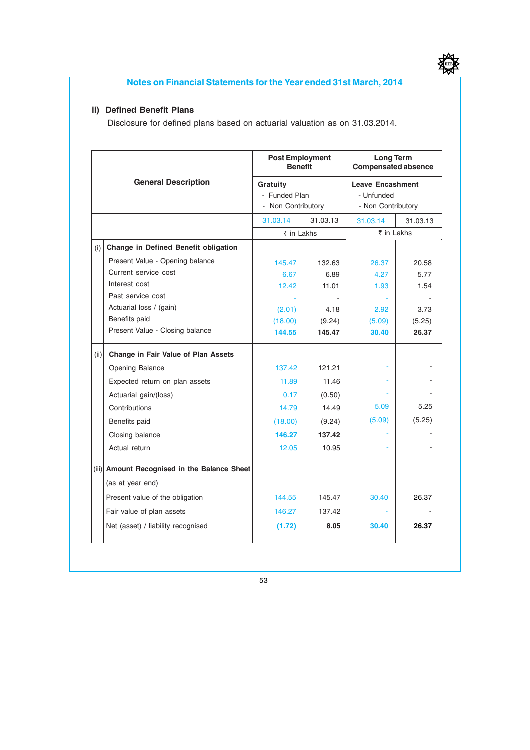

#### **Notes on Financial Statements for the Year ended 31st March, 2014**

#### **ii) Defined Benefit Plans**

Disclosure for defined plans based on actuarial valuation as on 31.03.2014.

|      |                                              | <b>Post Employment</b><br><b>Benefit</b> |          | <b>Long Term</b><br><b>Compensated absence</b> |          |  |
|------|----------------------------------------------|------------------------------------------|----------|------------------------------------------------|----------|--|
|      | <b>General Description</b>                   | Gratuity                                 |          | <b>Leave Encashment</b>                        |          |  |
|      |                                              | - Funded Plan                            |          | - Unfunded                                     |          |  |
|      |                                              | - Non Contributory                       |          | - Non Contributory                             |          |  |
|      |                                              | 31.03.14                                 | 31.03.13 | 31.03.14                                       | 31.03.13 |  |
|      |                                              | ₹ in Lakhs                               |          | ₹ in Lakhs                                     |          |  |
| (i)  | Change in Defined Benefit obligation         |                                          |          |                                                |          |  |
|      | Present Value - Opening balance              | 145.47                                   | 132.63   | 26.37                                          | 20.58    |  |
|      | Current service cost                         | 6.67                                     | 6.89     | 4.27                                           | 5.77     |  |
|      | Interest cost                                | 12.42                                    | 11.01    | 1.93                                           | 1.54     |  |
|      | Past service cost                            |                                          |          |                                                |          |  |
|      | Actuarial loss / (gain)                      | (2.01)                                   | 4.18     | 2.92                                           | 3.73     |  |
|      | Benefits paid                                | (18.00)                                  | (9.24)   | (5.09)                                         | (5.25)   |  |
|      | Present Value - Closing balance              | 144.55                                   | 145.47   | 30.40                                          | 26.37    |  |
| (ii) | Change in Fair Value of Plan Assets          |                                          |          |                                                |          |  |
|      | Opening Balance                              | 137.42                                   | 121.21   |                                                |          |  |
|      | Expected return on plan assets               | 11.89                                    | 11.46    |                                                |          |  |
|      | Actuarial gain/(loss)                        | 0.17                                     | (0.50)   |                                                |          |  |
|      | Contributions                                | 14.79                                    | 14.49    | 5.09                                           | 5.25     |  |
|      | Benefits paid                                | (18.00)                                  | (9.24)   | (5.09)                                         | (5.25)   |  |
|      | Closing balance                              | 146.27                                   | 137.42   |                                                |          |  |
|      | Actual return                                | 12.05                                    | 10.95    |                                                |          |  |
|      | (iii) Amount Recognised in the Balance Sheet |                                          |          |                                                |          |  |
|      | (as at year end)                             |                                          |          |                                                |          |  |
|      | Present value of the obligation              | 144.55                                   | 145.47   | 30.40                                          | 26.37    |  |
|      | Fair value of plan assets                    | 146.27                                   | 137.42   |                                                |          |  |
|      | Net (asset) / liability recognised           | (1.72)                                   | 8.05     | 30.40                                          | 26.37    |  |
|      |                                              |                                          |          |                                                |          |  |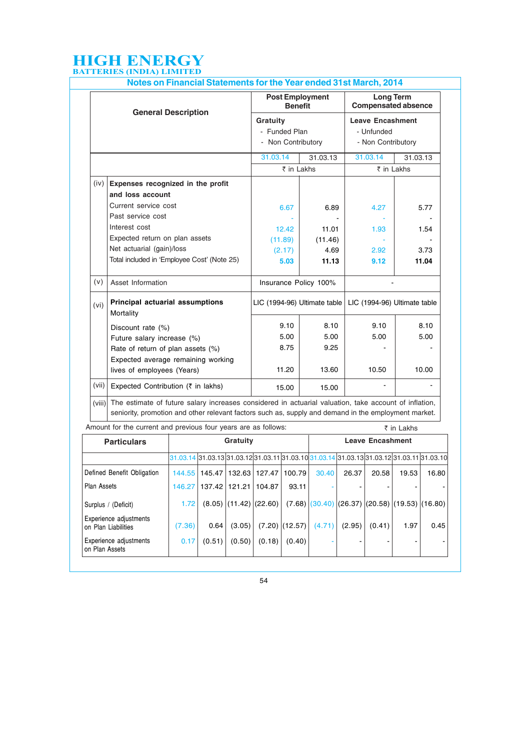|        |                                                                                                                                                                                                               | <b>Post Employment</b><br><b>Benefit</b> |                    | <b>Long Term</b><br><b>Compensated absence</b><br><b>Leave Encashment</b><br>- Unfunded |                    |  |
|--------|---------------------------------------------------------------------------------------------------------------------------------------------------------------------------------------------------------------|------------------------------------------|--------------------|-----------------------------------------------------------------------------------------|--------------------|--|
|        | <b>General Description</b>                                                                                                                                                                                    | Gratuity                                 |                    |                                                                                         |                    |  |
|        |                                                                                                                                                                                                               | - Funded Plan                            |                    |                                                                                         |                    |  |
|        |                                                                                                                                                                                                               |                                          | - Non Contributory |                                                                                         | - Non Contributory |  |
|        |                                                                                                                                                                                                               | 31.03.14                                 | 31.03.13           | 31.03.14                                                                                | 31.03.13           |  |
|        |                                                                                                                                                                                                               | ₹ in Lakhs                               |                    | ₹ in Lakhs                                                                              |                    |  |
| (iv)   | Expenses recognized in the profit                                                                                                                                                                             |                                          |                    |                                                                                         |                    |  |
|        | and loss account                                                                                                                                                                                              |                                          |                    |                                                                                         |                    |  |
|        | Current service cost                                                                                                                                                                                          | 6.67                                     | 6.89               | 4.27                                                                                    | 5.77               |  |
|        | Past service cost                                                                                                                                                                                             |                                          |                    |                                                                                         |                    |  |
|        | Interest cost                                                                                                                                                                                                 | 12.42                                    | 11.01              | 1.93                                                                                    | 1.54               |  |
|        | Expected return on plan assets                                                                                                                                                                                | (11.89)                                  | (11.46)            |                                                                                         |                    |  |
|        | Net actuarial (gain)/loss                                                                                                                                                                                     | (2.17)                                   | 4.69               | 2.92                                                                                    | 3.73               |  |
|        | Total included in 'Employee Cost' (Note 25)                                                                                                                                                                   | 5.03                                     | 11.13              | 9.12                                                                                    | 11.04              |  |
| (v)    | Asset Information                                                                                                                                                                                             | Insurance Policy 100%                    |                    |                                                                                         |                    |  |
| (vi)   | Principal actuarial assumptions<br>Mortality                                                                                                                                                                  |                                          |                    | LIC (1994-96) Ultimate table   LIC (1994-96) Ultimate table                             |                    |  |
|        | Discount rate (%)                                                                                                                                                                                             | 9.10                                     | 8.10               | 9.10                                                                                    | 8.10               |  |
|        | Future salary increase (%)                                                                                                                                                                                    | 5.00                                     | 5.00               | 5.00                                                                                    | 5.00               |  |
|        | Rate of return of plan assets (%)                                                                                                                                                                             | 8.75                                     | 9.25               |                                                                                         |                    |  |
|        | Expected average remaining working                                                                                                                                                                            |                                          |                    |                                                                                         |                    |  |
|        | lives of employees (Years)                                                                                                                                                                                    | 11.20                                    | 13.60              | 10.50                                                                                   | 10.00              |  |
| (vii)  | Expected Contribution (₹ in lakhs)                                                                                                                                                                            | 15.00                                    | 15.00              |                                                                                         |                    |  |
| (viii) | The estimate of future salary increases considered in actuarial valuation, take account of inflation,<br>seniority, promotion and other relevant factors such as, supply and demand in the employment market. |                                          |                    |                                                                                         |                    |  |

| Allioulit for the current and previous lour years are as follows. |          |                                                                                                               |                          |                          |                  |                                                            |                         |        | K III LAKIIS |       |
|-------------------------------------------------------------------|----------|---------------------------------------------------------------------------------------------------------------|--------------------------|--------------------------|------------------|------------------------------------------------------------|-------------------------|--------|--------------|-------|
| <b>Particulars</b>                                                | Gratuity |                                                                                                               |                          |                          |                  |                                                            | <b>Leave Encashment</b> |        |              |       |
|                                                                   |          | $31.03.14$ $31.03.13$ $31.03.12$ $31.03.11$ $31.03.10$ $31.03.14$ $31.03.13$ $31.03.12$ $31.03.11$ $31.03.10$ |                          |                          |                  |                                                            |                         |        |              |       |
| Defined Benefit Obligation                                        | 144.55   |                                                                                                               |                          | 145.47   132.63   127.47 | 100.79           | 30.40                                                      | 26.37                   | 20.58  | 19.53        | 16.80 |
| Plan Assets                                                       | 146.27   | 137.42                                                                                                        | 121.21                   | 104.87                   | 93.11            |                                                            |                         |        |              |       |
| Surplus / (Deficit)                                               | 1.72     |                                                                                                               | $(8.05)$ (11.42) (22.60) |                          |                  | $(7.68)$ $(30.40)$ $(26.37)$ $(20.58)$ $(19.53)$ $(16.80)$ |                         |        |              |       |
| Experience adjustments<br>on Plan Liabilities                     | (7.36)   | 0.64                                                                                                          | (3.05)                   |                          | $(7.20)$ (12.57) | (4.71)                                                     | (2.95)                  | (0.41) | 1.97         | 0.45  |
| Experience adjustments<br>on Plan Assets                          | 0.17     | (0.51)                                                                                                        | (0.50)                   | (0.18)                   | (0.40)           |                                                            |                         |        |              |       |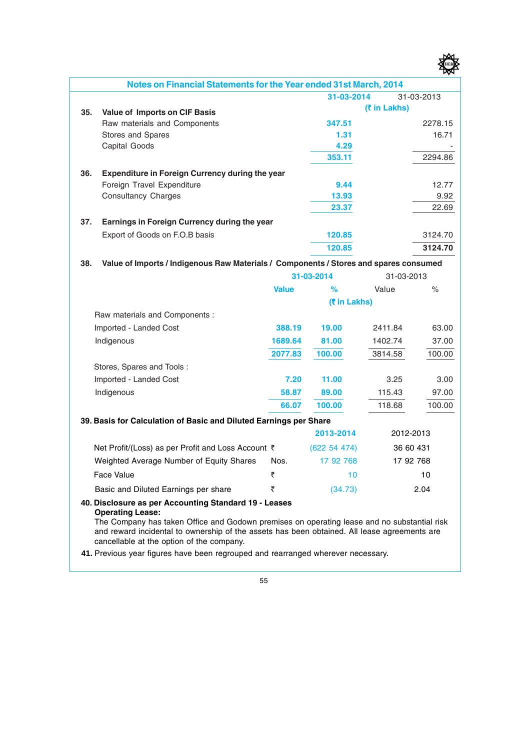|     |                                                                                       |              |              |              | অম         |
|-----|---------------------------------------------------------------------------------------|--------------|--------------|--------------|------------|
|     | Notes on Financial Statements for the Year ended 31st March, 2014                     |              |              |              |            |
|     |                                                                                       |              | 31-03-2014   |              | 31-03-2013 |
| 35. | Value of Imports on CIF Basis                                                         |              |              | (₹ in Lakhs) |            |
|     | Raw materials and Components                                                          |              | 347.51       |              | 2278.15    |
|     | Stores and Spares                                                                     |              | 1.31         |              | 16.71      |
|     | Capital Goods                                                                         |              | 4.29         |              |            |
|     |                                                                                       |              | 353.11       |              | 2294.86    |
| 36. | <b>Expenditure in Foreign Currency during the year</b>                                |              |              |              |            |
|     | Foreign Travel Expenditure                                                            |              | 9.44         |              | 12.77      |
|     | <b>Consultancy Charges</b>                                                            |              | 13.93        |              | 9.92       |
|     |                                                                                       |              | 23.37        |              | 22.69      |
| 37. | Earnings in Foreign Currency during the year                                          |              |              |              |            |
|     | Export of Goods on F.O.B basis                                                        |              | 120.85       |              | 3124.70    |
|     |                                                                                       |              | 120.85       |              | 3124.70    |
| 38. | Value of Imports / Indigenous Raw Materials / Components / Stores and spares consumed |              |              |              |            |
|     |                                                                                       |              | 31-03-2014   | 31-03-2013   |            |
|     |                                                                                       | <b>Value</b> | ℅            | Value        | $\%$       |
|     |                                                                                       |              | (₹ in Lakhs) |              |            |
|     | Raw materials and Components :                                                        |              |              |              |            |
|     | Imported - Landed Cost                                                                | 388.19       | 19.00        | 2411.84      | 63.00      |
|     | Indigenous                                                                            | 1689.64      | 81.00        | 1402.74      | 37.00      |
|     |                                                                                       | 2077.83      | 100.00       | 3814.58      | 100.00     |
|     | Stores, Spares and Tools:                                                             |              |              |              |            |
|     | Imported - Landed Cost                                                                | 7.20         | 11.00        | 3.25         | 3.00       |
|     | Indigenous                                                                            | 58.87        | 89.00        | 115.43       | 97.00      |
|     |                                                                                       | 66.07        | 100.00       | 118.68       | 100.00     |
|     | 39. Basis for Calculation of Basic and Diluted Earnings per Share                     |              |              |              |            |
|     |                                                                                       |              | 2013-2014    |              | 2012-2013  |
|     | Net Profit/(Loss) as per Profit and Loss Account ₹                                    |              | (622 54 474) |              | 36 60 431  |
|     | Weighted Average Number of Equity Shares                                              | Nos.         | 17 92 768    |              | 17 92 768  |
|     | Face Value                                                                            | ₹            | 10           |              | 10         |
|     | Basic and Diluted Earnings per share                                                  | ₹            | (34.73)      |              | 2.04       |

樱

#### **40. Disclosure as per Accounting Standard 19 - Leases Operating Lease:**

The Company has taken Office and Godown premises on operating lease and no substantial risk and reward incidental to ownership of the assets has been obtained. All lease agreements are cancellable at the option of the company.

 **41.** Previous year figures have been regrouped and rearranged wherever necessary.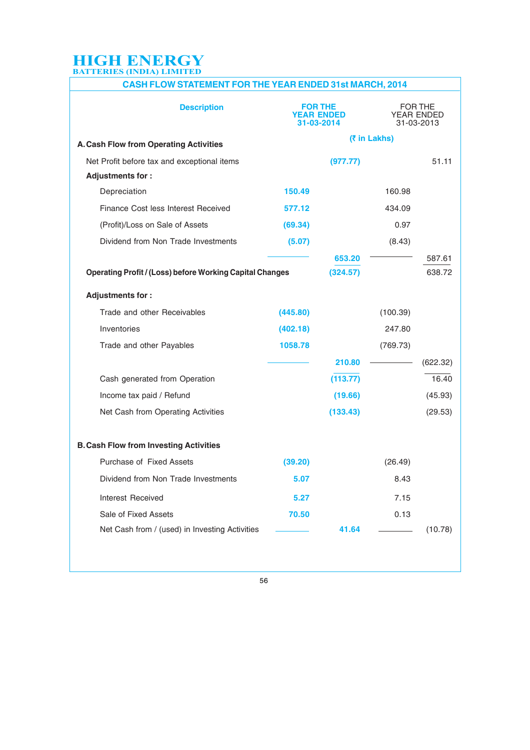## **CASH FLOW STATEMENT FOR THE YEAR ENDED 31st MARCH, 2014**

| <b>Description</b>                                              |          | FOR THE<br><b>YEAR ENDED</b><br>31-03-2014 |              | FOR THE<br>YEAR ENDED<br>31-03-2013 |
|-----------------------------------------------------------------|----------|--------------------------------------------|--------------|-------------------------------------|
| A. Cash Flow from Operating Activities                          |          |                                            | (₹ in Lakhs) |                                     |
| Net Profit before tax and exceptional items                     |          | (977.77)                                   |              | 51.11                               |
| <b>Adjustments for :</b>                                        |          |                                            |              |                                     |
| Depreciation                                                    | 150.49   |                                            | 160.98       |                                     |
| Finance Cost less Interest Received                             | 577.12   |                                            | 434.09       |                                     |
| (Profit)/Loss on Sale of Assets                                 | (69.34)  |                                            | 0.97         |                                     |
| Dividend from Non Trade Investments                             | (5.07)   |                                            | (8.43)       |                                     |
|                                                                 |          | 653.20                                     |              | 587.61                              |
| <b>Operating Profit / (Loss) before Working Capital Changes</b> |          | (324.57)                                   |              | 638.72                              |
| <b>Adjustments for:</b>                                         |          |                                            |              |                                     |
| Trade and other Receivables                                     | (445.80) |                                            | (100.39)     |                                     |
| Inventories                                                     | (402.18) |                                            | 247.80       |                                     |
| Trade and other Payables                                        | 1058.78  |                                            | (769.73)     |                                     |
|                                                                 |          | 210.80                                     |              | (622.32)                            |
| Cash generated from Operation                                   |          | (113.77)                                   |              | 16.40                               |
| Income tax paid / Refund                                        |          | (19.66)                                    |              | (45.93)                             |
| Net Cash from Operating Activities                              |          | (133.43)                                   |              | (29.53)                             |
| <b>B. Cash Flow from Investing Activities</b>                   |          |                                            |              |                                     |
| Purchase of Fixed Assets                                        | (39.20)  |                                            | (26.49)      |                                     |
| Dividend from Non Trade Investments                             | 5.07     |                                            | 8.43         |                                     |
|                                                                 |          |                                            |              |                                     |
| Interest Received                                               | 5.27     |                                            | 7.15         |                                     |
| Sale of Fixed Assets                                            | 70.50    |                                            | 0.13         |                                     |
| Net Cash from / (used) in Investing Activities                  |          | 41.64                                      |              | (10.78)                             |
|                                                                 |          |                                            |              |                                     |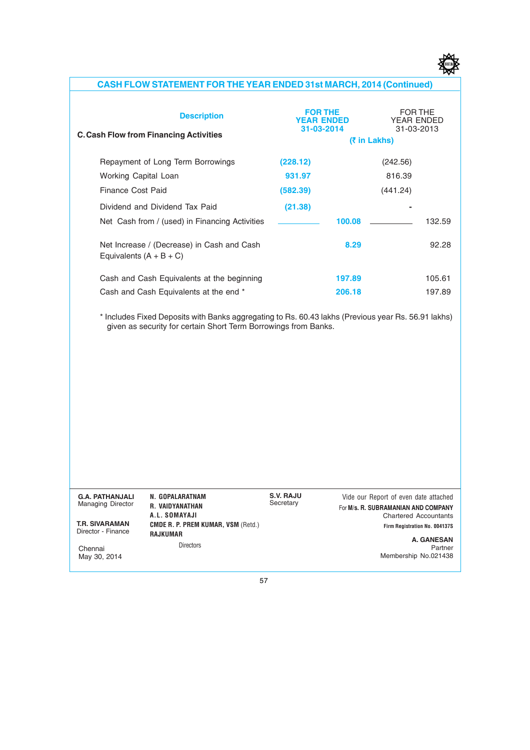

## **CASH FLOW STATEMENT FOR THE YEAR ENDED 31st MARCH, 2014 (Continued)**

| <b>Description</b><br><b>C. Cash Flow from Financing Activities</b>                  | <b>FOR THE</b><br><b>YEAR ENDED</b><br>31-03-2014 |                  | FOR THE<br>YFAR FNDFD<br>31-03-2013<br>(₹ in Lakhs) |                  |
|--------------------------------------------------------------------------------------|---------------------------------------------------|------------------|-----------------------------------------------------|------------------|
| Repayment of Long Term Borrowings                                                    | (228.12)                                          |                  | (242.56)                                            |                  |
| Working Capital Loan                                                                 | 931.97                                            |                  | 816.39                                              |                  |
| Finance Cost Paid                                                                    | (582.39)                                          |                  | (441.24)                                            |                  |
| Dividend and Dividend Tax Paid                                                       | (21.38)                                           |                  |                                                     |                  |
| Net Cash from / (used) in Financing Activities                                       |                                                   | 100.08           |                                                     | 132.59           |
| Net Increase / (Decrease) in Cash and Cash<br>Equivalents $(A + B + C)$              |                                                   | 8.29             |                                                     | 92.28            |
| Cash and Cash Equivalents at the beginning<br>Cash and Cash Equivalents at the end * |                                                   | 197.89<br>206.18 |                                                     | 105.61<br>197.89 |
|                                                                                      |                                                   |                  |                                                     |                  |

\* Includes Fixed Deposits with Banks aggregating to Rs. 60.43 lakhs (Previous year Rs. 56.91 lakhs) given as security for certain Short Term Borrowings from Banks.

| <b>G.A. PATHANJALI</b><br><b>Managing Director</b> | N. GOPALARATNAM<br>R. VAIDYANATHAN<br>A.L. SOMAYAJI          | S.V. RAJU<br>Secretary | Vide our Report of even date attached<br>For M/s. R. SUBRAMANIAN AND COMPANY<br><b>Chartered Accountants</b> |
|----------------------------------------------------|--------------------------------------------------------------|------------------------|--------------------------------------------------------------------------------------------------------------|
| <b>T.R. SIVARAMAN</b><br>Director - Finance        | <b>CMDE R. P. PREM KUMAR, VSM (Retd.)</b><br><b>RAJKUMAR</b> |                        | Firm Registration No. 004137S                                                                                |
| Chennai<br>May 30, 2014                            | <b>Directors</b>                                             |                        | <b>A. GANESAN</b><br>Partner<br>Membership No.021438                                                         |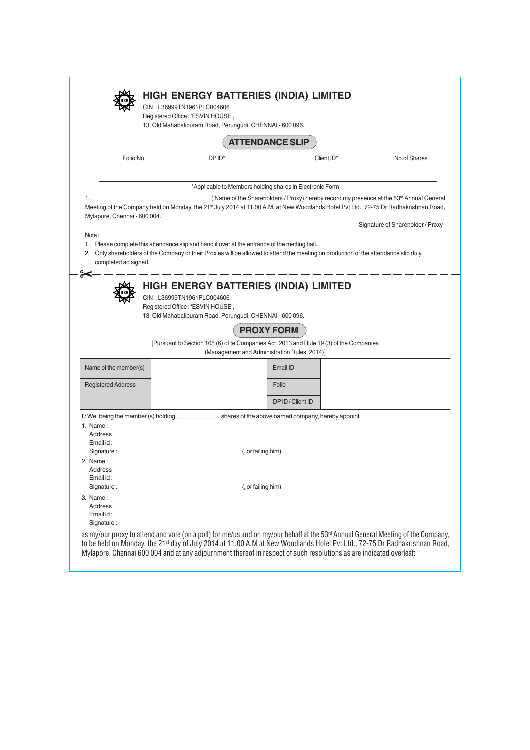|                                                          | 13, Old Mahabalipuram Road, Perungudi, CHENNAI - 600 096. |                                                                                                                                                                                                                                                                                                                                                                                |                                                                   |              |                                  |  |  |
|----------------------------------------------------------|-----------------------------------------------------------|--------------------------------------------------------------------------------------------------------------------------------------------------------------------------------------------------------------------------------------------------------------------------------------------------------------------------------------------------------------------------------|-------------------------------------------------------------------|--------------|----------------------------------|--|--|
|                                                          | <b>ATTENDANCE SLIP</b>                                    |                                                                                                                                                                                                                                                                                                                                                                                |                                                                   |              |                                  |  |  |
| Folio No.<br>DPID <sup>*</sup><br>Client ID*             |                                                           |                                                                                                                                                                                                                                                                                                                                                                                |                                                                   | No.of Shares |                                  |  |  |
|                                                          |                                                           |                                                                                                                                                                                                                                                                                                                                                                                |                                                                   |              |                                  |  |  |
| *Applicable to Members holding shares in Electronic Form |                                                           |                                                                                                                                                                                                                                                                                                                                                                                |                                                                   |              |                                  |  |  |
| Note:                                                    | Mylapore, Chennai - 600 004.<br>completed ad signed.      | Meeting of the Company held on Monday, the 21st July 2014 at 11.00 A.M. at New Woodlands Hotel Pvt Ltd., 72-75 Dr Radhakrishnan Road,<br>1. Please complete this attendance slip and hand it over at the entrance of the metting hall.<br>2. Only shareholders of the Company or their Proxies will be allowed to attend the meeting on production of the attendance slip duly |                                                                   |              | Signature of Shareholder / Proxy |  |  |
|                                                          |                                                           | CIN: L36999TN1961PLC004606<br>Registered Office : 'ESVIN HOUSE',<br>13, Old Mahabalipuram Road, Perungudi, CHENNAI - 600 096.                                                                                                                                                                                                                                                  | <b>HIGH ENERGY BATTERIES (INDIA) LIMITED</b><br><b>PROXY FORM</b> |              |                                  |  |  |
|                                                          |                                                           | [Pursuant to Section 105 (6) of te Companies Act. 2013 and Rule 19 (3) of the Companies                                                                                                                                                                                                                                                                                        | (Management and Administration Rules, 2014)]                      |              |                                  |  |  |
|                                                          | Name of the member(s)                                     |                                                                                                                                                                                                                                                                                                                                                                                | Email ID                                                          |              |                                  |  |  |
| <b>Registered Address</b>                                |                                                           |                                                                                                                                                                                                                                                                                                                                                                                | Folio                                                             |              |                                  |  |  |
|                                                          |                                                           |                                                                                                                                                                                                                                                                                                                                                                                | DP ID / Client ID                                                 |              |                                  |  |  |
|                                                          | I/We, being the member (s) holding                        |                                                                                                                                                                                                                                                                                                                                                                                | shares of the above named company, hereby appoint                 |              |                                  |  |  |
| Address                                                  |                                                           |                                                                                                                                                                                                                                                                                                                                                                                |                                                                   |              |                                  |  |  |
| Email id:<br>Signature:                                  |                                                           |                                                                                                                                                                                                                                                                                                                                                                                | (, or failing him)                                                |              |                                  |  |  |
| Address<br>Email id:                                     |                                                           |                                                                                                                                                                                                                                                                                                                                                                                |                                                                   |              |                                  |  |  |
| 1. Name:<br>2. Name:<br>Signature:<br>3. Name:           |                                                           |                                                                                                                                                                                                                                                                                                                                                                                | (, or failing him)                                                |              |                                  |  |  |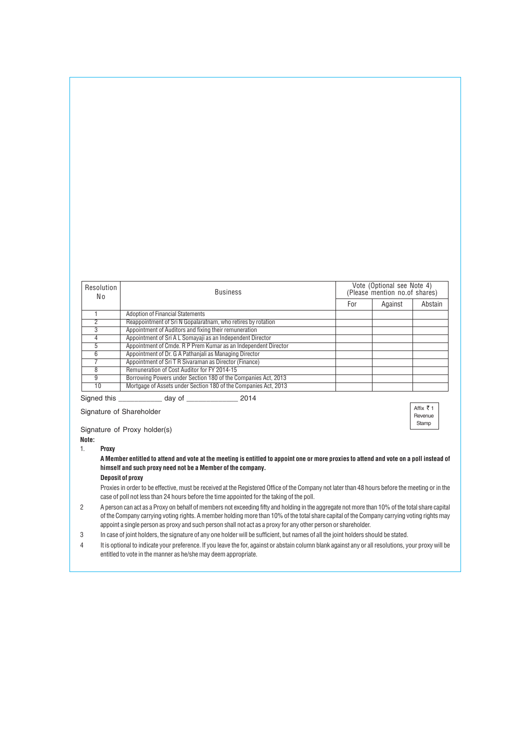| Resolution<br>No | <b>Business</b>                                                 |     | Vote (Optional see Note 4)<br>(Please mention no.of shares) |         |
|------------------|-----------------------------------------------------------------|-----|-------------------------------------------------------------|---------|
|                  |                                                                 | For | Against                                                     | Abstain |
|                  | <b>Adoption of Financial Statements</b>                         |     |                                                             |         |
|                  | Reappointment of Sri N Gopalaratnam, who retires by rotation    |     |                                                             |         |
| 3                | Appointment of Auditors and fixing their remuneration           |     |                                                             |         |
|                  | Appointment of Sri A L Somayaji as an Independent Director      |     |                                                             |         |
| 5                | Appointment of Cmde. R P Prem Kumar as an Independent Director  |     |                                                             |         |
| 6                | Appointment of Dr. G A Pathaniali as Managing Director          |     |                                                             |         |
|                  | Appointment of Sri T R Sivaraman as Director (Finance)          |     |                                                             |         |
| 8                | Remuneration of Cost Auditor for FY 2014-15                     |     |                                                             |         |
| g                | Borrowing Powers under Section 180 of the Companies Act, 2013   |     |                                                             |         |
| 10               | Mortgage of Assets under Section 180 of the Companies Act, 2013 |     |                                                             |         |

Signed this \_\_\_\_\_\_\_\_\_\_\_ day of \_\_\_\_\_\_\_\_\_\_\_\_\_ 2014

Affix  $\bar{z}$  1 Revenue Stamp

Signature of Proxy holder(s)

Signature of Shareholder

**Note:**

1. **Proxy**

**A Member entitled to attend and vote at the meeting is entitled to appoint one or more proxies to attend and vote on a poll instead of himself and such proxy need not be a Member of the company.**

#### **Deposit of proxy**

Proxies in order to be effective, must be received at the Registered Office of the Company not later than 48 hours before the meeting or in the case of poll not less than 24 hours before the time appointed for the taking of the poll.

- 2 A person can act as a Proxy on behalf of members not exceeding fifty and holding in the aggregate not more than 10% of the total share capital of the Company carrying voting rights. A member holding more than 10% of the total share capital of the Company carrying voting rights may appoint a single person as proxy and such person shall not act as a proxy for any other person or shareholder.
- 3 In case of joint holders, the signature of any one holder will be sufficient, but names of all the joint holders should be stated.
- 4 It is optional to indicate your preference. If you leave the for, against or abstain column blank against any or all resolutions, your proxy will be entitled to vote in the manner as he/she may deem appropriate.